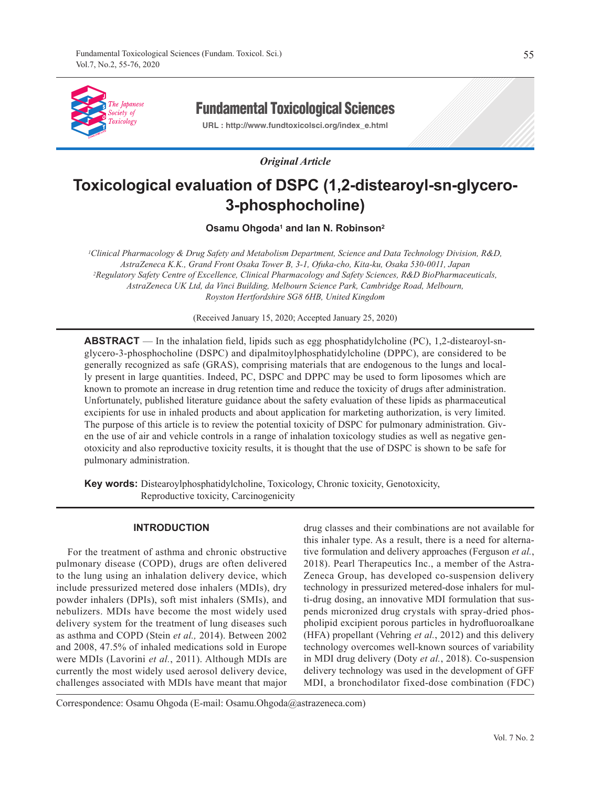

## Fundamental Toxicological Sciences

**URL : http://www.fundtoxicolsci.org/index\_e.html**

*Original Article*

# **Toxicological evaluation of DSPC (1,2-distearoyl-sn-glycero-3-phosphocholine)**

**Osamu Ohgoda1 and Ian N. Robinson2**

*1Clinical Pharmacology & Drug Safety and Metabolism Department, Science and Data Technology Division, R&D, AstraZeneca K.K., Grand Front Osaka Tower B, 3-1, Ofuka-cho, Kita-ku, Osaka 530-0011, Japan 2Regulatory Safety Centre of Excellence, Clinical Pharmacology and Safety Sciences, R&D BioPharmaceuticals, AstraZeneca UK Ltd, da Vinci Building, Melbourn Science Park, Cambridge Road, Melbourn, Royston Hertfordshire SG8 6HB, United Kingdom*

(Received January 15, 2020; Accepted January 25, 2020)

**ABSTRACT** — In the inhalation field, lipids such as egg phosphatidylcholine (PC), 1,2-distearoyl-snglycero-3-phosphocholine (DSPC) and dipalmitoylphosphatidylcholine (DPPC), are considered to be generally recognized as safe (GRAS), comprising materials that are endogenous to the lungs and locally present in large quantities. Indeed, PC, DSPC and DPPC may be used to form liposomes which are known to promote an increase in drug retention time and reduce the toxicity of drugs after administration. Unfortunately, published literature guidance about the safety evaluation of these lipids as pharmaceutical excipients for use in inhaled products and about application for marketing authorization, is very limited. The purpose of this article is to review the potential toxicity of DSPC for pulmonary administration. Given the use of air and vehicle controls in a range of inhalation toxicology studies as well as negative genotoxicity and also reproductive toxicity results, it is thought that the use of DSPC is shown to be safe for pulmonary administration.

**Key words:** Distearoylphosphatidylcholine, Toxicology, Chronic toxicity, Genotoxicity, Reproductive toxicity, Carcinogenicity

#### **INTRODUCTION**

For the treatment of asthma and chronic obstructive pulmonary disease (COPD), drugs are often delivered to the lung using an inhalation delivery device, which include pressurized metered dose inhalers (MDIs), dry powder inhalers (DPIs), soft mist inhalers (SMIs), and nebulizers. MDIs have become the most widely used delivery system for the treatment of lung diseases such as asthma and COPD (Stein *et al.,* 2014). Between 2002 and 2008, 47.5% of inhaled medications sold in Europe were MDIs (Lavorini *et al.*, 2011). Although MDIs are currently the most widely used aerosol delivery device, challenges associated with MDIs have meant that major drug classes and their combinations are not available for this inhaler type. As a result, there is a need for alternative formulation and delivery approaches (Ferguson *et al.*, 2018). Pearl Therapeutics Inc., a member of the Astra-Zeneca Group, has developed co-suspension delivery technology in pressurized metered-dose inhalers for multi-drug dosing, an innovative MDI formulation that suspends micronized drug crystals with spray-dried phospholipid excipient porous particles in hydrofluoroalkane (HFA) propellant (Vehring *et al.*, 2012) and this delivery technology overcomes well-known sources of variability in MDI drug delivery (Doty *et al.*, 2018). Co-suspension delivery technology was used in the development of GFF MDI, a bronchodilator fixed-dose combination (FDC)

Correspondence: Osamu Ohgoda (E-mail: Osamu.Ohgoda@astrazeneca.com)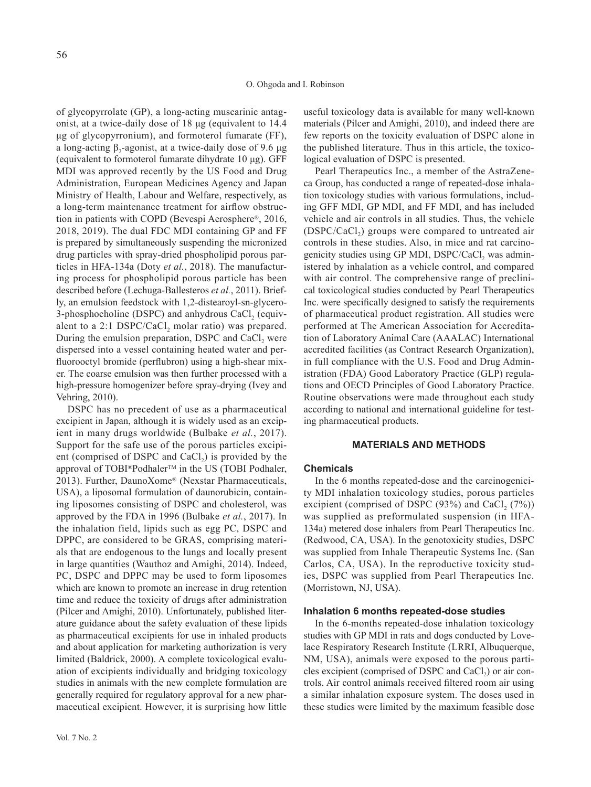of glycopyrrolate (GP), a long-acting muscarinic antagonist, at a twice-daily dose of 18 μg (equivalent to 14.4 μg of glycopyrronium), and formoterol fumarate (FF), a long-acting  $β_2$ -agonist, at a twice-daily dose of 9.6 μg (equivalent to formoterol fumarate dihydrate 10 μg). GFF MDI was approved recently by the US Food and Drug Administration, European Medicines Agency and Japan Ministry of Health, Labour and Welfare, respectively, as a long-term maintenance treatment for airflow obstruction in patients with COPD (Bevespi Aerosphere®, 2016, 2018, 2019). The dual FDC MDI containing GP and FF is prepared by simultaneously suspending the micronized drug particles with spray-dried phospholipid porous particles in HFA-134a (Doty *et al.*, 2018). The manufacturing process for phospholipid porous particle has been described before (Lechuga-Ballesteros *et al.*, 2011). Briefly, an emulsion feedstock with 1,2-distearoyl-sn-glycero-3-phosphocholine (DSPC) and anhydrous CaCl, (equivalent to a  $2:1$  DSPC/CaCl, molar ratio) was prepared. During the emulsion preparation, DSPC and  $CaCl<sub>2</sub>$  were dispersed into a vessel containing heated water and perfluorooctyl bromide (perflubron) using a high-shear mixer. The coarse emulsion was then further processed with a high-pressure homogenizer before spray-drying (Ivey and Vehring, 2010).

DSPC has no precedent of use as a pharmaceutical excipient in Japan, although it is widely used as an excipient in many drugs worldwide (Bulbake *et al.*, 2017). Support for the safe use of the porous particles excipient (comprised of DSPC and  $CaCl<sub>2</sub>$ ) is provided by the approval of TOBI®Podhaler™ in the US (TOBI Podhaler, 2013). Further, DaunoXome® (Nexstar Pharmaceuticals, USA), a liposomal formulation of daunorubicin, containing liposomes consisting of DSPC and cholesterol, was approved by the FDA in 1996 (Bulbake *et al.*, 2017). In the inhalation field, lipids such as egg PC, DSPC and DPPC, are considered to be GRAS, comprising materials that are endogenous to the lungs and locally present in large quantities (Wauthoz and Amighi, 2014). Indeed, PC, DSPC and DPPC may be used to form liposomes which are known to promote an increase in drug retention time and reduce the toxicity of drugs after administration (Pilcer and Amighi, 2010). Unfortunately, published literature guidance about the safety evaluation of these lipids as pharmaceutical excipients for use in inhaled products and about application for marketing authorization is very limited (Baldrick, 2000). A complete toxicological evaluation of excipients individually and bridging toxicology studies in animals with the new complete formulation are generally required for regulatory approval for a new pharmaceutical excipient. However, it is surprising how little

Vol. 7 No. 2

useful toxicology data is available for many well-known materials (Pilcer and Amighi, 2010), and indeed there are few reports on the toxicity evaluation of DSPC alone in the published literature. Thus in this article, the toxicological evaluation of DSPC is presented.

Pearl Therapeutics Inc., a member of the AstraZeneca Group, has conducted a range of repeated-dose inhalation toxicology studies with various formulations, including GFF MDI, GP MDI, and FF MDI, and has included vehicle and air controls in all studies. Thus, the vehicle  $(DSPC/CaCl<sub>2</sub>)$  groups were compared to untreated air controls in these studies. Also, in mice and rat carcinogenicity studies using GP MDI,  $DSPC/CaCl<sub>2</sub>$  was administered by inhalation as a vehicle control, and compared with air control. The comprehensive range of preclinical toxicological studies conducted by Pearl Therapeutics Inc. were specifically designed to satisfy the requirements of pharmaceutical product registration. All studies were performed at The American Association for Accreditation of Laboratory Animal Care (AAALAC) International accredited facilities (as Contract Research Organization), in full compliance with the U.S. Food and Drug Administration (FDA) Good Laboratory Practice (GLP) regulations and OECD Principles of Good Laboratory Practice. Routine observations were made throughout each study according to national and international guideline for testing pharmaceutical products.

#### **MATERIALS AND METHODS**

#### **Chemicals**

In the 6 months repeated-dose and the carcinogenicity MDI inhalation toxicology studies, porous particles excipient (comprised of DSPC  $(93\%)$  and CaCl,  $(7\%)$ ) was supplied as preformulated suspension (in HFA-134a) metered dose inhalers from Pearl Therapeutics Inc. (Redwood, CA, USA). In the genotoxicity studies, DSPC was supplied from Inhale Therapeutic Systems Inc. (San Carlos, CA, USA). In the reproductive toxicity studies, DSPC was supplied from Pearl Therapeutics Inc. (Morristown, NJ, USA).

#### **Inhalation 6 months repeated-dose studies**

In the 6-months repeated-dose inhalation toxicology studies with GP MDI in rats and dogs conducted by Lovelace Respiratory Research Institute (LRRI, Albuquerque, NM, USA), animals were exposed to the porous particles excipient (comprised of DSPC and  $CaCl<sub>2</sub>$ ) or air controls. Air control animals received filtered room air using a similar inhalation exposure system. The doses used in these studies were limited by the maximum feasible dose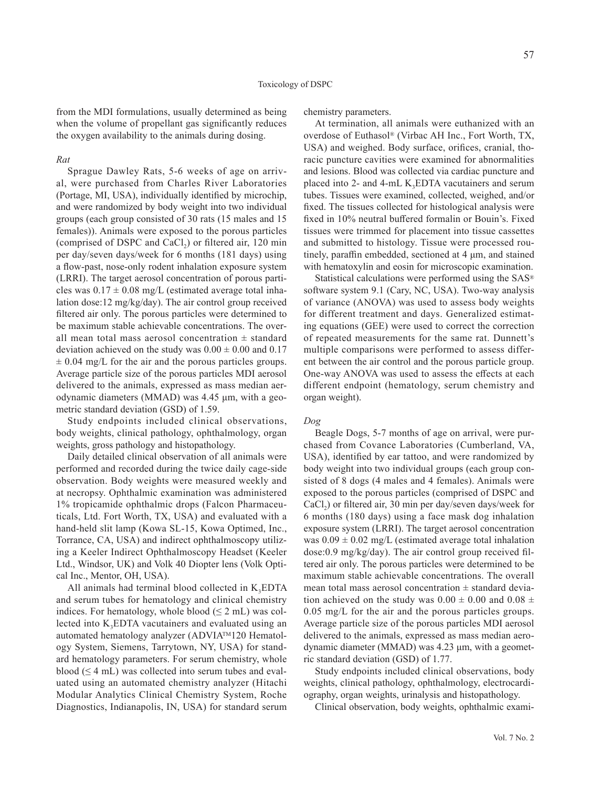from the MDI formulations, usually determined as being when the volume of propellant gas significantly reduces the oxygen availability to the animals during dosing.

#### *Rat*

Sprague Dawley Rats, 5-6 weeks of age on arrival, were purchased from Charles River Laboratories (Portage, MI, USA), individually identified by microchip, and were randomized by body weight into two individual groups (each group consisted of 30 rats (15 males and 15 females)). Animals were exposed to the porous particles (comprised of DSPC and CaCl<sub>2</sub>) or filtered air, 120 min per day/seven days/week for 6 months (181 days) using a flow-past, nose-only rodent inhalation exposure system (LRRI). The target aerosol concentration of porous particles was  $0.17 \pm 0.08$  mg/L (estimated average total inhalation dose:12 mg/kg/day). The air control group received filtered air only. The porous particles were determined to be maximum stable achievable concentrations. The overall mean total mass aerosol concentration  $\pm$  standard deviation achieved on the study was  $0.00 \pm 0.00$  and  $0.17$  $\pm$  0.04 mg/L for the air and the porous particles groups. Average particle size of the porous particles MDI aerosol delivered to the animals, expressed as mass median aerodynamic diameters (MMAD) was 4.45 μm, with a geometric standard deviation (GSD) of 1.59.

Study endpoints included clinical observations, body weights, clinical pathology, ophthalmology, organ weights, gross pathology and histopathology.

Daily detailed clinical observation of all animals were performed and recorded during the twice daily cage-side observation. Body weights were measured weekly and at necropsy. Ophthalmic examination was administered 1% tropicamide ophthalmic drops (Falcon Pharmaceuticals, Ltd. Fort Worth, TX, USA) and evaluated with a hand-held slit lamp (Kowa SL-15, Kowa Optimed, Inc., Torrance, CA, USA) and indirect ophthalmoscopy utilizing a Keeler Indirect Ophthalmoscopy Headset (Keeler Ltd., Windsor, UK) and Volk 40 Diopter lens (Volk Optical Inc., Mentor, OH, USA).

All animals had terminal blood collected in  $K_3EDTA$ and serum tubes for hematology and clinical chemistry indices. For hematology, whole blood  $(\leq 2 \text{ mL})$  was collected into  $K_3EDTA$  vacutainers and evaluated using an automated hematology analyzer (ADVIATM120 Hematology System, Siemens, Tarrytown, NY, USA) for standard hematology parameters. For serum chemistry, whole blood  $(\leq 4$  mL) was collected into serum tubes and evaluated using an automated chemistry analyzer (Hitachi Modular Analytics Clinical Chemistry System, Roche Diagnostics, Indianapolis, IN, USA) for standard serum chemistry parameters.

At termination, all animals were euthanized with an overdose of Euthasol® (Virbac AH Inc., Fort Worth, TX, USA) and weighed. Body surface, orifices, cranial, thoracic puncture cavities were examined for abnormalities and lesions. Blood was collected via cardiac puncture and placed into 2- and 4-mL  $K_3EDTA$  vacutainers and serum tubes. Tissues were examined, collected, weighed, and/or fixed. The tissues collected for histological analysis were fixed in 10% neutral buffered formalin or Bouin's. Fixed tissues were trimmed for placement into tissue cassettes and submitted to histology. Tissue were processed routinely, paraffin embedded, sectioned at 4 μm, and stained with hematoxylin and eosin for microscopic examination.

Statistical calculations were performed using the SAS® software system 9.1 (Cary, NC, USA). Two-way analysis of variance (ANOVA) was used to assess body weights for different treatment and days. Generalized estimating equations (GEE) were used to correct the correction of repeated measurements for the same rat. Dunnett's multiple comparisons were performed to assess different between the air control and the porous particle group. One-way ANOVA was used to assess the effects at each different endpoint (hematology, serum chemistry and organ weight).

#### *Dog*

Beagle Dogs, 5-7 months of age on arrival, were purchased from Covance Laboratories (Cumberland, VA, USA), identified by ear tattoo, and were randomized by body weight into two individual groups (each group consisted of 8 dogs (4 males and 4 females). Animals were exposed to the porous particles (comprised of DSPC and CaCl<sub>2</sub>) or filtered air, 30 min per day/seven days/week for 6 months (180 days) using a face mask dog inhalation exposure system (LRRI). The target aerosol concentration was  $0.09 \pm 0.02$  mg/L (estimated average total inhalation dose:0.9 mg/kg/day). The air control group received filtered air only. The porous particles were determined to be maximum stable achievable concentrations. The overall mean total mass aerosol concentration  $\pm$  standard deviation achieved on the study was  $0.00 \pm 0.00$  and  $0.08 \pm 0.00$ 0.05 mg/L for the air and the porous particles groups. Average particle size of the porous particles MDI aerosol delivered to the animals, expressed as mass median aerodynamic diameter (MMAD) was 4.23 μm, with a geometric standard deviation (GSD) of 1.77.

Study endpoints included clinical observations, body weights, clinical pathology, ophthalmology, electrocardiography, organ weights, urinalysis and histopathology.

Clinical observation, body weights, ophthalmic exami-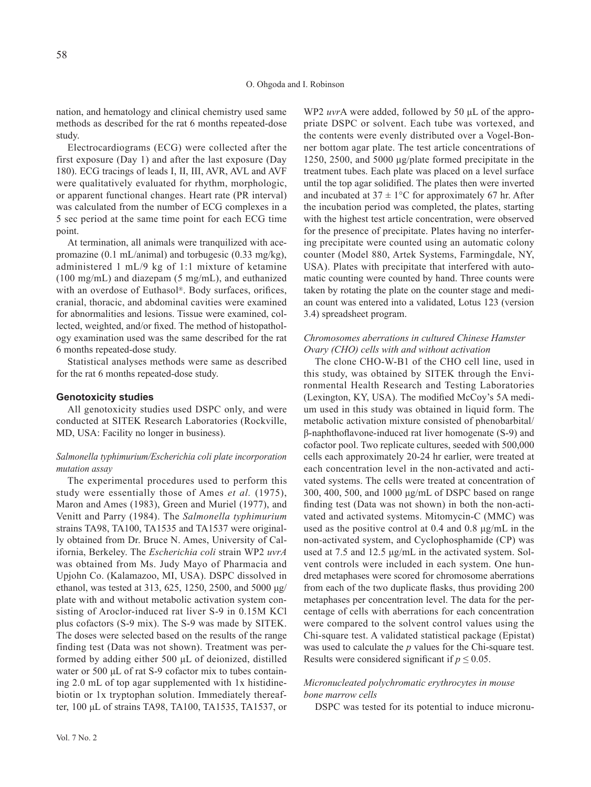nation, and hematology and clinical chemistry used same methods as described for the rat 6 months repeated-dose study.

Electrocardiograms (ECG) were collected after the first exposure (Day 1) and after the last exposure (Day 180). ECG tracings of leads I, II, III, AVR, AVL and AVF were qualitatively evaluated for rhythm, morphologic, or apparent functional changes. Heart rate (PR interval) was calculated from the number of ECG complexes in a 5 sec period at the same time point for each ECG time point.

At termination, all animals were tranquilized with acepromazine (0.1 mL/animal) and torbugesic (0.33 mg/kg), administered 1 mL/9 kg of 1:1 mixture of ketamine (100 mg/mL) and diazepam (5 mg/mL), and euthanized with an overdose of Euthasol®. Body surfaces, orifices, cranial, thoracic, and abdominal cavities were examined for abnormalities and lesions. Tissue were examined, collected, weighted, and/or fixed. The method of histopathology examination used was the same described for the rat 6 months repeated-dose study.

Statistical analyses methods were same as described for the rat 6 months repeated-dose study.

#### **Genotoxicity studies**

All genotoxicity studies used DSPC only, and were conducted at SITEK Research Laboratories (Rockville, MD, USA: Facility no longer in business).

#### *Salmonella typhimurium/Escherichia coli plate incorporation mutation assay*

The experimental procedures used to perform this study were essentially those of Ames *et al.* (1975), Maron and Ames (1983), Green and Muriel (1977), and Venitt and Parry (1984). The *Salmonella typhimurium* strains TA98, TA100, TA1535 and TA1537 were originally obtained from Dr. Bruce N. Ames, University of California, Berkeley. The *Escherichia coli* strain WP2 *uvrA* was obtained from Ms. Judy Mayo of Pharmacia and Upjohn Co. (Kalamazoo, MI, USA). DSPC dissolved in ethanol, was tested at 313, 625, 1250, 2500, and 5000 μg/ plate with and without metabolic activation system consisting of Aroclor-induced rat liver S-9 in 0.15M KCl plus cofactors (S-9 mix). The S-9 was made by SITEK. The doses were selected based on the results of the range finding test (Data was not shown). Treatment was performed by adding either 500 μL of deionized, distilled water or 500 μL of rat S-9 cofactor mix to tubes containing 2.0 mL of top agar supplemented with 1x histidinebiotin or 1x tryptophan solution. Immediately thereafter, 100 μL of strains TA98, TA100, TA1535, TA1537, or

WP2 *uvr*A were added, followed by 50 μL of the appropriate DSPC or solvent. Each tube was vortexed, and the contents were evenly distributed over a Vogel-Bonner bottom agar plate. The test article concentrations of 1250, 2500, and 5000 μg/plate formed precipitate in the treatment tubes. Each plate was placed on a level surface until the top agar solidified. The plates then were inverted and incubated at  $37 \pm 1$ °C for approximately 67 hr. After the incubation period was completed, the plates, starting with the highest test article concentration, were observed for the presence of precipitate. Plates having no interfering precipitate were counted using an automatic colony counter (Model 880, Artek Systems, Farmingdale, NY, USA). Plates with precipitate that interfered with automatic counting were counted by hand. Three counts were taken by rotating the plate on the counter stage and median count was entered into a validated, Lotus 123 (version 3.4) spreadsheet program.

#### *Chromosomes aberrations in cultured Chinese Hamster Ovary (CHO) cells with and without activation*

The clone CHO-W-B1 of the CHO cell line, used in this study, was obtained by SITEK through the Environmental Health Research and Testing Laboratories (Lexington, KY, USA). The modified McCoy's 5A medium used in this study was obtained in liquid form. The metabolic activation mixture consisted of phenobarbital/ β-naphthoflavone-induced rat liver homogenate (S-9) and cofactor pool. Two replicate cultures, seeded with 500,000 cells each approximately 20-24 hr earlier, were treated at each concentration level in the non-activated and activated systems. The cells were treated at concentration of 300, 400, 500, and 1000 μg/mL of DSPC based on range finding test (Data was not shown) in both the non-activated and activated systems. Mitomycin-C (MMC) was used as the positive control at 0.4 and 0.8 μg/mL in the non-activated system, and Cyclophosphamide (CP) was used at 7.5 and 12.5 μg/mL in the activated system. Solvent controls were included in each system. One hundred metaphases were scored for chromosome aberrations from each of the two duplicate flasks, thus providing 200 metaphases per concentration level. The data for the percentage of cells with aberrations for each concentration were compared to the solvent control values using the Chi-square test. A validated statistical package (Epistat) was used to calculate the *p* values for the Chi-square test. Results were considered significant if  $p \leq 0.05$ .

#### *Micronucleated polychromatic erythrocytes in mouse bone marrow cells*

DSPC was tested for its potential to induce micronu-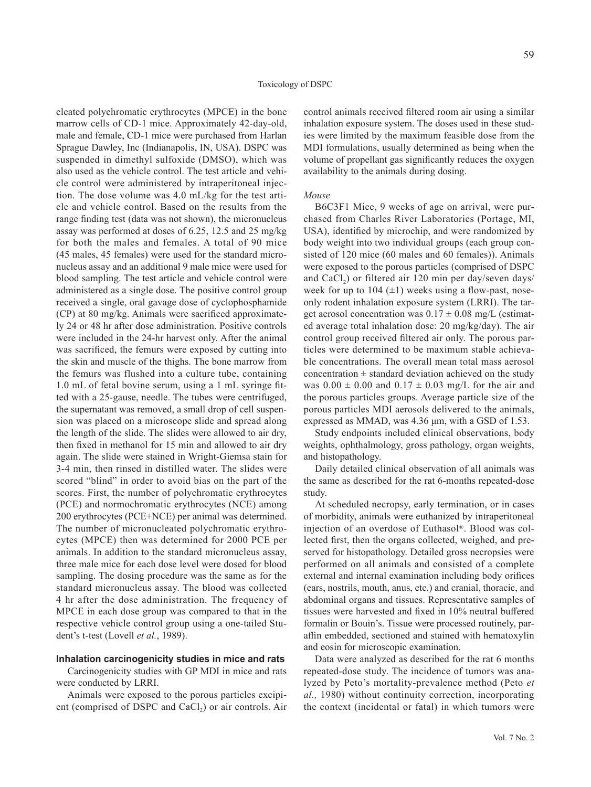cleated polychromatic erythrocytes (MPCE) in the bone marrow cells of CD-1 mice. Approximately 42-day-old, male and female, CD-1 mice were purchased from Harlan Sprague Dawley, Inc (Indianapolis, IN, USA). DSPC was suspended in dimethyl sulfoxide (DMSO), which was also used as the vehicle control. The test article and vehicle control were administered by intraperitoneal injection. The dose volume was 4.0 mL/kg for the test article and vehicle control. Based on the results from the range finding test (data was not shown), the micronucleus assay was performed at doses of 6.25, 12.5 and 25 mg/kg for both the males and females. A total of 90 mice (45 males, 45 females) were used for the standard micronucleus assay and an additional 9 male mice were used for blood sampling. The test article and vehicle control were administered as a single dose. The positive control group received a single, oral gavage dose of cyclophosphamide (CP) at 80 mg/kg. Animals were sacrificed approximately 24 or 48 hr after dose administration. Positive controls were included in the 24-hr harvest only. After the animal was sacrificed, the femurs were exposed by cutting into the skin and muscle of the thighs. The bone marrow from the femurs was flushed into a culture tube, containing 1.0 mL of fetal bovine serum, using a 1 mL syringe fitted with a 25-gause, needle. The tubes were centrifuged, the supernatant was removed, a small drop of cell suspension was placed on a microscope slide and spread along the length of the slide. The slides were allowed to air dry, then fixed in methanol for 15 min and allowed to air dry again. The slide were stained in Wright-Giemsa stain for 3-4 min, then rinsed in distilled water. The slides were scored "blind" in order to avoid bias on the part of the scores. First, the number of polychromatic erythrocytes (PCE) and normochromatic erythrocytes (NCE) among 200 erythrocytes (PCE+NCE) per animal was determined. The number of micronucleated polychromatic erythrocytes (MPCE) then was determined for 2000 PCE per animals. In addition to the standard micronucleus assay, three male mice for each dose level were dosed for blood sampling. The dosing procedure was the same as for the standard micronucleus assay. The blood was collected 4 hr after the dose administration. The frequency of MPCE in each dose group was compared to that in the respective vehicle control group using a one-tailed Student's t-test (Lovell *et al.*, 1989).

#### **Inhalation carcinogenicity studies in mice and rats**

Carcinogenicity studies with GP MDI in mice and rats were conducted by LRRI.

Animals were exposed to the porous particles excipient (comprised of DSPC and  $CaCl<sub>2</sub>$ ) or air controls. Air control animals received filtered room air using a similar inhalation exposure system. The doses used in these studies were limited by the maximum feasible dose from the MDI formulations, usually determined as being when the volume of propellant gas significantly reduces the oxygen availability to the animals during dosing.

#### *Mouse*

B6C3F1 Mice, 9 weeks of age on arrival, were purchased from Charles River Laboratories (Portage, MI, USA), identified by microchip, and were randomized by body weight into two individual groups (each group consisted of 120 mice (60 males and 60 females)). Animals were exposed to the porous particles (comprised of DSPC and  $CaCl<sub>2</sub>$ ) or filtered air 120 min per day/seven days/ week for up to  $104 \pm 1$ ) weeks using a flow-past, noseonly rodent inhalation exposure system (LRRI). The target aerosol concentration was  $0.17 \pm 0.08$  mg/L (estimated average total inhalation dose: 20 mg/kg/day). The air control group received filtered air only. The porous particles were determined to be maximum stable achievable concentrations. The overall mean total mass aerosol concentration  $\pm$  standard deviation achieved on the study was  $0.00 \pm 0.00$  and  $0.17 \pm 0.03$  mg/L for the air and the porous particles groups. Average particle size of the porous particles MDI aerosols delivered to the animals, expressed as MMAD, was 4.36 μm, with a GSD of 1.53.

Study endpoints included clinical observations, body weights, ophthalmology, gross pathology, organ weights, and histopathology.

Daily detailed clinical observation of all animals was the same as described for the rat 6-months repeated-dose study.

At scheduled necropsy, early termination, or in cases of morbidity, animals were euthanized by intraperitoneal injection of an overdose of Euthasol®. Blood was collected first, then the organs collected, weighed, and preserved for histopathology. Detailed gross necropsies were performed on all animals and consisted of a complete external and internal examination including body orifices (ears, nostrils, mouth, anus, etc.) and cranial, thoracic, and abdominal organs and tissues. Representative samples of tissues were harvested and fixed in 10% neutral buffered formalin or Bouin's. Tissue were processed routinely, paraffin embedded, sectioned and stained with hematoxylin and eosin for microscopic examination.

Data were analyzed as described for the rat 6 months repeated-dose study. The incidence of tumors was analyzed by Peto's mortality-prevalence method (Peto *et al.,* 1980) without continuity correction, incorporating the context (incidental or fatal) in which tumors were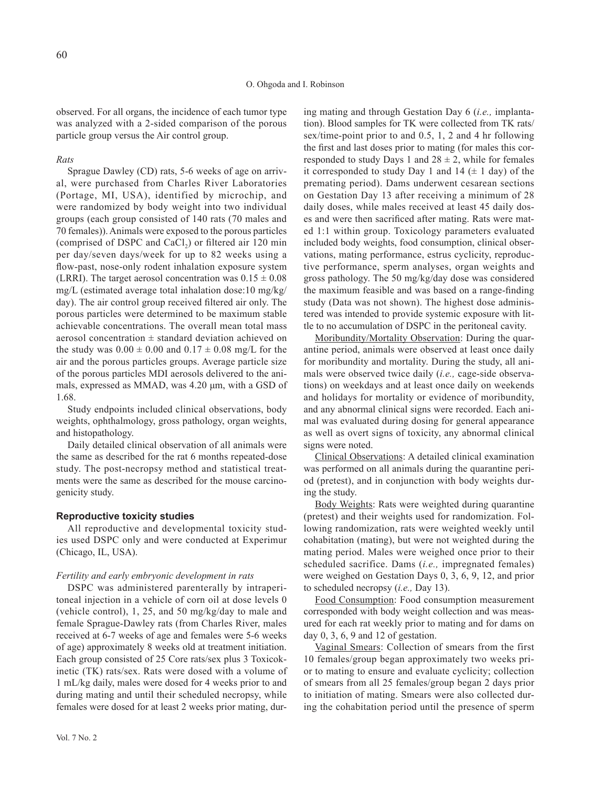observed. For all organs, the incidence of each tumor type was analyzed with a 2-sided comparison of the porous particle group versus the Air control group.

#### *Rats*

Sprague Dawley (CD) rats, 5-6 weeks of age on arrival, were purchased from Charles River Laboratories (Portage, MI, USA), identified by microchip, and were randomized by body weight into two individual groups (each group consisted of 140 rats (70 males and 70 females)). Animals were exposed to the porous particles (comprised of DSPC and CaCl<sub>2</sub>) or filtered air  $120 \text{ min}$ per day/seven days/week for up to 82 weeks using a flow-past, nose-only rodent inhalation exposure system (LRRI). The target aerosol concentration was  $0.15 \pm 0.08$ mg/L (estimated average total inhalation dose:10 mg/kg/ day). The air control group received filtered air only. The porous particles were determined to be maximum stable achievable concentrations. The overall mean total mass aerosol concentration  $\pm$  standard deviation achieved on the study was  $0.00 \pm 0.00$  and  $0.17 \pm 0.08$  mg/L for the air and the porous particles groups. Average particle size of the porous particles MDI aerosols delivered to the animals, expressed as MMAD, was 4.20 μm, with a GSD of 1.68.

Study endpoints included clinical observations, body weights, ophthalmology, gross pathology, organ weights, and histopathology.

Daily detailed clinical observation of all animals were the same as described for the rat 6 months repeated-dose study. The post-necropsy method and statistical treatments were the same as described for the mouse carcinogenicity study.

#### **Reproductive toxicity studies**

All reproductive and developmental toxicity studies used DSPC only and were conducted at Experimur (Chicago, IL, USA).

#### *Fertility and early embryonic development in rats*

DSPC was administered parenterally by intraperitoneal injection in a vehicle of corn oil at dose levels 0 (vehicle control), 1, 25, and 50 mg/kg/day to male and female Sprague-Dawley rats (from Charles River, males received at 6-7 weeks of age and females were 5-6 weeks of age) approximately 8 weeks old at treatment initiation. Each group consisted of 25 Core rats/sex plus 3 Toxicokinetic (TK) rats/sex. Rats were dosed with a volume of 1 mL/kg daily, males were dosed for 4 weeks prior to and during mating and until their scheduled necropsy, while females were dosed for at least 2 weeks prior mating, during mating and through Gestation Day 6 (*i.e.,* implantation). Blood samples for TK were collected from TK rats/ sex/time-point prior to and 0.5, 1, 2 and 4 hr following the first and last doses prior to mating (for males this corresponded to study Days 1 and  $28 \pm 2$ , while for females it corresponded to study Day 1 and 14  $(\pm 1$  day) of the premating period). Dams underwent cesarean sections on Gestation Day 13 after receiving a minimum of 28 daily doses, while males received at least 45 daily doses and were then sacrificed after mating. Rats were mated 1:1 within group. Toxicology parameters evaluated included body weights, food consumption, clinical observations, mating performance, estrus cyclicity, reproductive performance, sperm analyses, organ weights and gross pathology. The 50 mg/kg/day dose was considered the maximum feasible and was based on a range-finding study (Data was not shown). The highest dose administered was intended to provide systemic exposure with little to no accumulation of DSPC in the peritoneal cavity.

Moribundity/Mortality Observation: During the quarantine period, animals were observed at least once daily for moribundity and mortality. During the study, all animals were observed twice daily (*i.e.,* cage-side observations) on weekdays and at least once daily on weekends and holidays for mortality or evidence of moribundity, and any abnormal clinical signs were recorded. Each animal was evaluated during dosing for general appearance as well as overt signs of toxicity, any abnormal clinical signs were noted.

Clinical Observations: A detailed clinical examination was performed on all animals during the quarantine period (pretest), and in conjunction with body weights during the study.

Body Weights: Rats were weighted during quarantine (pretest) and their weights used for randomization. Following randomization, rats were weighted weekly until cohabitation (mating), but were not weighted during the mating period. Males were weighed once prior to their scheduled sacrifice. Dams (*i.e.,* impregnated females) were weighed on Gestation Days 0, 3, 6, 9, 12, and prior to scheduled necropsy (*i.e.,* Day 13).

Food Consumption: Food consumption measurement corresponded with body weight collection and was measured for each rat weekly prior to mating and for dams on day 0, 3, 6, 9 and 12 of gestation.

Vaginal Smears: Collection of smears from the first 10 females/group began approximately two weeks prior to mating to ensure and evaluate cyclicity; collection of smears from all 25 females/group began 2 days prior to initiation of mating. Smears were also collected during the cohabitation period until the presence of sperm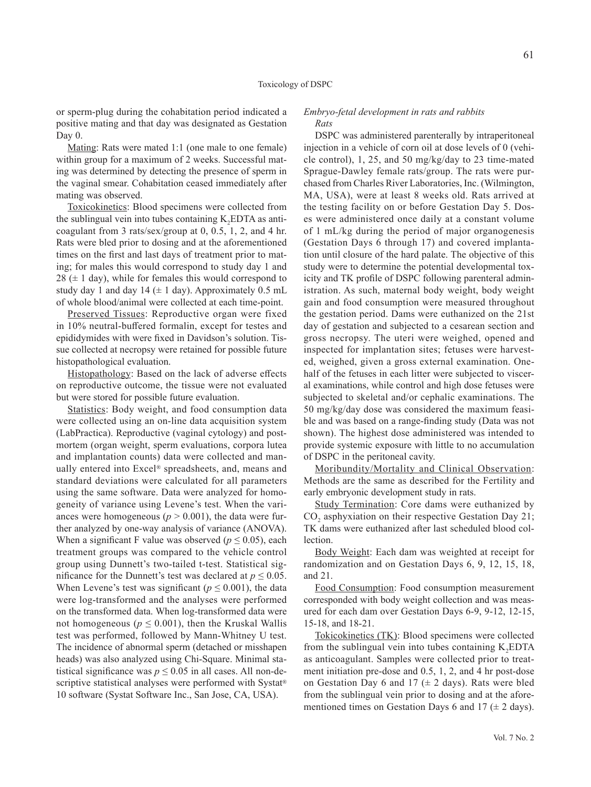or sperm-plug during the cohabitation period indicated a positive mating and that day was designated as Gestation Day 0.

Mating: Rats were mated 1:1 (one male to one female) within group for a maximum of 2 weeks. Successful mating was determined by detecting the presence of sperm in the vaginal smear. Cohabitation ceased immediately after mating was observed.

Toxicokinetics: Blood specimens were collected from the sublingual vein into tubes containing  $K_2EDTA$  as anticoagulant from 3 rats/sex/group at 0, 0.5, 1, 2, and 4 hr. Rats were bled prior to dosing and at the aforementioned times on the first and last days of treatment prior to mating; for males this would correspond to study day 1 and  $28$  ( $\pm$  1 day), while for females this would correspond to study day 1 and day 14 ( $\pm$  1 day). Approximately 0.5 mL of whole blood/animal were collected at each time-point.

Preserved Tissues: Reproductive organ were fixed in 10% neutral-buffered formalin, except for testes and epididymides with were fixed in Davidson's solution. Tissue collected at necropsy were retained for possible future histopathological evaluation.

Histopathology: Based on the lack of adverse effects on reproductive outcome, the tissue were not evaluated but were stored for possible future evaluation.

Statistics: Body weight, and food consumption data were collected using an on-line data acquisition system (LabPractica). Reproductive (vaginal cytology) and postmortem (organ weight, sperm evaluations, corpora lutea and implantation counts) data were collected and manually entered into Excel® spreadsheets, and, means and standard deviations were calculated for all parameters using the same software. Data were analyzed for homogeneity of variance using Levene's test. When the variances were homogeneous ( $p > 0.001$ ), the data were further analyzed by one-way analysis of variance (ANOVA). When a significant F value was observed ( $p \le 0.05$ ), each treatment groups was compared to the vehicle control group using Dunnett's two-tailed t-test. Statistical significance for the Dunnett's test was declared at  $p \leq 0.05$ . When Levene's test was significant ( $p \le 0.001$ ), the data were log-transformed and the analyses were performed on the transformed data. When log-transformed data were not homogeneous ( $p \leq 0.001$ ), then the Kruskal Wallis test was performed, followed by Mann-Whitney U test. The incidence of abnormal sperm (detached or misshapen heads) was also analyzed using Chi-Square. Minimal statistical significance was  $p \le 0.05$  in all cases. All non-descriptive statistical analyses were performed with Systat® 10 software (Systat Software Inc., San Jose, CA, USA).

## *Embryo-fetal development in rats and rabbits*

*Rats*

DSPC was administered parenterally by intraperitoneal injection in a vehicle of corn oil at dose levels of 0 (vehicle control), 1, 25, and 50 mg/kg/day to 23 time-mated Sprague-Dawley female rats/group. The rats were purchased from Charles River Laboratories, Inc. (Wilmington, MA, USA), were at least 8 weeks old. Rats arrived at the testing facility on or before Gestation Day 5. Doses were administered once daily at a constant volume of 1 mL/kg during the period of major organogenesis (Gestation Days 6 through 17) and covered implantation until closure of the hard palate. The objective of this study were to determine the potential developmental toxicity and TK profile of DSPC following parenteral administration. As such, maternal body weight, body weight gain and food consumption were measured throughout the gestation period. Dams were euthanized on the 21st day of gestation and subjected to a cesarean section and gross necropsy. The uteri were weighed, opened and inspected for implantation sites; fetuses were harvested, weighed, given a gross external examination. Onehalf of the fetuses in each litter were subjected to visceral examinations, while control and high dose fetuses were subjected to skeletal and/or cephalic examinations. The 50 mg/kg/day dose was considered the maximum feasible and was based on a range-finding study (Data was not shown). The highest dose administered was intended to provide systemic exposure with little to no accumulation of DSPC in the peritoneal cavity.

Moribundity/Mortality and Clinical Observation: Methods are the same as described for the Fertility and early embryonic development study in rats.

Study Termination: Core dams were euthanized by CO<sub>2</sub> asphyxiation on their respective Gestation Day 21; TK dams were euthanized after last scheduled blood collection.

Body Weight: Each dam was weighted at receipt for randomization and on Gestation Days 6, 9, 12, 15, 18, and 21.

Food Consumption: Food consumption measurement corresponded with body weight collection and was measured for each dam over Gestation Days 6-9, 9-12, 12-15, 15-18, and 18-21.

Tokicokinetics (TK): Blood specimens were collected from the sublingual vein into tubes containing  $K_2EDTA$ as anticoagulant. Samples were collected prior to treatment initiation pre-dose and 0.5, 1, 2, and 4 hr post-dose on Gestation Day 6 and 17 ( $\pm$  2 days). Rats were bled from the sublingual vein prior to dosing and at the aforementioned times on Gestation Days 6 and 17 ( $\pm$  2 days).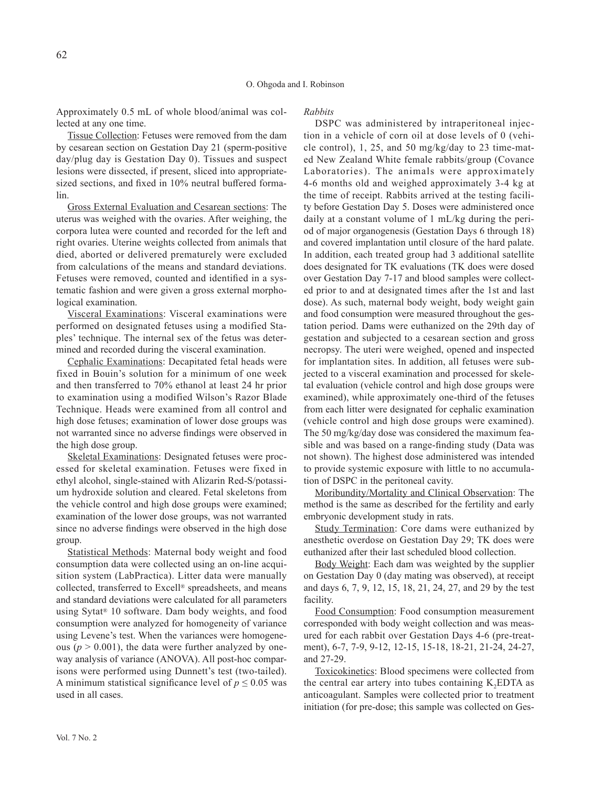Approximately 0.5 mL of whole blood/animal was collected at any one time.

Tissue Collection: Fetuses were removed from the dam by cesarean section on Gestation Day 21 (sperm-positive day/plug day is Gestation Day 0). Tissues and suspect lesions were dissected, if present, sliced into appropriatesized sections, and fixed in 10% neutral buffered formalin.

Gross External Evaluation and Cesarean sections: The uterus was weighed with the ovaries. After weighing, the corpora lutea were counted and recorded for the left and right ovaries. Uterine weights collected from animals that died, aborted or delivered prematurely were excluded from calculations of the means and standard deviations. Fetuses were removed, counted and identified in a systematic fashion and were given a gross external morphological examination.

Visceral Examinations: Visceral examinations were performed on designated fetuses using a modified Staples' technique. The internal sex of the fetus was determined and recorded during the visceral examination.

Cephalic Examinations: Decapitated fetal heads were fixed in Bouin's solution for a minimum of one week and then transferred to 70% ethanol at least 24 hr prior to examination using a modified Wilson's Razor Blade Technique. Heads were examined from all control and high dose fetuses; examination of lower dose groups was not warranted since no adverse findings were observed in the high dose group.

Skeletal Examinations: Designated fetuses were processed for skeletal examination. Fetuses were fixed in ethyl alcohol, single-stained with Alizarin Red-S/potassium hydroxide solution and cleared. Fetal skeletons from the vehicle control and high dose groups were examined; examination of the lower dose groups, was not warranted since no adverse findings were observed in the high dose group.

Statistical Methods: Maternal body weight and food consumption data were collected using an on-line acquisition system (LabPractica). Litter data were manually collected, transferred to Excell® spreadsheets, and means and standard deviations were calculated for all parameters using Sytat® 10 software. Dam body weights, and food consumption were analyzed for homogeneity of variance using Levene's test. When the variances were homogeneous ( $p > 0.001$ ), the data were further analyzed by oneway analysis of variance (ANOVA). All post-hoc comparisons were performed using Dunnett's test (two-tailed). A minimum statistical significance level of  $p \le 0.05$  was used in all cases.

#### *Rabbits*

DSPC was administered by intraperitoneal injection in a vehicle of corn oil at dose levels of 0 (vehicle control), 1, 25, and 50 mg/kg/day to 23 time-mated New Zealand White female rabbits/group (Covance Laboratories). The animals were approximately 4-6 months old and weighed approximately 3-4 kg at the time of receipt. Rabbits arrived at the testing facility before Gestation Day 5. Doses were administered once daily at a constant volume of 1 mL/kg during the period of major organogenesis (Gestation Days 6 through 18) and covered implantation until closure of the hard palate. In addition, each treated group had 3 additional satellite does designated for TK evaluations (TK does were dosed over Gestation Day 7-17 and blood samples were collected prior to and at designated times after the 1st and last dose). As such, maternal body weight, body weight gain and food consumption were measured throughout the gestation period. Dams were euthanized on the 29th day of gestation and subjected to a cesarean section and gross necropsy. The uteri were weighed, opened and inspected for implantation sites. In addition, all fetuses were subjected to a visceral examination and processed for skeletal evaluation (vehicle control and high dose groups were examined), while approximately one-third of the fetuses from each litter were designated for cephalic examination (vehicle control and high dose groups were examined). The 50 mg/kg/day dose was considered the maximum feasible and was based on a range-finding study (Data was not shown). The highest dose administered was intended to provide systemic exposure with little to no accumulation of DSPC in the peritoneal cavity.

Moribundity/Mortality and Clinical Observation: The method is the same as described for the fertility and early embryonic development study in rats.

Study Termination: Core dams were euthanized by anesthetic overdose on Gestation Day 29; TK does were euthanized after their last scheduled blood collection.

Body Weight: Each dam was weighted by the supplier on Gestation Day 0 (day mating was observed), at receipt and days 6, 7, 9, 12, 15, 18, 21, 24, 27, and 29 by the test facility.

Food Consumption: Food consumption measurement corresponded with body weight collection and was measured for each rabbit over Gestation Days 4-6 (pre-treatment), 6-7, 7-9, 9-12, 12-15, 15-18, 18-21, 21-24, 24-27, and 27-29.

Toxicokinetics: Blood specimens were collected from the central ear artery into tubes containing  $K_2EDTA$  as anticoagulant. Samples were collected prior to treatment initiation (for pre-dose; this sample was collected on Ges-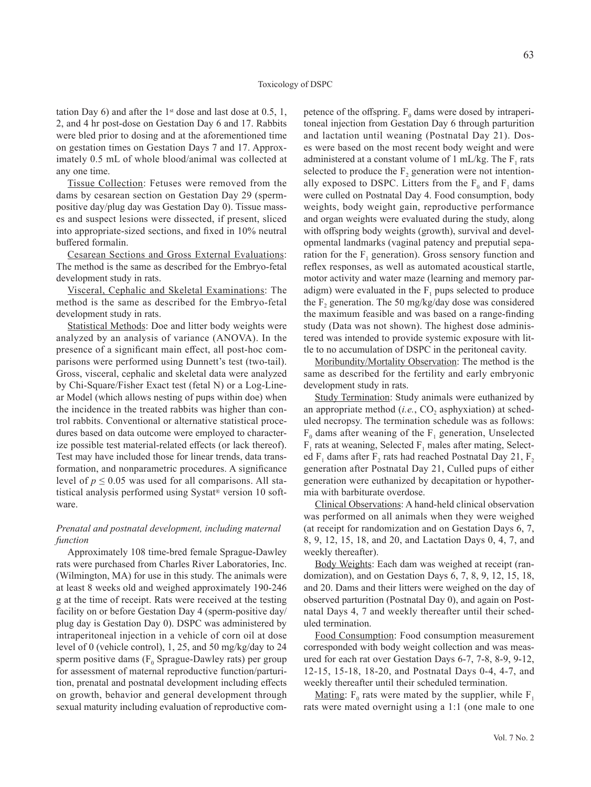tation Day 6) and after the 1<sup>st</sup> dose and last dose at 0.5, 1, 2, and 4 hr post-dose on Gestation Day 6 and 17. Rabbits were bled prior to dosing and at the aforementioned time on gestation times on Gestation Days 7 and 17. Approximately 0.5 mL of whole blood/animal was collected at any one time.

Tissue Collection: Fetuses were removed from the dams by cesarean section on Gestation Day 29 (spermpositive day/plug day was Gestation Day 0). Tissue masses and suspect lesions were dissected, if present, sliced into appropriate-sized sections, and fixed in 10% neutral buffered formalin.

Cesarean Sections and Gross External Evaluations: The method is the same as described for the Embryo-fetal development study in rats.

Visceral, Cephalic and Skeletal Examinations: The method is the same as described for the Embryo-fetal development study in rats.

Statistical Methods: Doe and litter body weights were analyzed by an analysis of variance (ANOVA). In the presence of a significant main effect, all post-hoc comparisons were performed using Dunnett's test (two-tail). Gross, visceral, cephalic and skeletal data were analyzed by Chi-Square/Fisher Exact test (fetal N) or a Log-Linear Model (which allows nesting of pups within doe) when the incidence in the treated rabbits was higher than control rabbits. Conventional or alternative statistical procedures based on data outcome were employed to characterize possible test material-related effects (or lack thereof). Test may have included those for linear trends, data transformation, and nonparametric procedures. A significance level of  $p \le 0.05$  was used for all comparisons. All statistical analysis performed using Systat® version 10 software.

#### *Prenatal and postnatal development, including maternal function*

Approximately 108 time-bred female Sprague-Dawley rats were purchased from Charles River Laboratories, Inc. (Wilmington, MA) for use in this study. The animals were at least 8 weeks old and weighed approximately 190-246 g at the time of receipt. Rats were received at the testing facility on or before Gestation Day 4 (sperm-positive day/ plug day is Gestation Day 0). DSPC was administered by intraperitoneal injection in a vehicle of corn oil at dose level of 0 (vehicle control), 1, 25, and 50 mg/kg/day to 24 sperm positive dams  $(F_0$  Sprague-Dawley rats) per group for assessment of maternal reproductive function/parturition, prenatal and postnatal development including effects on growth, behavior and general development through sexual maturity including evaluation of reproductive competence of the offspring.  $F_0$  dams were dosed by intraperitoneal injection from Gestation Day 6 through parturition and lactation until weaning (Postnatal Day 21). Doses were based on the most recent body weight and were administered at a constant volume of 1 mL/kg. The  $F_1$  rats selected to produce the  $F_2$  generation were not intentionally exposed to DSPC. Litters from the  $F_0$  and  $F_1$  dams were culled on Postnatal Day 4. Food consumption, body weights, body weight gain, reproductive performance and organ weights were evaluated during the study, along with offspring body weights (growth), survival and developmental landmarks (vaginal patency and preputial separation for the  $F_1$  generation). Gross sensory function and reflex responses, as well as automated acoustical startle, motor activity and water maze (learning and memory paradigm) were evaluated in the  $F_1$  pups selected to produce the  $F<sub>2</sub>$  generation. The 50 mg/kg/day dose was considered the maximum feasible and was based on a range-finding study (Data was not shown). The highest dose administered was intended to provide systemic exposure with little to no accumulation of DSPC in the peritoneal cavity.

Moribundity/Mortality Observation: The method is the same as described for the fertility and early embryonic development study in rats.

Study Termination: Study animals were euthanized by an appropriate method (*i.e.*, CO<sub>2</sub> asphyxiation) at scheduled necropsy. The termination schedule was as follows:  $F_0$  dams after weaning of the  $F_1$  generation, Unselected  $F_1$  rats at weaning, Selected  $F_1$  males after mating, Selected  $F_1$  dams after  $F_2$  rats had reached Postnatal Day 21,  $F_2$ generation after Postnatal Day 21, Culled pups of either generation were euthanized by decapitation or hypothermia with barbiturate overdose.

Clinical Observations: A hand-held clinical observation was performed on all animals when they were weighed (at receipt for randomization and on Gestation Days 6, 7, 8, 9, 12, 15, 18, and 20, and Lactation Days 0, 4, 7, and weekly thereafter).

Body Weights: Each dam was weighed at receipt (randomization), and on Gestation Days 6, 7, 8, 9, 12, 15, 18, and 20. Dams and their litters were weighed on the day of observed parturition (Postnatal Day 0), and again on Postnatal Days 4, 7 and weekly thereafter until their scheduled termination.

Food Consumption: Food consumption measurement corresponded with body weight collection and was measured for each rat over Gestation Days 6-7, 7-8, 8-9, 9-12, 12-15, 15-18, 18-20, and Postnatal Days 0-4, 4-7, and weekly thereafter until their scheduled termination.

Mating:  $F_0$  rats were mated by the supplier, while  $F_1$ rats were mated overnight using a 1:1 (one male to one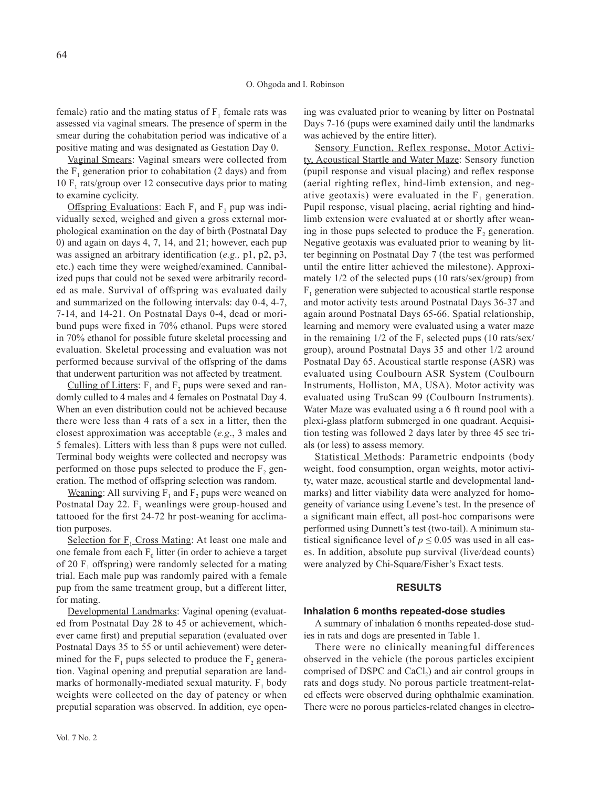female) ratio and the mating status of  $F_1$  female rats was assessed via vaginal smears. The presence of sperm in the smear during the cohabitation period was indicative of a positive mating and was designated as Gestation Day 0.

Vaginal Smears: Vaginal smears were collected from the  $F_1$  generation prior to cohabitation (2 days) and from 10  $F_1$  rats/group over 12 consecutive days prior to mating to examine cyclicity.

Offspring Evaluations: Each  $F_1$  and  $F_2$  pup was individually sexed, weighed and given a gross external morphological examination on the day of birth (Postnatal Day 0) and again on days 4, 7, 14, and 21; however, each pup was assigned an arbitrary identification (*e.g.,* p1, p2, p3, etc.) each time they were weighed/examined. Cannibalized pups that could not be sexed were arbitrarily recorded as male. Survival of offspring was evaluated daily and summarized on the following intervals: day 0-4, 4-7, 7-14, and 14-21. On Postnatal Days 0-4, dead or moribund pups were fixed in 70% ethanol. Pups were stored in 70% ethanol for possible future skeletal processing and evaluation. Skeletal processing and evaluation was not performed because survival of the offspring of the dams that underwent parturition was not affected by treatment.

Culling of Litters:  $F_1$  and  $F_2$  pups were sexed and randomly culled to 4 males and 4 females on Postnatal Day 4. When an even distribution could not be achieved because there were less than 4 rats of a sex in a litter, then the closest approximation was acceptable (*e.g*., 3 males and 5 females). Litters with less than 8 pups were not culled. Terminal body weights were collected and necropsy was performed on those pups selected to produce the  $F<sub>2</sub>$  generation. The method of offspring selection was random.

Weaning: All surviving  $F_1$  and  $F_2$  pups were weaned on Postnatal Day 22.  $F_1$  weanlings were group-housed and tattooed for the first 24-72 hr post-weaning for acclimation purposes.

Selection for  $F_1$  Cross Mating: At least one male and one female from each  $F_0$  litter (in order to achieve a target of 20  $F_1$  offspring) were randomly selected for a mating trial. Each male pup was randomly paired with a female pup from the same treatment group, but a different litter, for mating.

Developmental Landmarks: Vaginal opening (evaluated from Postnatal Day 28 to 45 or achievement, whichever came first) and preputial separation (evaluated over Postnatal Days 35 to 55 or until achievement) were determined for the  $F_1$  pups selected to produce the  $F_2$  generation. Vaginal opening and preputial separation are landmarks of hormonally-mediated sexual maturity.  $F_1$  body weights were collected on the day of patency or when preputial separation was observed. In addition, eye opening was evaluated prior to weaning by litter on Postnatal Days 7-16 (pups were examined daily until the landmarks was achieved by the entire litter).

Sensory Function, Reflex response, Motor Activity, Acoustical Startle and Water Maze: Sensory function (pupil response and visual placing) and reflex response (aerial righting reflex, hind-limb extension, and negative geotaxis) were evaluated in the  $F_1$  generation. Pupil response, visual placing, aerial righting and hindlimb extension were evaluated at or shortly after weaning in those pups selected to produce the  $F<sub>2</sub>$  generation. Negative geotaxis was evaluated prior to weaning by litter beginning on Postnatal Day 7 (the test was performed until the entire litter achieved the milestone). Approximately 1/2 of the selected pups (10 rats/sex/group) from  $F_1$  generation were subjected to acoustical startle response and motor activity tests around Postnatal Days 36-37 and again around Postnatal Days 65-66. Spatial relationship, learning and memory were evaluated using a water maze in the remaining  $1/2$  of the  $F_1$  selected pups (10 rats/sex/ group), around Postnatal Days 35 and other 1/2 around Postnatal Day 65. Acoustical startle response (ASR) was evaluated using Coulbourn ASR System (Coulbourn Instruments, Holliston, MA, USA). Motor activity was evaluated using TruScan 99 (Coulbourn Instruments). Water Maze was evaluated using a 6 ft round pool with a plexi-glass platform submerged in one quadrant. Acquisition testing was followed 2 days later by three 45 sec trials (or less) to assess memory.

Statistical Methods: Parametric endpoints (body weight, food consumption, organ weights, motor activity, water maze, acoustical startle and developmental landmarks) and litter viability data were analyzed for homogeneity of variance using Levene's test. In the presence of a significant main effect, all post-hoc comparisons were performed using Dunnett's test (two-tail). A minimum statistical significance level of  $p \le 0.05$  was used in all cases. In addition, absolute pup survival (live/dead counts) were analyzed by Chi-Square/Fisher's Exact tests.

#### **RESULTS**

#### **Inhalation 6 months repeated-dose studies**

A summary of inhalation 6 months repeated-dose studies in rats and dogs are presented in Table 1.

There were no clinically meaningful differences observed in the vehicle (the porous particles excipient comprised of DSPC and  $CaCl<sub>2</sub>$ ) and air control groups in rats and dogs study. No porous particle treatment-related effects were observed during ophthalmic examination. There were no porous particles-related changes in electro-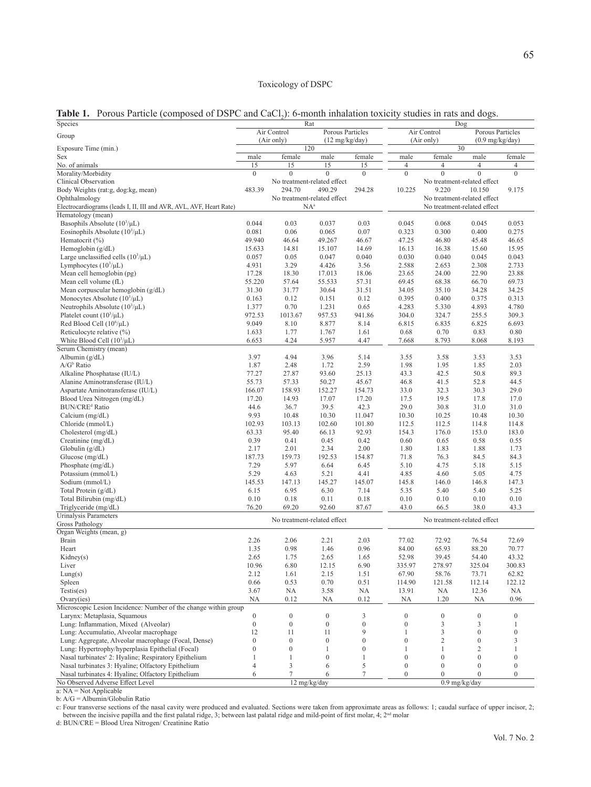### Toxicology of DSPC

|  | <b>Table 1.</b> Porous Particle (composed of DSPC and CaCl <sub>2</sub> ): 6-month inhalation toxicity studies in rats and dogs. |  |  |
|--|----------------------------------------------------------------------------------------------------------------------------------|--|--|
|  |                                                                                                                                  |  |  |

| Species                                                             |                  | Rat              |                             |                | Dog              |                             |                             |                  |
|---------------------------------------------------------------------|------------------|------------------|-----------------------------|----------------|------------------|-----------------------------|-----------------------------|------------------|
| Group                                                               |                  | Air Control      | Porous Particles            |                |                  | Air Control                 | Porous Particles            |                  |
|                                                                     |                  | (Air only)       | $(12 \text{ mg/kg/day})$    |                |                  | (Air only)                  | $(0.9 \text{ mg/kg/day})$   |                  |
| Exposure Time (min.)                                                |                  |                  | 120                         |                |                  |                             | 30                          |                  |
| Sex                                                                 | male             | female           | male                        | female         | male             | female                      | male                        | female           |
| No. of animals                                                      | 15               | 15               | 15                          | 15             | 4                | $\overline{4}$              | $\overline{4}$              | 4                |
| Morality/Morbidity                                                  | $\theta$         | $\Omega$         | $\theta$                    | $\theta$       | $\theta$         | $\overline{0}$              | $\theta$                    | $\mathbf{0}$     |
| Clinical Observation                                                |                  |                  | No treatment-related effect |                |                  |                             | No treatment-related effect |                  |
| Body Weights (rat:g, dog:kg, mean)                                  | 483.39           | 294.70           | 490.29                      | 294.28         | 10.225           | 9.220                       | 10.150                      | 9.175            |
| Ophthalmology                                                       |                  |                  | No treatment-related effect |                |                  |                             | No treatment-related effect |                  |
| Electrocardiograms (leads I, II, III and AVR, AVL, AVF, Heart Rate) |                  | $NA^a$           |                             |                |                  |                             | No treatment-related effect |                  |
| Hematology (mean)                                                   |                  |                  |                             |                |                  |                             |                             |                  |
| Basophils Absolute $(10^3/\mu L)$                                   | 0.044            | 0.03             | 0.037                       | 0.03           | 0.045            | 0.068                       | 0.045                       | 0.053            |
| Eosinophils Absolute $(10^3/\mu L)$                                 | 0.081            | 0.06             | 0.065                       | 0.07           | 0.323            | 0.300                       | 0.400                       | 0.275            |
| Hematocrit (%)                                                      | 49.940           | 46.64            | 49.267                      | 46.67          | 47.25            | 46.80                       | 45.48                       | 46.65            |
| Hemoglobin $(g/dL)$<br>Large unclassified cells $(10^3/\mu L)$      | 15.633<br>0.057  | 14.81<br>0.05    | 15.107<br>0.047             | 14.69<br>0.040 | 16.13<br>0.030   | 16.38<br>0.040              | 15.60<br>0.045              | 15.95<br>0.043   |
|                                                                     |                  | 3.29             | 4.426                       |                |                  |                             |                             |                  |
| Lymphocytes $(10^3/\mu L)$                                          | 4.931<br>17.28   | 18.30            | 17.013                      | 3.56<br>18.06  | 2.588<br>23.65   | 2.653<br>24.00              | 2.308<br>22.90              | 2.733<br>23.88   |
| Mean cell hemoglobin (pg)                                           |                  | 57.64            | 55.533                      |                | 69.45            |                             |                             |                  |
| Mean cell volume (fL)<br>Mean corpuscular hemoglobin (g/dL)         | 55.220<br>31.30  | 31.77            | 30.64                       | 57.31<br>31.51 | 34.05            | 68.38<br>35.10              | 66.70<br>34.28              | 69.73<br>34.25   |
| Monocytes Absolute $(10^3/\mu L)$                                   | 0.163            | 0.12             | 0.151                       | 0.12           | 0.395            | 0.400                       | 0.375                       | 0.313            |
| Neutrophils Absolute $(10^3/\mu L)$                                 | 1.377            | 0.70             | 1.231                       | 0.65           | 4.283            | 5.330                       | 4.893                       | 4.780            |
| Platelet count $(10^3/\mu L)$                                       | 972.53           | 1013.67          | 957.53                      | 941.86         | 304.0            | 324.7                       | 255.5                       | 309.3            |
| Red Blood Cell (10 <sup>6</sup> /µL)                                | 9.049            | 8.10             | 8.877                       | 8.14           | 6.815            | 6.835                       | 6.825                       | 6.693            |
| Reticulocyte relative (%)                                           | 1.633            | 1.77             | 1.767                       | 1.61           | 0.68             | 0.70                        | 0.83                        | 0.80             |
| White Blood Cell $(10^3/\mu L)$                                     | 6.653            | 4.24             | 5.957                       | 4.47           | 7.668            | 8.793                       | 8.068                       | 8.193            |
| Serum Chemistry (mean)                                              |                  |                  |                             |                |                  |                             |                             |                  |
| Albumin (g/dL)                                                      | 3.97             | 4.94             | 3.96                        | 5.14           | 3.55             | 3.58                        | 3.53                        | 3.53             |
| $A/G^b$ Ratio                                                       | 1.87             | 2.48             | 1.72                        | 2.59           | 1.98             | 1.95                        | 1.85                        | 2.03             |
| Alkaline Phosphatase (IU/L)                                         | 77.27            | 27.87            | 93.60                       | 25.13          | 43.3             | 42.5                        | 50.8                        | 89.3             |
| Alanine Aminotransferase (IU/L)                                     | 55.73            | 57.33            | 50.27                       | 45.67          | 46.8             | 41.5                        | 52.8                        | 44.5             |
| Aspartate Aminotransferase (IU/L)                                   | 166.07           | 158.93           | 152.27                      | 154.73         | 33.0             | 32.3                        | 30.3                        | 29.0             |
| Blood Urea Nitrogen (mg/dL)                                         | 17.20            | 14.93            | 17.07                       | 17.20          | 17.5             | 19.5                        | 17.8                        | 17.0             |
| BUN/CRE <sup>d</sup> Ratio                                          | 44.6             | 36.7             | 39.5                        | 42.3           | 29.0             | 30.8                        | 31.0                        | 31.0             |
| Calcium (mg/dL)                                                     | 9.93             | 10.48            | 10.30                       | 11.047         | 10.30            | 10.25                       | 10.48                       | 10.30            |
| Chloride (mmol/L)                                                   | 102.93           | 103.13           | 102.60                      | 101.80         | 112.5            | 112.5                       | 114.8                       | 114.8            |
| Cholesterol (mg/dL)                                                 | 63.33            | 95.40            | 66.13                       | 92.93          | 154.3            | 176.0                       | 153.0                       | 183.0            |
| Creatinine (mg/dL)                                                  | 0.39             | 0.41             | 0.45                        | 0.42           | 0.60             | 0.65                        | 0.58                        | 0.55             |
| Globulin $(g/dL)$                                                   | 2.17             | 2.01             | 2.34                        | 2.00           | 1.80             | 1.83                        | 1.88                        | 1.73             |
| Glucose (mg/dL)                                                     | 187.73           | 159.73           | 192.53                      | 154.87         | 71.8             | 76.3                        | 84.5                        | 84.3             |
| Phosphate (mg/dL)                                                   | 7.29             | 5.97             | 6.64                        | 6.45           | 5.10             | 4.75                        | 5.18                        | 5.15             |
| Potassium (mmol/L)                                                  | 5.29             | 4.63             | 5.21                        | 4.41           | 4.85             | 4.60                        | 5.05                        | 4.75             |
| Sodium (mmol/L)                                                     | 145.53           | 147.13           | 145.27                      | 145.07         | 145.8            | 146.0                       | 146.8                       | 147.3            |
| Total Protein (g/dL)                                                | 6.15             | 6.95             | 6.30                        | 7.14           | 5.35             | 5.40                        | 5.40                        | 5.25             |
| Total Bilirubin (mg/dL)                                             | 0.10             | 0.18             | 0.11                        | 0.18           | 0.10             | 0.10                        | 0.10                        | 0.10             |
| Triglyceride (mg/dL)                                                | 76.20            | 69.20            | 92.60                       | 87.67          | 43.0             | 66.5                        | 38.0                        | 43.3             |
| Urinalysis Parameters                                               |                  |                  | No treatment-related effect |                |                  | No treatment-related effect |                             |                  |
| Gross Pathology                                                     |                  |                  |                             |                |                  |                             |                             |                  |
| Organ Weights (mean, g)                                             |                  |                  |                             |                |                  |                             |                             |                  |
| Brain                                                               | 2.26             | 2.06             | 2.21                        | 2.03           | 77.02            | 72.92                       | 76.54                       | 72.69            |
| Heart                                                               | 1.35             | 0.98             | 1.46                        | 0.96           | 84.00            | 65.93                       | 88.20                       | 70.77            |
| Kidney(s)                                                           | 2.65             | 1.75             | 2.65                        | 1.65           | 52.98            | 39.45                       | 54.40                       | 43.32            |
| Liver                                                               | 10.96            | 6.80             | 12.15                       | 6.90           | 335.97           | 278.97                      | 325.04                      | 300.83           |
| Lung(s)                                                             | 2.12             | 1.61             | 2.15                        | 1.51           | 67.90            | 58.76                       | 73.71                       | 62.82            |
| Spleen                                                              | 0.66             | 0.53             | 0.70                        | 0.51           | 114.90           | 121.58                      | 112.14                      | 122.12           |
| Testis(es)                                                          | 3.67             | NA               | 3.58                        | NA             | 13.91            | NA                          | 12.36                       | <b>NA</b>        |
| Ovary(ies)                                                          | NA               | 0.12             | NA                          | 0.12           | NA               | 1.20                        | <b>NA</b>                   | 0.96             |
| Microscopic Lesion Incidence: Number of the change within group     |                  |                  |                             |                |                  |                             |                             |                  |
| Larynx: Metaplasia, Squamous                                        | $\boldsymbol{0}$ | $\boldsymbol{0}$ | $\boldsymbol{0}$            | $\mathfrak{Z}$ | $\boldsymbol{0}$ | $\boldsymbol{0}$            | $\boldsymbol{0}$            | $\boldsymbol{0}$ |
| Lung: Inflammation, Mixed (Alveolar)                                | $\boldsymbol{0}$ | $\boldsymbol{0}$ | $\boldsymbol{0}$            | $\mathbf{0}$   | $\boldsymbol{0}$ | 3                           | 3                           | 1                |
| Lung: Accumulatio, Alveolar macrophage                              | 12               | 11               | 11                          | 9              | 1                | 3                           | $\boldsymbol{0}$            | $\boldsymbol{0}$ |
| Lung: Aggregate, Alveolar macrophage (Focal, Dense)                 | $\boldsymbol{0}$ | $\boldsymbol{0}$ | $\boldsymbol{0}$            | $\mathbf{0}$   | $\boldsymbol{0}$ | $\overline{c}$              | $\boldsymbol{0}$            | 3                |
| Lung: Hypertrophy/hyperplasia Epithelial (Focal)                    | $\boldsymbol{0}$ | $\boldsymbol{0}$ | $\mathbf{1}$                | $\mathbf{0}$   | 1                | $\mathbf{1}$                | $\mathfrak{2}$              | 1                |
| Nasal turbinates <sup>c</sup> 2: Hyaline; Respiratory Epithelium    | $\mathbf{1}$     | $\mathbf{1}$     | $\boldsymbol{0}$            | $\mathbf{1}$   | $\boldsymbol{0}$ | $\boldsymbol{0}$            | $\boldsymbol{0}$            | $\boldsymbol{0}$ |
| Nasal turbinates 3: Hyaline; Olfactory Epithelium                   | $\overline{4}$   | 3                | 6                           | 5              | $\boldsymbol{0}$ | $\boldsymbol{0}$            | $\boldsymbol{0}$            | $\boldsymbol{0}$ |
| Nasal turbinates 4: Hyaline; Olfactory Epithelium                   | 6                | 7                | 6                           | $\tau$         | $\boldsymbol{0}$ | $\mathbf{0}$                | $\boldsymbol{0}$            | $\boldsymbol{0}$ |
| No Observed Adverse Effect Level                                    |                  | 12 mg/kg/day     |                             |                |                  |                             | $0.9$ mg/kg/day             |                  |

a: NA = Not Applicable

b: A/G = Albumin/Globulin Ratio

c: Four transverse sections of the nasal cavity were produced and evaluated. Sections were taken from approximate areas as follows: 1; caudal surface of upper incisor, 2; between the incisive papilla and the first palatal ridge, 3; between last palatal ridge and mild-point of first molar, 4;  $2<sup>nd</sup>$  molar

d: BUN/CRE = Blood Urea Nitrogen/ Creatinine Ratio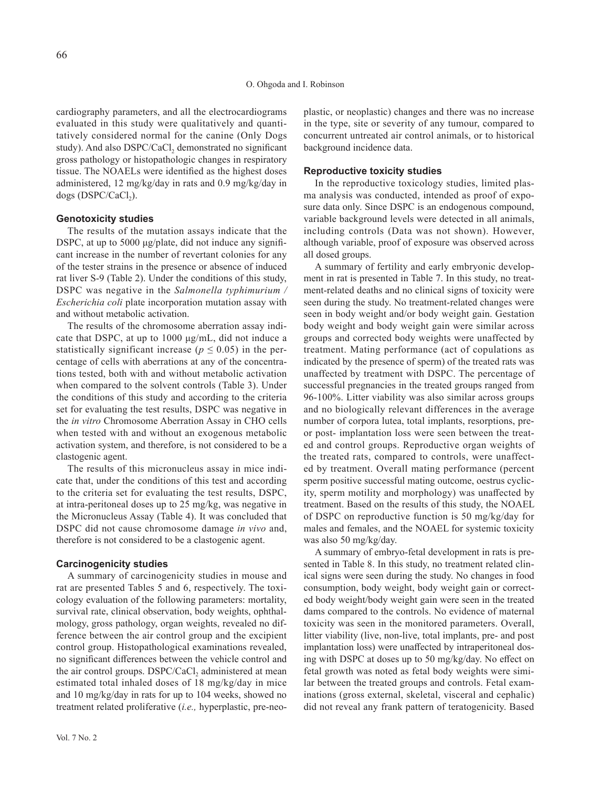cardiography parameters, and all the electrocardiograms evaluated in this study were qualitatively and quantitatively considered normal for the canine (Only Dogs study). And also DSPC/CaCl<sub>2</sub> demonstrated no significant gross pathology or histopathologic changes in respiratory tissue. The NOAELs were identified as the highest doses administered, 12 mg/kg/day in rats and 0.9 mg/kg/day in dogs ( $DSPC/CaCl<sub>2</sub>$ ).

#### **Genotoxicity studies**

The results of the mutation assays indicate that the DSPC, at up to 5000 μg/plate, did not induce any significant increase in the number of revertant colonies for any of the tester strains in the presence or absence of induced rat liver S-9 (Table 2). Under the conditions of this study, DSPC was negative in the *Salmonella typhimurium / Escherichia coli* plate incorporation mutation assay with and without metabolic activation.

The results of the chromosome aberration assay indicate that DSPC, at up to 1000 μg/mL, did not induce a statistically significant increase ( $p \leq 0.05$ ) in the percentage of cells with aberrations at any of the concentrations tested, both with and without metabolic activation when compared to the solvent controls (Table 3). Under the conditions of this study and according to the criteria set for evaluating the test results, DSPC was negative in the *in vitro* Chromosome Aberration Assay in CHO cells when tested with and without an exogenous metabolic activation system, and therefore, is not considered to be a clastogenic agent.

The results of this micronucleus assay in mice indicate that, under the conditions of this test and according to the criteria set for evaluating the test results, DSPC, at intra-peritoneal doses up to 25 mg/kg, was negative in the Micronucleus Assay (Table 4). It was concluded that DSPC did not cause chromosome damage *in vivo* and, therefore is not considered to be a clastogenic agent.

#### **Carcinogenicity studies**

A summary of carcinogenicity studies in mouse and rat are presented Tables 5 and 6, respectively. The toxicology evaluation of the following parameters: mortality, survival rate, clinical observation, body weights, ophthalmology, gross pathology, organ weights, revealed no difference between the air control group and the excipient control group. Histopathological examinations revealed, no significant differences between the vehicle control and the air control groups. DSPC/CaCl, administered at mean estimated total inhaled doses of 18 mg/kg/day in mice and 10 mg/kg/day in rats for up to 104 weeks, showed no treatment related proliferative (*i.e.,* hyperplastic, pre-neoplastic, or neoplastic) changes and there was no increase in the type, site or severity of any tumour, compared to concurrent untreated air control animals, or to historical background incidence data.

#### **Reproductive toxicity studies**

In the reproductive toxicology studies, limited plasma analysis was conducted, intended as proof of exposure data only. Since DSPC is an endogenous compound, variable background levels were detected in all animals, including controls (Data was not shown). However, although variable, proof of exposure was observed across all dosed groups.

A summary of fertility and early embryonic development in rat is presented in Table 7. In this study, no treatment-related deaths and no clinical signs of toxicity were seen during the study. No treatment-related changes were seen in body weight and/or body weight gain. Gestation body weight and body weight gain were similar across groups and corrected body weights were unaffected by treatment. Mating performance (act of copulations as indicated by the presence of sperm) of the treated rats was unaffected by treatment with DSPC. The percentage of successful pregnancies in the treated groups ranged from 96-100%. Litter viability was also similar across groups and no biologically relevant differences in the average number of corpora lutea, total implants, resorptions, preor post- implantation loss were seen between the treated and control groups. Reproductive organ weights of the treated rats, compared to controls, were unaffected by treatment. Overall mating performance (percent sperm positive successful mating outcome, oestrus cyclicity, sperm motility and morphology) was unaffected by treatment. Based on the results of this study, the NOAEL of DSPC on reproductive function is 50 mg/kg/day for males and females, and the NOAEL for systemic toxicity was also 50 mg/kg/day.

A summary of embryo-fetal development in rats is presented in Table 8. In this study, no treatment related clinical signs were seen during the study. No changes in food consumption, body weight, body weight gain or corrected body weight/body weight gain were seen in the treated dams compared to the controls. No evidence of maternal toxicity was seen in the monitored parameters. Overall, litter viability (live, non-live, total implants, pre- and post implantation loss) were unaffected by intraperitoneal dosing with DSPC at doses up to 50 mg/kg/day. No effect on fetal growth was noted as fetal body weights were similar between the treated groups and controls. Fetal examinations (gross external, skeletal, visceral and cephalic) did not reveal any frank pattern of teratogenicity. Based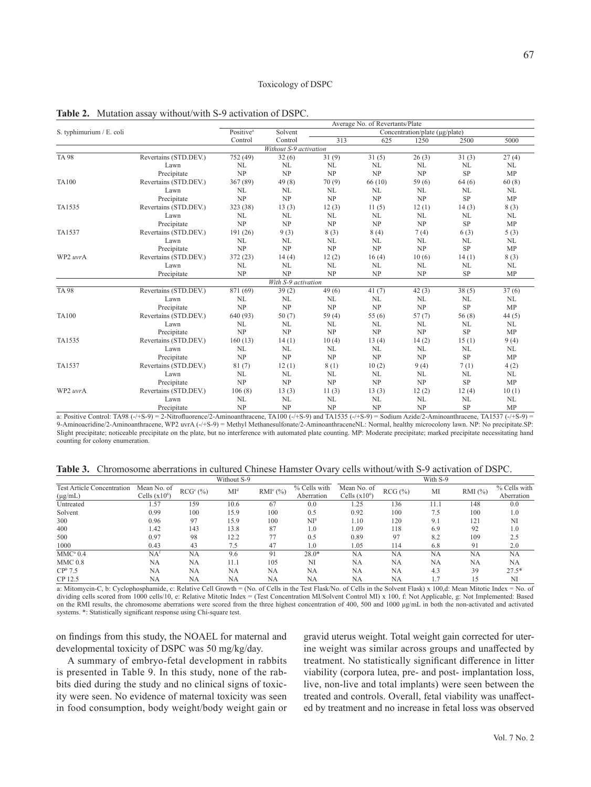#### Toxicology of DSPC

|                          |                       |                       |                        |       | Average No. of Revertants/Plate |                                |           |           |
|--------------------------|-----------------------|-----------------------|------------------------|-------|---------------------------------|--------------------------------|-----------|-----------|
| S. typhimurium / E. coli |                       | Positive <sup>a</sup> | Solvent                |       |                                 | Concentration/plate (µg/plate) |           |           |
|                          |                       | Control               | Control                | 313   | 625                             | 1250                           | 2500      | 5000      |
|                          |                       |                       | Without S-9 activation |       |                                 |                                |           |           |
| <b>TA98</b>              | Revertains (STD.DEV.) | 752 (49)              | 32(6)                  | 31(9) | 31(5)                           | 26(3)                          | 31(3)     | 27(4)     |
|                          | Lawn                  | NL                    | NL                     | NL    | NL                              | NL                             | NL        | NL        |
|                          | Precipitate           | NP                    | NP                     | NP    | NP                              | NP                             | <b>SP</b> | MP        |
| <b>TA100</b>             | Revertains (STD.DEV.) | 367 (89)              | 49(8)                  | 70(9) | 66 (10)                         | 59(6)                          | 64(6)     | 60(8)     |
|                          | Lawn                  | <b>NL</b>             | NL                     | NL    | NL                              | NL                             | NL        | NL        |
|                          | Precipitate           | NP                    | NP                     | NP    | NP                              | NP                             | <b>SP</b> | MP        |
| TA1535                   | Revertains (STD.DEV.) | 323 (38)              | 13(3)                  | 12(3) | 11(5)                           | 12(1)                          | 14(3)     | 8(3)      |
|                          | Lawn                  | NL                    | NL                     | NL    | NL                              | NL                             | NL        | NL        |
|                          | Precipitate           | NP                    | NP                     | NP    | NP                              | NP                             | <b>SP</b> | <b>MP</b> |
| TA1537                   | Revertains (STD.DEV.) | 191 (26)              | 9(3)                   | 8(3)  | 8(4)                            | 7(4)                           | 6(3)      | 5(3)      |
|                          | Lawn                  | NL                    | NL                     | NL    | NL                              | NL                             | NL        | NL        |
|                          | Precipitate           | NP                    | NP                     | NP    | NP                              | NP                             | <b>SP</b> | <b>MP</b> |
| WP2 uvrA                 | Revertains (STD.DEV.) | 372 (23)              | 14(4)                  | 12(2) | 16(4)                           | 10(6)                          | 14(1)     | 8(3)      |
|                          | Lawn                  | <b>NL</b>             | NL                     | NL    | NL                              | <b>NL</b>                      | NL        | NL        |
|                          | Precipitate           | NP                    | NP                     | NP    | NP                              | NP                             | <b>SP</b> | MP        |
|                          |                       |                       | With S-9 activation    |       |                                 |                                |           |           |
| <b>TA98</b>              | Revertains (STD.DEV.) | 871 (69)              | 39(2)                  | 49(6) | 41(7)                           | 42(3)                          | 38(5)     | 37(6)     |
|                          | Lawn                  | NL                    | NL                     | NL    | NL                              | NL                             | NL        | NL        |
|                          | Precipitate           | NP                    | NP                     | NP    | NP                              | NP                             | <b>SP</b> | <b>MP</b> |
| <b>TA100</b>             | Revertains (STD.DEV.) | 640 (93)              | 50(7)                  | 59(4) | 55(6)                           | 57(7)                          | 56(8)     | 44 (5)    |
|                          | Lawn                  | <b>NL</b>             | NL                     | NL    | NL                              | NL                             | NL        | NL        |
|                          | Precipitate           | NP                    | NP                     | NP    | NP                              | NP                             | <b>SP</b> | <b>MP</b> |
| TA1535                   | Revertains (STD.DEV.) | 160(13)               | 14(1)                  | 10(4) | 13(4)                           | 14(2)                          | 15(1)     | 9(4)      |
|                          | Lawn                  | NL                    | NL                     | NL    | NL                              | NL                             | NL        | NL        |
|                          | Precipitate           | NP                    | NP                     | NP    | NP                              | NP                             | SP        | <b>MP</b> |
| TA1537                   | Revertains (STD.DEV.) | 81(7)                 | 12(1)                  | 8(1)  | 10(2)                           | 9(4)                           | 7(1)      | 4(2)      |
|                          | Lawn                  | NL                    | NL                     | NL    | NL                              | NL                             | NL        | NL        |
|                          | Precipitate           | NP                    | NP                     | NP    | NP                              | NP                             | <b>SP</b> | <b>MP</b> |
| WP2 uvrA                 | Revertains (STD.DEV.) | 106(8)                | 13(3)                  | 11(3) | 13(3)                           | 12(2)                          | 12(4)     | 10(1)     |
|                          | Lawn                  | NL                    | NL                     | NL    | NL                              | NL                             | NL        | NL        |
|                          | Precipitate           | NP                    | NP                     | NP    | NP                              | NP                             | <b>SP</b> | <b>MP</b> |

**Table 2.** Mutation assay without/with S-9 activation of DSPC.

a: Positive Control: TA98 (-/+S-9) = 2-Nitrofluorence/2-Aminoanthracene, TA100 (-/+S-9) and TA1535 (-/+S-9) = Sodium Azide/2-Aminoanthracene, TA1537 (-/+S-9) = 9-Aminoacridine/2-Aminoanthracene, WP2 uvrA (-/+S-9) = Methyl Methanesulfonate/2-AminoanthraceneNL: Normal, healthy microcolony lawn. NP: No precipitate.SP: Slight precipitate; noticeable precipitate on the plate, but no interference with automated plate counting. MP: Moderate precipitate; marked precipitate necessitating hand counting for colony enumeration.

**Table 3.** Chromosome aberrations in cultured Chinese Hamster Ovary cells without/with S-9 activation of DSPC.

|                                                   |                                |                      | Without S-9     |             |                            |                                |           | With S-9 |           |                            |
|---------------------------------------------------|--------------------------------|----------------------|-----------------|-------------|----------------------------|--------------------------------|-----------|----------|-----------|----------------------------|
| <b>Test Article Concentration</b><br>$(\mu g/mL)$ | Mean No. of<br>Cells $(x10^6)$ | RCG <sup>c</sup> (%) | MI <sup>d</sup> | $RMI^c$ (%) | % Cells with<br>Aberration | Mean No. of<br>Cells $(x10^6)$ | RCG (%)   | MI       | RMI(%)    | % Cells with<br>Aberration |
| Untreated                                         | 57ء                            | 159                  | 10.6            | 67          | 0.0                        | 1.25                           | 136       | 11.1     | 148       | 0.0                        |
| Solvent                                           | 0.99                           | 100                  | 15.9            | 100         | 0.5                        | 0.92                           | 100       | 7.5      | 100       | 1.0                        |
| 300                                               | 0.96                           | 97                   | 15.9            | 100         | NIs                        | 1.10                           | 120       | 9.1      | 121       | NI                         |
| 400                                               | 1.42                           | 143                  | 13.8            | 87          | 1.0                        | 1.09                           | 118       | 6.9      | 92        | 1.0                        |
| 500                                               | 0.97                           | 98                   | 12.2            | 77          | 0.5                        | 0.89                           | 97        | 8.2      | 109       | 2.5                        |
| 1000                                              | 0.43                           | 43                   | 7.5             | 47          | 1.0                        | 1.05                           | 114       | 6.8      | 91        | 2.0                        |
| $MMC^a$ 0.4                                       | NA <sup>f</sup>                | <b>NA</b>            | 9.6             | 91          | $28.0*$                    | NА                             | <b>NA</b> | NA       | NA        | NA                         |
| MMC <sub>0.8</sub>                                | NА                             | <b>NA</b>            | 11.1            | 105         | NI                         | NА                             | NА        | NA       | <b>NA</b> | <b>NA</b>                  |
| $CPb$ 7.5                                         | NА                             | NA                   | <b>NA</b>       | NA          | NA                         | NА                             | <b>NA</b> | 4.3      | 39        | $27.5*$                    |
| CP 12.5                                           | <b>NA</b>                      | NА                   | NА              | NA          | <b>NA</b>                  | NA                             | <b>NA</b> |          | 15        | NI                         |

a: Mitomycin-C, b: Cyclophosphamide, c: Relative Cell Growth = (No. of Cells in the Test Flask/No. of Cells in the Solvent Flask) x 100,d: Mean Mitotic Index = No. of dividing cells scored from 1000 cells/10, e: Relative Mitotic Index = (Test Concentration MI/Solvent Control MI) x 100, f: Not Applicable, g: Not Implemented: Based on the RMI results, the chromosome aberrations were scored from the three highest concentration of 400, 500 and 1000 μg/mL in both the non-activated and activated systems. \*: Statistically significant response using Chi-square test.

on findings from this study, the NOAEL for maternal and developmental toxicity of DSPC was 50 mg/kg/day.

A summary of embryo-fetal development in rabbits is presented in Table 9. In this study, none of the rabbits died during the study and no clinical signs of toxicity were seen. No evidence of maternal toxicity was seen in food consumption, body weight/body weight gain or gravid uterus weight. Total weight gain corrected for uterine weight was similar across groups and unaffected by treatment. No statistically significant difference in litter viability (corpora lutea, pre- and post- implantation loss, live, non-live and total implants) were seen between the treated and controls. Overall, fetal viability was unaffected by treatment and no increase in fetal loss was observed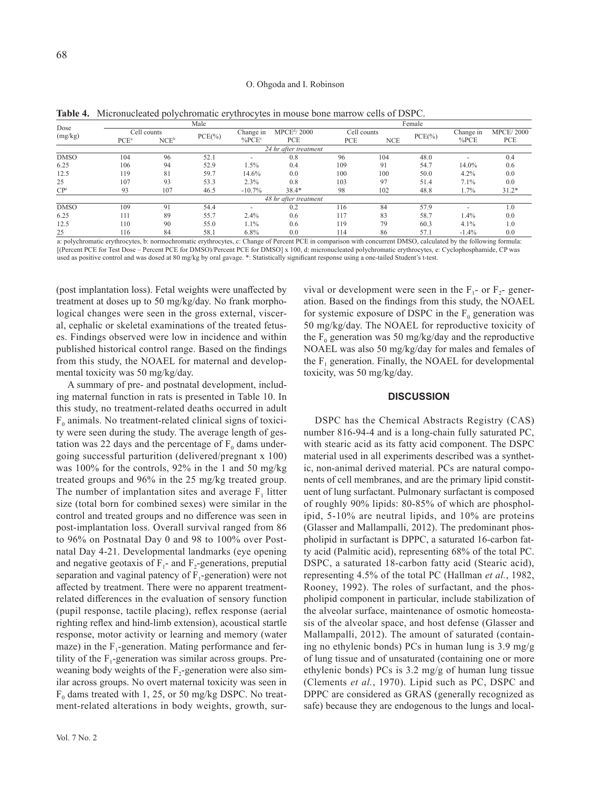#### O. Ohgoda and I. Robinson

| Dose            |                  | Male             |           |                                        |                       |     | Female      |           |           |                  |  |
|-----------------|------------------|------------------|-----------|----------------------------------------|-----------------------|-----|-------------|-----------|-----------|------------------|--|
| (mg/kg)         |                  | Cell counts      |           | M PCE <sup>d</sup> / 2000<br>Change in |                       |     | Cell counts |           | Change in | <b>MPCE/2000</b> |  |
|                 | PCE <sup>a</sup> | NCE <sup>b</sup> | $PCE(\%)$ | $%$ PCE $^{\circ}$                     | PCE                   | PCE | <b>NCE</b>  | $PCE(\%)$ | $%$ PCE   | PCE              |  |
|                 |                  |                  |           |                                        | 24 hr after treatment |     |             |           |           |                  |  |
| <b>DMSO</b>     | 104              | 96               | 52.1      |                                        | 0.8                   | 96  | 104         | 48.0      | -         | 0.4              |  |
| 6.25            | 106              | 94               | 52.9      | 1.5%                                   | 0.4                   | 109 | 91          | 54.7      | 14.0%     | 0.6              |  |
| 12.5            | 119              | 81               | 59.7      | 14.6%                                  | 0.0                   | 100 | 100         | 50.0      | 4.2%      | 0.0              |  |
| 25              | 107              | 93               | 53.3      | 2.3%                                   | 0.8                   | 103 | 97          | 51.4      | 7.1%      | 0.0              |  |
| CP <sup>c</sup> | 93               | 107              | 46.5      | $-10.7%$                               | $38.4*$               | 98  | 102         | 48.8      | 1.7%      | $31.2*$          |  |
|                 |                  |                  |           |                                        | 48 hr after treatment |     |             |           |           |                  |  |
| <b>DMSO</b>     | 109              | 91               | 54.4      |                                        | 0.2                   | 116 | 84          | 57.9      | -         | 1.0              |  |
| 6.25            | 111              | 89               | 55.7      | 2.4%                                   | 0.6                   | 117 | 83          | 58.7      | l.4%      | 0.0              |  |
| 12.5            | 110              | 90               | 55.0      | 1.1%                                   | 0.6                   | 119 | 79          | 60.3      | 4.1%      | 0.1              |  |
| 25              | 116              | 84               | 58.1      | 6.8%                                   | 0.0                   | 114 | 86          | 57.1      | $-1.4%$   | 0.0              |  |

**Table 4.** Micronucleated polychromatic erythrocytes in mouse bone marrow cells of DSPC.

a: polychromatic erythrocytes, b: normochromatic erythrocytes, c: Change of Percent PCE in comparison with concurrent DMSO, calculated by the following formula: [(Percent PCE for Test Dose – Percent PCE for DMSO)/Percent PCE for DMSO] x 100, d: micronucleated polychromatic erythrocytes, e: Cyclophosphamide, CP was used as positive control and was dosed at 80 mg/kg by oral gavage. \*: Statistically significant response using a one-tailed Student's t-test.

(post implantation loss). Fetal weights were unaffected by treatment at doses up to 50 mg/kg/day. No frank morphological changes were seen in the gross external, visceral, cephalic or skeletal examinations of the treated fetuses. Findings observed were low in incidence and within published historical control range. Based on the findings from this study, the NOAEL for maternal and developmental toxicity was 50 mg/kg/day.

A summary of pre- and postnatal development, including maternal function in rats is presented in Table 10. In this study, no treatment-related deaths occurred in adult  $F_0$  animals. No treatment-related clinical signs of toxicity were seen during the study. The average length of gestation was 22 days and the percentage of  $F_0$  dams undergoing successful parturition (delivered/pregnant x 100) was 100% for the controls, 92% in the 1 and 50 mg/kg treated groups and 96% in the 25 mg/kg treated group. The number of implantation sites and average  $F_1$  litter size (total born for combined sexes) were similar in the control and treated groups and no difference was seen in post-implantation loss. Overall survival ranged from 86 to 96% on Postnatal Day 0 and 98 to 100% over Postnatal Day 4-21. Developmental landmarks (eye opening and negative geotaxis of  $F_1$ - and  $F_2$ -generations, preputial separation and vaginal patency of  $F_1$ -generation) were not affected by treatment. There were no apparent treatmentrelated differences in the evaluation of sensory function (pupil response, tactile placing), reflex response (aerial righting reflex and hind-limb extension), acoustical startle response, motor activity or learning and memory (water maze) in the  $F_1$ -generation. Mating performance and fertility of the  $F_1$ -generation was similar across groups. Preweaning body weights of the  $F_2$ -generation were also similar across groups. No overt maternal toxicity was seen in  $F<sub>0</sub>$  dams treated with 1, 25, or 50 mg/kg DSPC. No treatment-related alterations in body weights, growth, survival or development were seen in the  $F_1$ - or  $F_2$ - generation. Based on the findings from this study, the NOAEL for systemic exposure of DSPC in the  $F_0$  generation was 50 mg/kg/day. The NOAEL for reproductive toxicity of the  $F_0$  generation was 50 mg/kg/day and the reproductive NOAEL was also 50 mg/kg/day for males and females of the  $F_1$  generation. Finally, the NOAEL for developmental toxicity, was 50 mg/kg/day.

#### **DISCUSSION**

DSPC has the Chemical Abstracts Registry (CAS) number 816-94-4 and is a long-chain fully saturated PC, with stearic acid as its fatty acid component. The DSPC material used in all experiments described was a synthetic, non-animal derived material. PCs are natural components of cell membranes, and are the primary lipid constituent of lung surfactant. Pulmonary surfactant is composed of roughly 90% lipids: 80-85% of which are phospholipid, 5-10% are neutral lipids, and 10% are proteins (Glasser and Mallampalli, 2012). The predominant phospholipid in surfactant is DPPC, a saturated 16-carbon fatty acid (Palmitic acid), representing 68% of the total PC. DSPC, a saturated 18-carbon fatty acid (Stearic acid), representing 4.5% of the total PC (Hallman *et al.*, 1982, Rooney, 1992). The roles of surfactant, and the phospholipid component in particular, include stabilization of the alveolar surface, maintenance of osmotic homeostasis of the alveolar space, and host defense (Glasser and Mallampalli, 2012). The amount of saturated (containing no ethylenic bonds) PCs in human lung is 3.9 mg/g of lung tissue and of unsaturated (containing one or more ethylenic bonds) PCs is 3.2 mg/g of human lung tissue (Clements *et al.*, 1970). Lipid such as PC, DSPC and DPPC are considered as GRAS (generally recognized as safe) because they are endogenous to the lungs and local-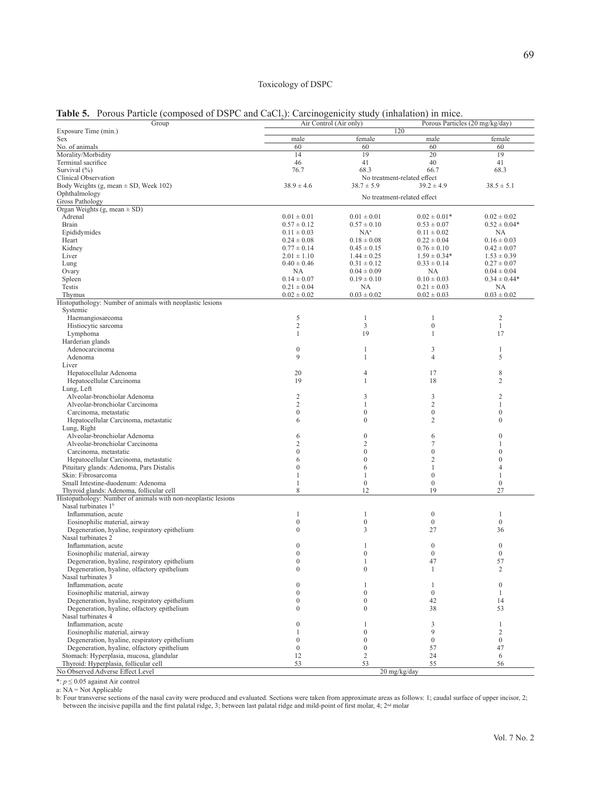## Toxicology of DSPC

| Group                                                         |                  | Air Control (Air only) | Porous Particles (20 mg/kg/day) |                       |
|---------------------------------------------------------------|------------------|------------------------|---------------------------------|-----------------------|
| Exposure Time (min.)                                          |                  |                        | 120                             |                       |
| <b>Sex</b>                                                    | male             | female                 | male                            | female                |
| No. of animals                                                | 60               | 60                     | 60                              | 60                    |
| Morality/Morbidity                                            | 14               | 19                     | $\overline{20}$                 | 19                    |
| Terminal sacrifice                                            | 46               | 41                     | 40                              | 41                    |
| Survival (%)                                                  | 76.7             | 68.3                   | 66.7                            | 68.3                  |
| Clinical Observation                                          |                  |                        | No treatment-related effect     |                       |
| Body Weights (g, mean $\pm$ SD, Week 102)                     | $38.9 \pm 4.6$   | $38.7 \pm 5.9$         | $39.2 \pm 4.9$                  | $38.5 \pm 5.1$        |
| Ophthalmology                                                 |                  |                        | No treatment-related effect     |                       |
| Gross Pathology                                               |                  |                        |                                 |                       |
| Organ Weights $(g, mean \pm SD)$                              |                  |                        |                                 |                       |
| Adrenal                                                       | $0.01 \pm 0.01$  | $0.01 \pm 0.01$        | $0.02 \pm 0.01*$                | $0.02 \pm 0.02$       |
| Brain                                                         | $0.57 \pm 0.12$  | $0.57 \pm 0.10$        | $0.53 \pm 0.07$                 | $0.52 \pm 0.04*$      |
| Epididymides                                                  | $0.11 \pm 0.03$  | $NA^a$                 | $0.11 \pm 0.02$                 | NA                    |
| Heart                                                         | $0.24 \pm 0.08$  | $0.18 \pm 0.08$        | $0.22 \pm 0.04$                 | $0.16 \pm 0.03$       |
| Kidney                                                        | $0.77 \pm 0.14$  | $0.45 \pm 0.15$        | $0.76 \pm 0.10$                 | $0.42 \pm 0.07$       |
| Liver                                                         | $2.01 \pm 1.10$  | $1.44 \pm 0.25$        | $1.59 \pm 0.34*$                | $1.53 \pm 0.39$       |
| Lung                                                          | $0.40 \pm 0.46$  | $0.31 \pm 0.12$        | $0.33 \pm 0.14$                 | $0.27 \pm 0.07$       |
| Ovary                                                         | NA               | $0.04 \pm 0.09$        | NA                              | $0.04 \pm 0.04$       |
| Spleen<br>Testis                                              | $0.14 \pm 0.07$  | $0.19 \pm 0.10$        | $0.10 \pm 0.03$                 | $0.34 \pm 0.44*$      |
| Thymus                                                        | $0.21 \pm 0.04$  | NА<br>$0.03 \pm 0.02$  | $0.21 \pm 0.03$                 | NА<br>$0.03 \pm 0.02$ |
| Histopathology: Number of animals with neoplastic lesions     | $0.02 \pm 0.02$  |                        | $0.02 \pm 0.03$                 |                       |
| Systemic                                                      |                  |                        |                                 |                       |
| Haemangiosarcoma                                              | 5                | 1                      | 1                               | $\mathbf{2}$          |
| Histiocytic sarcoma                                           | $\overline{c}$   | 3                      | $\boldsymbol{0}$                | $\mathbf{1}$          |
| Lymphoma                                                      | $\mathbf{1}$     | 19                     | $\mathbf{1}$                    | 17                    |
| Harderian glands                                              |                  |                        |                                 |                       |
| Adenocarcinoma                                                | $\mathbf{0}$     | $\mathbf{1}$           | 3                               | $\mathbf{1}$          |
| Adenoma                                                       | 9                | $\mathbf{1}$           | $\overline{4}$                  | 5                     |
| Liver                                                         |                  |                        |                                 |                       |
| Hepatocellular Adenoma                                        | 20               | 4                      | 17                              | 8                     |
| Hepatocellular Carcinoma                                      | 19               | 1                      | 18                              | 2                     |
| Lung, Left                                                    |                  |                        |                                 |                       |
| Alveolar-bronchiolar Adenoma                                  | $\mathfrak{2}$   | 3                      | 3                               | $\overline{c}$        |
| Alveolar-bronchiolar Carcinoma                                | $\overline{c}$   | 1                      | 2                               | 1                     |
| Carcinoma, metastatic                                         | $\mathbf{0}$     | $\mathbf{0}$           | $\boldsymbol{0}$                | $\mathbf{0}$          |
| Hepatocellular Carcinoma, metastatic                          | 6                | $\mathbf{0}$           | 2                               | $\mathbf{0}$          |
| Lung, Right                                                   |                  |                        |                                 |                       |
| Alveolar-bronchiolar Adenoma                                  | 6                | $\boldsymbol{0}$       | 6                               | $\mathbf{0}$          |
| Alveolar-bronchiolar Carcinoma                                | 2                | $\overline{2}$         | 7                               | 1                     |
| Carcinoma, metastatic                                         | $\mathbf{0}$     | $\mathbf{0}$           | $\boldsymbol{0}$                | $\mathbf{0}$          |
| Hepatocellular Carcinoma, metastatic                          | 6                | $\mathbf{0}$           | 2                               | $\theta$              |
| Pituitary glands: Adenoma, Pars Distalis                      | $\mathbf{0}$     | 6                      | 1                               | 4                     |
| Skin: Fibrosarcoma                                            | 1                | 1                      | $\boldsymbol{0}$                | 1                     |
| Small Intestine-duodenum: Adenoma                             | 1                | $\boldsymbol{0}$       | $\mathbf{0}$                    | $\mathbf{0}$          |
| Thyroid glands: Adenoma, follicular cell                      | 8                | 12                     | 19                              | 27                    |
| Histopathology: Number of animals with non-neoplastic lesions |                  |                        |                                 |                       |
| Nasal turbinates 1 <sup>b</sup>                               |                  |                        |                                 |                       |
| Inflammation, acute                                           | 1                | $\mathbf{1}$           | $\boldsymbol{0}$                | $\mathbf{1}$          |
| Eosinophilic material, airway                                 | $\boldsymbol{0}$ | $\boldsymbol{0}$       | $\mathbf{0}$                    | $\mathbf{0}$          |
| Degeneration, hyaline, respiratory epithelium                 | $\mathbf{0}$     | 3                      | 27                              | 36                    |
| Nasal turbinates 2                                            |                  |                        |                                 |                       |
| Inflammation, acute                                           | $\Omega$         | 1                      | $\boldsymbol{0}$                | $\mathbf{0}$          |
| Eosinophilic material, airway                                 | $\mathbf{0}$     | $\boldsymbol{0}$       | $\boldsymbol{0}$                | $\boldsymbol{0}$      |
| Degeneration, hyaline, respiratory epithelium                 | $\theta$         |                        | 47                              | 57                    |
| Degeneration, hyaline, olfactory epithelium                   | 0                | $\boldsymbol{0}$       | 1                               | $\mathfrak{2}$        |
| Nasal turbinates 3                                            |                  |                        |                                 |                       |
| Inflammation, acute                                           | $\boldsymbol{0}$ | 1                      | 1                               | $\boldsymbol{0}$      |
| Eosinophilic material, airway                                 | $\mathbf{0}$     | $\mathbf{0}$           | $\boldsymbol{0}$                | $\mathbf{1}$          |
| Degeneration, hyaline, respiratory epithelium                 | 0                | $\boldsymbol{0}$       | 42                              | 14                    |
| Degeneration, hyaline, olfactory epithelium                   | $\boldsymbol{0}$ | $\mathbf{0}$           | 38                              | 53                    |
| Nasal turbinates 4                                            |                  |                        |                                 |                       |
| Inflammation, acute                                           | 0                | 1                      | 3                               | 1                     |
| Eosinophilic material, airway                                 | 1                | $\mathbf{0}$           | 9                               | 2                     |
| Degeneration, hyaline, respiratory epithelium                 | $\boldsymbol{0}$ | $\boldsymbol{0}$       | $\boldsymbol{0}$                | $\boldsymbol{0}$      |
| Degeneration, hyaline, olfactory epithelium                   | $\boldsymbol{0}$ | $\boldsymbol{0}$       | 57                              | 47                    |
| Stomach: Hyperplasia, mucosa, glandular                       | 12               | 2                      | 24                              | 6                     |
| Thyroid: Hyperplasia, follicular cell                         | 53               | 53                     | 55                              | 56                    |
| No Observed Adverse Effect Level                              |                  | 20 mg/kg/day           |                                 |                       |

#### Table 5. Porous Particle (composed of DSPC and CaCl<sub>2</sub>): Carcinogenicity study (inhalation) in mice.

\*: *p* ≤ 0.05 against Air control a: NA = Not Applicable

b: Four transverse sections of the nasal cavity were produced and evaluated. Sections were taken from approximate areas as follows: 1; caudal surface of upper incisor, 2; between the incisive papilla and the first palatal ridge, 3; between last palatal ridge and mild-point of first molar, 4; 2<sup>nd</sup> molar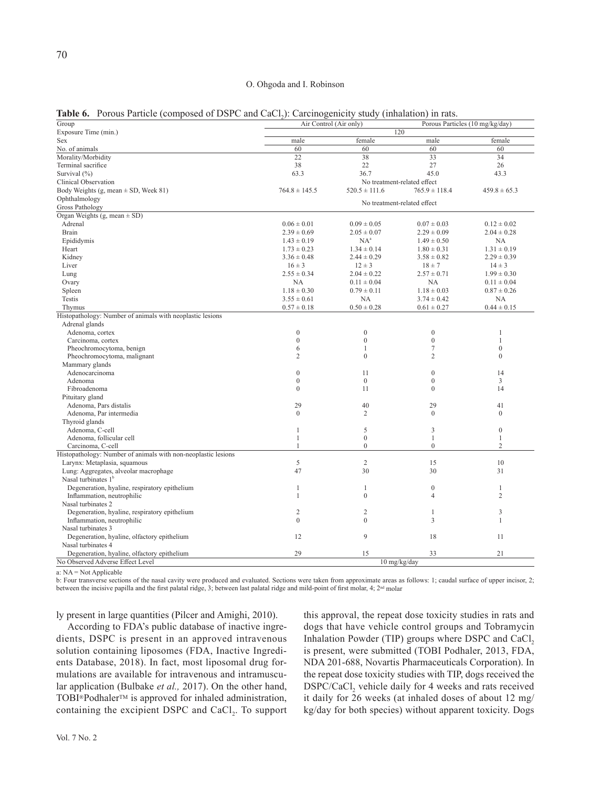#### O. Ohgoda and I. Robinson

| Group                                                         | Air Control (Air only) |                   | Porous Particles (10 mg/kg/day) |                  |  |
|---------------------------------------------------------------|------------------------|-------------------|---------------------------------|------------------|--|
| Exposure Time (min.)                                          |                        |                   | 120                             |                  |  |
| <b>Sex</b>                                                    | male                   | female            | male                            | female           |  |
| No. of animals                                                | 60                     | 60                | 60                              | 60               |  |
| Morality/Morbidity                                            | 22                     | 38                | 33                              | 34               |  |
| Terminal sacrifice                                            | 38                     | 22                | 27                              | 26               |  |
| Survival (%)                                                  | 63.3                   | 36.7              | 45.0                            | 43.3             |  |
| Clinical Observation                                          |                        |                   | No treatment-related effect     |                  |  |
| Body Weights (g, mean $\pm$ SD, Week 81)                      | $764.8 \pm 145.5$      | $520.5 \pm 111.6$ | $765.9 \pm 118.4$               | $459.8 \pm 65.3$ |  |
| Ophthalmology                                                 |                        |                   |                                 |                  |  |
| <b>Gross Pathology</b>                                        |                        |                   | No treatment-related effect     |                  |  |
| Organ Weights $(g, mean \pm SD)$                              |                        |                   |                                 |                  |  |
| Adrenal                                                       | $0.06 \pm 0.01$        | $0.09 \pm 0.05$   | $0.07 \pm 0.03$                 | $0.12 \pm 0.02$  |  |
| Brain                                                         | $2.39 \pm 0.69$        | $2.05 \pm 0.07$   | $2.29 \pm 0.09$                 | $2.04 \pm 0.28$  |  |
| Epididymis                                                    | $1.43 \pm 0.19$        | $NA^a$            | $1.49 \pm 0.50$                 | <b>NA</b>        |  |
| Heart                                                         | $1.73 \pm 0.23$        | $1.34 \pm 0.14$   | $1.80 \pm 0.31$                 | $1.31 \pm 0.19$  |  |
| Kidney                                                        | $3.36 \pm 0.48$        | $2.44 \pm 0.29$   | $3.58 \pm 0.82$                 | $2.29 \pm 0.39$  |  |
| Liver                                                         | $16 \pm 3$             | $12 \pm 3$        | $18 \pm 7$                      |                  |  |
|                                                               |                        |                   | $2.57 \pm 0.71$                 | $14 \pm 3$       |  |
| Lung                                                          | $2.55 \pm 0.34$        | $2.04 \pm 0.22$   |                                 | $1.99 \pm 0.30$  |  |
| Ovary                                                         | NA                     | $0.11 \pm 0.04$   | NA                              | $0.11 \pm 0.04$  |  |
| Spleen                                                        | $1.18 \pm 0.30$        | $0.79 \pm 0.11$   | $1.18 \pm 0.03$                 | $0.87 \pm 0.26$  |  |
| <b>Testis</b>                                                 | $3.55 \pm 0.61$        | <b>NA</b>         | $3.74 \pm 0.42$                 | <b>NA</b>        |  |
| Thymus                                                        | $0.57 \pm 0.18$        | $0.50 \pm 0.28$   | $0.61 \pm 0.27$                 | $0.44 \pm 0.15$  |  |
| Histopathology: Number of animals with neoplastic lesions     |                        |                   |                                 |                  |  |
| Adrenal glands                                                |                        |                   |                                 |                  |  |
| Adenoma, cortex                                               | $\mathbf{0}$           | $\mathbf{0}$      | $\mathbf{0}$                    | $\mathbf{1}$     |  |
| Carcinoma, cortex                                             | $\overline{0}$         | $\mathbf{0}$      | $\mathbf{0}$                    | $\mathbf{1}$     |  |
| Pheochromocytoma, benign                                      | 6                      | 1                 | $\tau$                          | $\boldsymbol{0}$ |  |
| Pheochromocytoma, malignant                                   | $\overline{c}$         | $\mathbf{0}$      | $\overline{c}$                  | $\mathbf{0}$     |  |
| Mammary glands                                                |                        |                   |                                 |                  |  |
| Adenocarcinoma                                                | $\boldsymbol{0}$       | 11                | $\boldsymbol{0}$                | 14               |  |
| Adenoma                                                       | $\mathbf{0}$           | $\mathbf{0}$      | $\mathbf{0}$                    | 3                |  |
| Fibroadenoma                                                  | $\mathbf{0}$           | 11                | $\mathbf{0}$                    | 14               |  |
| Pituitary gland                                               |                        |                   |                                 |                  |  |
| Adenoma, Pars distalis                                        | 29                     | 40                | 29                              | 41               |  |
| Adenoma, Par intermedia                                       | $\mathbf{0}$           | 2                 | $\mathbf{0}$                    | $\mathbf{0}$     |  |
| Thyroid glands                                                |                        |                   |                                 |                  |  |
| Adenoma, C-cell                                               | 1                      | 5                 | 3                               | $\mathbf{0}$     |  |
| Adenoma, follicular cell                                      | $\mathbf{1}$           | $\boldsymbol{0}$  | $\mathbf{1}$                    | $\mathbf{1}$     |  |
| Carcinoma, C-cell                                             | $\mathbf{1}$           | $\overline{0}$    | $\overline{0}$                  | $\overline{2}$   |  |
| Histopathology: Number of animals with non-neoplastic lesions |                        |                   |                                 |                  |  |
| Larynx: Metaplasia, squamous                                  | 5                      | $\overline{c}$    | 15                              | 10               |  |
| Lung: Aggregates, alveolar macrophage                         | 47                     | 30                | 30                              | 31               |  |
| Nasal turbinates 1 <sup>b</sup>                               |                        |                   |                                 |                  |  |
| Degeneration, hyaline, respiratory epithelium                 | 1                      | $\mathbf{1}$      | $\mathbf{0}$                    | $\mathbf{1}$     |  |
| Inflammation, neutrophilic                                    | $\mathbf{1}$           | $\mathbf{0}$      | $\overline{4}$                  | $\overline{2}$   |  |
| Nasal turbinates 2                                            |                        |                   |                                 |                  |  |
| Degeneration, hyaline, respiratory epithelium                 | $\overline{c}$         | $\overline{c}$    | 1                               | 3                |  |
| Inflammation, neutrophilic                                    | $\theta$               | $\overline{0}$    | 3                               | $\mathbf{1}$     |  |
| Nasal turbinates 3                                            |                        |                   |                                 |                  |  |
| Degeneration, hyaline, olfactory epithelium                   | 12                     | 9                 | 18                              | 11               |  |
| Nasal turbinates 4                                            |                        |                   |                                 |                  |  |
| Degeneration, hyaline, olfactory epithelium                   | 29                     | 15                | 33                              | 21               |  |
| No Observed Adverse Effect Level                              |                        |                   | 10 mg/kg/day                    |                  |  |

|  | Table 6. Porous Particle (composed of DSPC and CaCl <sub>2</sub> ): Carcinogenicity study (inhalation) in rats. |  |  |
|--|-----------------------------------------------------------------------------------------------------------------|--|--|
|  |                                                                                                                 |  |  |

a: NA = Not Applicable

b: Four transverse sections of the nasal cavity were produced and evaluated. Sections were taken from approximate areas as follows: 1; caudal surface of upper incisor, 2; between the incisive papilla and the first palatal ridge, 3; between last palatal ridge and mild-point of first molar, 4; 2<sup>nd</sup> molar

ly present in large quantities (Pilcer and Amighi, 2010).

According to FDA's public database of inactive ingredients, DSPC is present in an approved intravenous solution containing liposomes (FDA, Inactive Ingredients Database, 2018). In fact, most liposomal drug formulations are available for intravenous and intramuscular application (Bulbake *et al.,* 2017). On the other hand, TOBI®Podhaler<sup>™</sup> is approved for inhaled administration, containing the excipient DSPC and CaCl<sub>2</sub>. To support this approval, the repeat dose toxicity studies in rats and dogs that have vehicle control groups and Tobramycin Inhalation Powder (TIP) groups where DSPC and CaCl, is present, were submitted (TOBI Podhaler, 2013, FDA, NDA 201-688, Novartis Pharmaceuticals Corporation). In the repeat dose toxicity studies with TIP, dogs received the DSPC/CaCl, vehicle daily for 4 weeks and rats received it daily for 26 weeks (at inhaled doses of about 12 mg/ kg/day for both species) without apparent toxicity. Dogs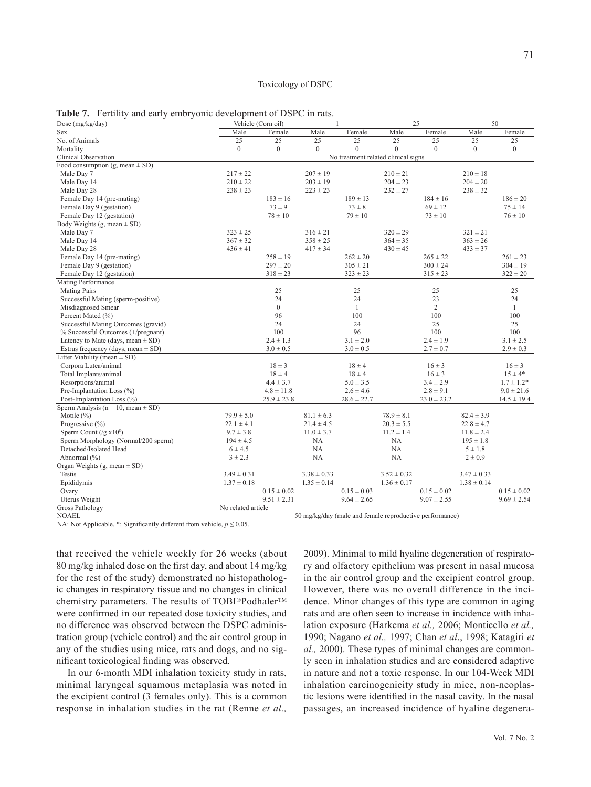| Male<br>Female<br>Male<br>Female<br>Male<br>Female<br><b>Sex</b><br>Male<br>Female<br>25<br>25<br>25<br>25<br>25<br>25<br>25<br>25<br>No. of Animals<br>$\theta$<br>$\theta$<br>$\theta$<br>$\theta$<br>Mortality<br>$\theta$<br>$\Omega$<br>$\mathbf{0}$<br>$\mathbf{0}$<br>Clinical Observation<br>No treatment related clinical signs<br>Food consumption $(g, \text{mean} \pm SD)$<br>$210 \pm 18$<br>Male Day 7<br>$217 \pm 22$<br>$207 \pm 19$<br>$210 \pm 21$<br>Male Day 14<br>$210 \pm 22$<br>$203 \pm 19$<br>$204 \pm 23$<br>$204 \pm 20$<br>Male Day 28<br>$238 \pm 23$<br>$223 \pm 23$<br>$232 \pm 27$<br>$238 \pm 32$<br>Female Day 14 (pre-mating)<br>$184 \pm 16$<br>$186 \pm 20$<br>$183 \pm 16$<br>$189 \pm 13$<br>$73 \pm 9$<br>$73 \pm 8$<br>$69 \pm 12$<br>$75 \pm 14$<br>Female Day 9 (gestation)<br>$78 \pm 10$<br>$79 \pm 10$<br>$73 \pm 10$<br>$76 \pm 10$<br>Female Day 12 (gestation)<br>Body Weights (g, mean $\pm$ SD)<br>Male Day 7<br>$323 \pm 25$<br>$316 \pm 21$<br>$320 \pm 29$<br>$321 \pm 21$<br>Male Day 14<br>$367 \pm 32$<br>$358 \pm 25$<br>$364 \pm 35$<br>$363 \pm 26$<br>$436 \pm 41$<br>$417 \pm 34$<br>$430 \pm 45$<br>$433 \pm 37$<br>Male Day 28<br>Female Day 14 (pre-mating)<br>$258 \pm 19$<br>$262 \pm 20$<br>$265 \pm 22$<br>$261 \pm 23$<br>$297 \pm 20$<br>$305 \pm 21$<br>$300 \pm 24$<br>$304 \pm 19$<br>Female Day 9 (gestation)<br>$318 \pm 23$<br>$315 \pm 23$<br>$322 \pm 20$<br>Female Day 12 (gestation)<br>$323 \pm 23$<br>Mating Performance<br><b>Mating Pairs</b><br>25<br>25<br>25<br>25<br>24<br>23<br>Successful Mating (sperm-positive)<br>24<br>24<br>$\mathbf{0}$<br>$\overline{2}$<br>Misdiagnosed Smear<br>1<br>$\mathbf{1}$<br>96<br>100<br>100<br>Percent Mated (%)<br>100<br>25<br>Successful Mating Outcomes (gravid)<br>24<br>24<br>25<br>100<br>96<br>100<br>100<br>% Successful Outcomes (+/pregnant)<br>Latency to Mate (days, mean $\pm$ SD)<br>$2.4 \pm 1.3$<br>$3.1 \pm 2.0$<br>$2.4 \pm 1.9$<br>$3.1 \pm 2.5$<br>$3.0 \pm 0.5$<br>$3.0 \pm 0.5$<br>$2.7 \pm 0.7$<br>$2.9 \pm 0.3$<br>Estrus frequency (days, mean $\pm$ SD)<br>Litter Viability (mean $\pm$ SD)<br>Corpora Lutea/animal<br>$18 \pm 3$<br>$18 \pm 4$<br>$16 \pm 3$<br>$16 \pm 3$<br>$18 \pm 4$<br>$16 \pm 3$<br>Total Implants/animal<br>$18 \pm 4$<br>$15 \pm 4*$<br>$4.4 \pm 3.7$<br>$5.0 \pm 3.5$<br>$3.4 \pm 2.9$<br>$1.7 \pm 1.2*$<br>Resorptions/animal<br>Pre-Implantation Loss (%)<br>$2.6 \pm 4.6$<br>$2.8 \pm 9.1$<br>$4.8 \pm 11.8$<br>$9.0 \pm 21.6$<br>Post-Implantation Loss (%)<br>$25.9 \pm 23.8$<br>$28.6 \pm 22.7$<br>$23.0 \pm 23.2$<br>$14.5 \pm 19.4$<br>Sperm Analysis ( $n = 10$ , mean $\pm$ SD)<br>$79.9 \pm 5.0$<br>$78.9 \pm 8.1$<br>$82.4 \pm 3.9$<br>Motile $(\% )$<br>$81.1 \pm 6.3$<br>$22.1 \pm 4.1$<br>$20.3 \pm 5.5$<br>Progressive $(\% )$<br>$21.4 \pm 4.5$<br>$22.8 \pm 4.7$<br>Sperm Count (/g $x10^8$ )<br>$9.7 \pm 3.8$<br>$11.2 \pm 1.4$<br>$11.0 \pm 3.7$<br>$11.8 \pm 2.4$<br>Sperm Morphology (Normal/200 sperm)<br>$194 \pm 4.5$<br>NA<br>NA<br>$195 \pm 1.8$<br>Detached/Isolated Head<br>$6 \pm 4.5$<br>NA<br><b>NA</b><br>$5 \pm 1.8$<br>NA<br>Abnormal (%)<br>$3 \pm 2.3$<br>NA<br>$2 \pm 0.9$<br>Organ Weights $(g, \text{mean} \pm SD)$<br>$3.38 \pm 0.33$<br><b>Testis</b><br>$3.49 \pm 0.31$<br>$3.52 \pm 0.32$<br>$3.47 \pm 0.33$<br>Epididymis<br>$1.37 \pm 0.18$<br>$1.35 \pm 0.14$<br>$1.36 \pm 0.17$<br>$1.38 \pm 0.14$<br>$0.15 \pm 0.02$<br>Ovary<br>$0.15 \pm 0.02$<br>$0.15 \pm 0.03$<br>$0.15 \pm 0.02$<br>Uterus Weight<br>$9.07 \pm 2.55$<br>$9.51 \pm 2.31$<br>$9.64 \pm 2.65$<br>$9.69 \pm 2.54$<br>Gross Pathology<br>No related article | <b>THE 14 THE PROPERTY CONTRACTOR CONSERVANCE OF DUTY</b><br>Dose (mg/kg/day) | Vehicle (Corn oil) | $\mathbf{1}$ | 25 | 50 |
|------------------------------------------------------------------------------------------------------------------------------------------------------------------------------------------------------------------------------------------------------------------------------------------------------------------------------------------------------------------------------------------------------------------------------------------------------------------------------------------------------------------------------------------------------------------------------------------------------------------------------------------------------------------------------------------------------------------------------------------------------------------------------------------------------------------------------------------------------------------------------------------------------------------------------------------------------------------------------------------------------------------------------------------------------------------------------------------------------------------------------------------------------------------------------------------------------------------------------------------------------------------------------------------------------------------------------------------------------------------------------------------------------------------------------------------------------------------------------------------------------------------------------------------------------------------------------------------------------------------------------------------------------------------------------------------------------------------------------------------------------------------------------------------------------------------------------------------------------------------------------------------------------------------------------------------------------------------------------------------------------------------------------------------------------------------------------------------------------------------------------------------------------------------------------------------------------------------------------------------------------------------------------------------------------------------------------------------------------------------------------------------------------------------------------------------------------------------------------------------------------------------------------------------------------------------------------------------------------------------------------------------------------------------------------------------------------------------------------------------------------------------------------------------------------------------------------------------------------------------------------------------------------------------------------------------------------------------------------------------------------------------------------------------------------------------------------------------------------------------------------------------------------------------------------------------------------------------------------------------------------------------------------------------------------------------------------------------------------------------------------------------------------------------------------------------------------------------------------------------------------------------------------------------------------------------------------------------------------------------------------------------------------------------|-------------------------------------------------------------------------------|--------------------|--------------|----|----|
|                                                                                                                                                                                                                                                                                                                                                                                                                                                                                                                                                                                                                                                                                                                                                                                                                                                                                                                                                                                                                                                                                                                                                                                                                                                                                                                                                                                                                                                                                                                                                                                                                                                                                                                                                                                                                                                                                                                                                                                                                                                                                                                                                                                                                                                                                                                                                                                                                                                                                                                                                                                                                                                                                                                                                                                                                                                                                                                                                                                                                                                                                                                                                                                                                                                                                                                                                                                                                                                                                                                                                                                                                                                                  |                                                                               |                    |              |    |    |
|                                                                                                                                                                                                                                                                                                                                                                                                                                                                                                                                                                                                                                                                                                                                                                                                                                                                                                                                                                                                                                                                                                                                                                                                                                                                                                                                                                                                                                                                                                                                                                                                                                                                                                                                                                                                                                                                                                                                                                                                                                                                                                                                                                                                                                                                                                                                                                                                                                                                                                                                                                                                                                                                                                                                                                                                                                                                                                                                                                                                                                                                                                                                                                                                                                                                                                                                                                                                                                                                                                                                                                                                                                                                  |                                                                               |                    |              |    |    |
|                                                                                                                                                                                                                                                                                                                                                                                                                                                                                                                                                                                                                                                                                                                                                                                                                                                                                                                                                                                                                                                                                                                                                                                                                                                                                                                                                                                                                                                                                                                                                                                                                                                                                                                                                                                                                                                                                                                                                                                                                                                                                                                                                                                                                                                                                                                                                                                                                                                                                                                                                                                                                                                                                                                                                                                                                                                                                                                                                                                                                                                                                                                                                                                                                                                                                                                                                                                                                                                                                                                                                                                                                                                                  |                                                                               |                    |              |    |    |
|                                                                                                                                                                                                                                                                                                                                                                                                                                                                                                                                                                                                                                                                                                                                                                                                                                                                                                                                                                                                                                                                                                                                                                                                                                                                                                                                                                                                                                                                                                                                                                                                                                                                                                                                                                                                                                                                                                                                                                                                                                                                                                                                                                                                                                                                                                                                                                                                                                                                                                                                                                                                                                                                                                                                                                                                                                                                                                                                                                                                                                                                                                                                                                                                                                                                                                                                                                                                                                                                                                                                                                                                                                                                  |                                                                               |                    |              |    |    |
|                                                                                                                                                                                                                                                                                                                                                                                                                                                                                                                                                                                                                                                                                                                                                                                                                                                                                                                                                                                                                                                                                                                                                                                                                                                                                                                                                                                                                                                                                                                                                                                                                                                                                                                                                                                                                                                                                                                                                                                                                                                                                                                                                                                                                                                                                                                                                                                                                                                                                                                                                                                                                                                                                                                                                                                                                                                                                                                                                                                                                                                                                                                                                                                                                                                                                                                                                                                                                                                                                                                                                                                                                                                                  |                                                                               |                    |              |    |    |
|                                                                                                                                                                                                                                                                                                                                                                                                                                                                                                                                                                                                                                                                                                                                                                                                                                                                                                                                                                                                                                                                                                                                                                                                                                                                                                                                                                                                                                                                                                                                                                                                                                                                                                                                                                                                                                                                                                                                                                                                                                                                                                                                                                                                                                                                                                                                                                                                                                                                                                                                                                                                                                                                                                                                                                                                                                                                                                                                                                                                                                                                                                                                                                                                                                                                                                                                                                                                                                                                                                                                                                                                                                                                  |                                                                               |                    |              |    |    |
|                                                                                                                                                                                                                                                                                                                                                                                                                                                                                                                                                                                                                                                                                                                                                                                                                                                                                                                                                                                                                                                                                                                                                                                                                                                                                                                                                                                                                                                                                                                                                                                                                                                                                                                                                                                                                                                                                                                                                                                                                                                                                                                                                                                                                                                                                                                                                                                                                                                                                                                                                                                                                                                                                                                                                                                                                                                                                                                                                                                                                                                                                                                                                                                                                                                                                                                                                                                                                                                                                                                                                                                                                                                                  |                                                                               |                    |              |    |    |
|                                                                                                                                                                                                                                                                                                                                                                                                                                                                                                                                                                                                                                                                                                                                                                                                                                                                                                                                                                                                                                                                                                                                                                                                                                                                                                                                                                                                                                                                                                                                                                                                                                                                                                                                                                                                                                                                                                                                                                                                                                                                                                                                                                                                                                                                                                                                                                                                                                                                                                                                                                                                                                                                                                                                                                                                                                                                                                                                                                                                                                                                                                                                                                                                                                                                                                                                                                                                                                                                                                                                                                                                                                                                  |                                                                               |                    |              |    |    |
|                                                                                                                                                                                                                                                                                                                                                                                                                                                                                                                                                                                                                                                                                                                                                                                                                                                                                                                                                                                                                                                                                                                                                                                                                                                                                                                                                                                                                                                                                                                                                                                                                                                                                                                                                                                                                                                                                                                                                                                                                                                                                                                                                                                                                                                                                                                                                                                                                                                                                                                                                                                                                                                                                                                                                                                                                                                                                                                                                                                                                                                                                                                                                                                                                                                                                                                                                                                                                                                                                                                                                                                                                                                                  |                                                                               |                    |              |    |    |
|                                                                                                                                                                                                                                                                                                                                                                                                                                                                                                                                                                                                                                                                                                                                                                                                                                                                                                                                                                                                                                                                                                                                                                                                                                                                                                                                                                                                                                                                                                                                                                                                                                                                                                                                                                                                                                                                                                                                                                                                                                                                                                                                                                                                                                                                                                                                                                                                                                                                                                                                                                                                                                                                                                                                                                                                                                                                                                                                                                                                                                                                                                                                                                                                                                                                                                                                                                                                                                                                                                                                                                                                                                                                  |                                                                               |                    |              |    |    |
|                                                                                                                                                                                                                                                                                                                                                                                                                                                                                                                                                                                                                                                                                                                                                                                                                                                                                                                                                                                                                                                                                                                                                                                                                                                                                                                                                                                                                                                                                                                                                                                                                                                                                                                                                                                                                                                                                                                                                                                                                                                                                                                                                                                                                                                                                                                                                                                                                                                                                                                                                                                                                                                                                                                                                                                                                                                                                                                                                                                                                                                                                                                                                                                                                                                                                                                                                                                                                                                                                                                                                                                                                                                                  |                                                                               |                    |              |    |    |
|                                                                                                                                                                                                                                                                                                                                                                                                                                                                                                                                                                                                                                                                                                                                                                                                                                                                                                                                                                                                                                                                                                                                                                                                                                                                                                                                                                                                                                                                                                                                                                                                                                                                                                                                                                                                                                                                                                                                                                                                                                                                                                                                                                                                                                                                                                                                                                                                                                                                                                                                                                                                                                                                                                                                                                                                                                                                                                                                                                                                                                                                                                                                                                                                                                                                                                                                                                                                                                                                                                                                                                                                                                                                  |                                                                               |                    |              |    |    |
|                                                                                                                                                                                                                                                                                                                                                                                                                                                                                                                                                                                                                                                                                                                                                                                                                                                                                                                                                                                                                                                                                                                                                                                                                                                                                                                                                                                                                                                                                                                                                                                                                                                                                                                                                                                                                                                                                                                                                                                                                                                                                                                                                                                                                                                                                                                                                                                                                                                                                                                                                                                                                                                                                                                                                                                                                                                                                                                                                                                                                                                                                                                                                                                                                                                                                                                                                                                                                                                                                                                                                                                                                                                                  |                                                                               |                    |              |    |    |
|                                                                                                                                                                                                                                                                                                                                                                                                                                                                                                                                                                                                                                                                                                                                                                                                                                                                                                                                                                                                                                                                                                                                                                                                                                                                                                                                                                                                                                                                                                                                                                                                                                                                                                                                                                                                                                                                                                                                                                                                                                                                                                                                                                                                                                                                                                                                                                                                                                                                                                                                                                                                                                                                                                                                                                                                                                                                                                                                                                                                                                                                                                                                                                                                                                                                                                                                                                                                                                                                                                                                                                                                                                                                  |                                                                               |                    |              |    |    |
|                                                                                                                                                                                                                                                                                                                                                                                                                                                                                                                                                                                                                                                                                                                                                                                                                                                                                                                                                                                                                                                                                                                                                                                                                                                                                                                                                                                                                                                                                                                                                                                                                                                                                                                                                                                                                                                                                                                                                                                                                                                                                                                                                                                                                                                                                                                                                                                                                                                                                                                                                                                                                                                                                                                                                                                                                                                                                                                                                                                                                                                                                                                                                                                                                                                                                                                                                                                                                                                                                                                                                                                                                                                                  |                                                                               |                    |              |    |    |
|                                                                                                                                                                                                                                                                                                                                                                                                                                                                                                                                                                                                                                                                                                                                                                                                                                                                                                                                                                                                                                                                                                                                                                                                                                                                                                                                                                                                                                                                                                                                                                                                                                                                                                                                                                                                                                                                                                                                                                                                                                                                                                                                                                                                                                                                                                                                                                                                                                                                                                                                                                                                                                                                                                                                                                                                                                                                                                                                                                                                                                                                                                                                                                                                                                                                                                                                                                                                                                                                                                                                                                                                                                                                  |                                                                               |                    |              |    |    |
|                                                                                                                                                                                                                                                                                                                                                                                                                                                                                                                                                                                                                                                                                                                                                                                                                                                                                                                                                                                                                                                                                                                                                                                                                                                                                                                                                                                                                                                                                                                                                                                                                                                                                                                                                                                                                                                                                                                                                                                                                                                                                                                                                                                                                                                                                                                                                                                                                                                                                                                                                                                                                                                                                                                                                                                                                                                                                                                                                                                                                                                                                                                                                                                                                                                                                                                                                                                                                                                                                                                                                                                                                                                                  |                                                                               |                    |              |    |    |
|                                                                                                                                                                                                                                                                                                                                                                                                                                                                                                                                                                                                                                                                                                                                                                                                                                                                                                                                                                                                                                                                                                                                                                                                                                                                                                                                                                                                                                                                                                                                                                                                                                                                                                                                                                                                                                                                                                                                                                                                                                                                                                                                                                                                                                                                                                                                                                                                                                                                                                                                                                                                                                                                                                                                                                                                                                                                                                                                                                                                                                                                                                                                                                                                                                                                                                                                                                                                                                                                                                                                                                                                                                                                  |                                                                               |                    |              |    |    |
|                                                                                                                                                                                                                                                                                                                                                                                                                                                                                                                                                                                                                                                                                                                                                                                                                                                                                                                                                                                                                                                                                                                                                                                                                                                                                                                                                                                                                                                                                                                                                                                                                                                                                                                                                                                                                                                                                                                                                                                                                                                                                                                                                                                                                                                                                                                                                                                                                                                                                                                                                                                                                                                                                                                                                                                                                                                                                                                                                                                                                                                                                                                                                                                                                                                                                                                                                                                                                                                                                                                                                                                                                                                                  |                                                                               |                    |              |    |    |
|                                                                                                                                                                                                                                                                                                                                                                                                                                                                                                                                                                                                                                                                                                                                                                                                                                                                                                                                                                                                                                                                                                                                                                                                                                                                                                                                                                                                                                                                                                                                                                                                                                                                                                                                                                                                                                                                                                                                                                                                                                                                                                                                                                                                                                                                                                                                                                                                                                                                                                                                                                                                                                                                                                                                                                                                                                                                                                                                                                                                                                                                                                                                                                                                                                                                                                                                                                                                                                                                                                                                                                                                                                                                  |                                                                               |                    |              |    |    |
|                                                                                                                                                                                                                                                                                                                                                                                                                                                                                                                                                                                                                                                                                                                                                                                                                                                                                                                                                                                                                                                                                                                                                                                                                                                                                                                                                                                                                                                                                                                                                                                                                                                                                                                                                                                                                                                                                                                                                                                                                                                                                                                                                                                                                                                                                                                                                                                                                                                                                                                                                                                                                                                                                                                                                                                                                                                                                                                                                                                                                                                                                                                                                                                                                                                                                                                                                                                                                                                                                                                                                                                                                                                                  |                                                                               |                    |              |    |    |
|                                                                                                                                                                                                                                                                                                                                                                                                                                                                                                                                                                                                                                                                                                                                                                                                                                                                                                                                                                                                                                                                                                                                                                                                                                                                                                                                                                                                                                                                                                                                                                                                                                                                                                                                                                                                                                                                                                                                                                                                                                                                                                                                                                                                                                                                                                                                                                                                                                                                                                                                                                                                                                                                                                                                                                                                                                                                                                                                                                                                                                                                                                                                                                                                                                                                                                                                                                                                                                                                                                                                                                                                                                                                  |                                                                               |                    |              |    |    |
|                                                                                                                                                                                                                                                                                                                                                                                                                                                                                                                                                                                                                                                                                                                                                                                                                                                                                                                                                                                                                                                                                                                                                                                                                                                                                                                                                                                                                                                                                                                                                                                                                                                                                                                                                                                                                                                                                                                                                                                                                                                                                                                                                                                                                                                                                                                                                                                                                                                                                                                                                                                                                                                                                                                                                                                                                                                                                                                                                                                                                                                                                                                                                                                                                                                                                                                                                                                                                                                                                                                                                                                                                                                                  |                                                                               |                    |              |    |    |
|                                                                                                                                                                                                                                                                                                                                                                                                                                                                                                                                                                                                                                                                                                                                                                                                                                                                                                                                                                                                                                                                                                                                                                                                                                                                                                                                                                                                                                                                                                                                                                                                                                                                                                                                                                                                                                                                                                                                                                                                                                                                                                                                                                                                                                                                                                                                                                                                                                                                                                                                                                                                                                                                                                                                                                                                                                                                                                                                                                                                                                                                                                                                                                                                                                                                                                                                                                                                                                                                                                                                                                                                                                                                  |                                                                               |                    |              |    |    |
|                                                                                                                                                                                                                                                                                                                                                                                                                                                                                                                                                                                                                                                                                                                                                                                                                                                                                                                                                                                                                                                                                                                                                                                                                                                                                                                                                                                                                                                                                                                                                                                                                                                                                                                                                                                                                                                                                                                                                                                                                                                                                                                                                                                                                                                                                                                                                                                                                                                                                                                                                                                                                                                                                                                                                                                                                                                                                                                                                                                                                                                                                                                                                                                                                                                                                                                                                                                                                                                                                                                                                                                                                                                                  |                                                                               |                    |              |    |    |
|                                                                                                                                                                                                                                                                                                                                                                                                                                                                                                                                                                                                                                                                                                                                                                                                                                                                                                                                                                                                                                                                                                                                                                                                                                                                                                                                                                                                                                                                                                                                                                                                                                                                                                                                                                                                                                                                                                                                                                                                                                                                                                                                                                                                                                                                                                                                                                                                                                                                                                                                                                                                                                                                                                                                                                                                                                                                                                                                                                                                                                                                                                                                                                                                                                                                                                                                                                                                                                                                                                                                                                                                                                                                  |                                                                               |                    |              |    |    |
|                                                                                                                                                                                                                                                                                                                                                                                                                                                                                                                                                                                                                                                                                                                                                                                                                                                                                                                                                                                                                                                                                                                                                                                                                                                                                                                                                                                                                                                                                                                                                                                                                                                                                                                                                                                                                                                                                                                                                                                                                                                                                                                                                                                                                                                                                                                                                                                                                                                                                                                                                                                                                                                                                                                                                                                                                                                                                                                                                                                                                                                                                                                                                                                                                                                                                                                                                                                                                                                                                                                                                                                                                                                                  |                                                                               |                    |              |    |    |
|                                                                                                                                                                                                                                                                                                                                                                                                                                                                                                                                                                                                                                                                                                                                                                                                                                                                                                                                                                                                                                                                                                                                                                                                                                                                                                                                                                                                                                                                                                                                                                                                                                                                                                                                                                                                                                                                                                                                                                                                                                                                                                                                                                                                                                                                                                                                                                                                                                                                                                                                                                                                                                                                                                                                                                                                                                                                                                                                                                                                                                                                                                                                                                                                                                                                                                                                                                                                                                                                                                                                                                                                                                                                  |                                                                               |                    |              |    |    |
|                                                                                                                                                                                                                                                                                                                                                                                                                                                                                                                                                                                                                                                                                                                                                                                                                                                                                                                                                                                                                                                                                                                                                                                                                                                                                                                                                                                                                                                                                                                                                                                                                                                                                                                                                                                                                                                                                                                                                                                                                                                                                                                                                                                                                                                                                                                                                                                                                                                                                                                                                                                                                                                                                                                                                                                                                                                                                                                                                                                                                                                                                                                                                                                                                                                                                                                                                                                                                                                                                                                                                                                                                                                                  |                                                                               |                    |              |    |    |
|                                                                                                                                                                                                                                                                                                                                                                                                                                                                                                                                                                                                                                                                                                                                                                                                                                                                                                                                                                                                                                                                                                                                                                                                                                                                                                                                                                                                                                                                                                                                                                                                                                                                                                                                                                                                                                                                                                                                                                                                                                                                                                                                                                                                                                                                                                                                                                                                                                                                                                                                                                                                                                                                                                                                                                                                                                                                                                                                                                                                                                                                                                                                                                                                                                                                                                                                                                                                                                                                                                                                                                                                                                                                  |                                                                               |                    |              |    |    |
|                                                                                                                                                                                                                                                                                                                                                                                                                                                                                                                                                                                                                                                                                                                                                                                                                                                                                                                                                                                                                                                                                                                                                                                                                                                                                                                                                                                                                                                                                                                                                                                                                                                                                                                                                                                                                                                                                                                                                                                                                                                                                                                                                                                                                                                                                                                                                                                                                                                                                                                                                                                                                                                                                                                                                                                                                                                                                                                                                                                                                                                                                                                                                                                                                                                                                                                                                                                                                                                                                                                                                                                                                                                                  |                                                                               |                    |              |    |    |
|                                                                                                                                                                                                                                                                                                                                                                                                                                                                                                                                                                                                                                                                                                                                                                                                                                                                                                                                                                                                                                                                                                                                                                                                                                                                                                                                                                                                                                                                                                                                                                                                                                                                                                                                                                                                                                                                                                                                                                                                                                                                                                                                                                                                                                                                                                                                                                                                                                                                                                                                                                                                                                                                                                                                                                                                                                                                                                                                                                                                                                                                                                                                                                                                                                                                                                                                                                                                                                                                                                                                                                                                                                                                  |                                                                               |                    |              |    |    |
|                                                                                                                                                                                                                                                                                                                                                                                                                                                                                                                                                                                                                                                                                                                                                                                                                                                                                                                                                                                                                                                                                                                                                                                                                                                                                                                                                                                                                                                                                                                                                                                                                                                                                                                                                                                                                                                                                                                                                                                                                                                                                                                                                                                                                                                                                                                                                                                                                                                                                                                                                                                                                                                                                                                                                                                                                                                                                                                                                                                                                                                                                                                                                                                                                                                                                                                                                                                                                                                                                                                                                                                                                                                                  |                                                                               |                    |              |    |    |
|                                                                                                                                                                                                                                                                                                                                                                                                                                                                                                                                                                                                                                                                                                                                                                                                                                                                                                                                                                                                                                                                                                                                                                                                                                                                                                                                                                                                                                                                                                                                                                                                                                                                                                                                                                                                                                                                                                                                                                                                                                                                                                                                                                                                                                                                                                                                                                                                                                                                                                                                                                                                                                                                                                                                                                                                                                                                                                                                                                                                                                                                                                                                                                                                                                                                                                                                                                                                                                                                                                                                                                                                                                                                  |                                                                               |                    |              |    |    |
|                                                                                                                                                                                                                                                                                                                                                                                                                                                                                                                                                                                                                                                                                                                                                                                                                                                                                                                                                                                                                                                                                                                                                                                                                                                                                                                                                                                                                                                                                                                                                                                                                                                                                                                                                                                                                                                                                                                                                                                                                                                                                                                                                                                                                                                                                                                                                                                                                                                                                                                                                                                                                                                                                                                                                                                                                                                                                                                                                                                                                                                                                                                                                                                                                                                                                                                                                                                                                                                                                                                                                                                                                                                                  |                                                                               |                    |              |    |    |
|                                                                                                                                                                                                                                                                                                                                                                                                                                                                                                                                                                                                                                                                                                                                                                                                                                                                                                                                                                                                                                                                                                                                                                                                                                                                                                                                                                                                                                                                                                                                                                                                                                                                                                                                                                                                                                                                                                                                                                                                                                                                                                                                                                                                                                                                                                                                                                                                                                                                                                                                                                                                                                                                                                                                                                                                                                                                                                                                                                                                                                                                                                                                                                                                                                                                                                                                                                                                                                                                                                                                                                                                                                                                  |                                                                               |                    |              |    |    |
|                                                                                                                                                                                                                                                                                                                                                                                                                                                                                                                                                                                                                                                                                                                                                                                                                                                                                                                                                                                                                                                                                                                                                                                                                                                                                                                                                                                                                                                                                                                                                                                                                                                                                                                                                                                                                                                                                                                                                                                                                                                                                                                                                                                                                                                                                                                                                                                                                                                                                                                                                                                                                                                                                                                                                                                                                                                                                                                                                                                                                                                                                                                                                                                                                                                                                                                                                                                                                                                                                                                                                                                                                                                                  |                                                                               |                    |              |    |    |
|                                                                                                                                                                                                                                                                                                                                                                                                                                                                                                                                                                                                                                                                                                                                                                                                                                                                                                                                                                                                                                                                                                                                                                                                                                                                                                                                                                                                                                                                                                                                                                                                                                                                                                                                                                                                                                                                                                                                                                                                                                                                                                                                                                                                                                                                                                                                                                                                                                                                                                                                                                                                                                                                                                                                                                                                                                                                                                                                                                                                                                                                                                                                                                                                                                                                                                                                                                                                                                                                                                                                                                                                                                                                  |                                                                               |                    |              |    |    |
|                                                                                                                                                                                                                                                                                                                                                                                                                                                                                                                                                                                                                                                                                                                                                                                                                                                                                                                                                                                                                                                                                                                                                                                                                                                                                                                                                                                                                                                                                                                                                                                                                                                                                                                                                                                                                                                                                                                                                                                                                                                                                                                                                                                                                                                                                                                                                                                                                                                                                                                                                                                                                                                                                                                                                                                                                                                                                                                                                                                                                                                                                                                                                                                                                                                                                                                                                                                                                                                                                                                                                                                                                                                                  |                                                                               |                    |              |    |    |
|                                                                                                                                                                                                                                                                                                                                                                                                                                                                                                                                                                                                                                                                                                                                                                                                                                                                                                                                                                                                                                                                                                                                                                                                                                                                                                                                                                                                                                                                                                                                                                                                                                                                                                                                                                                                                                                                                                                                                                                                                                                                                                                                                                                                                                                                                                                                                                                                                                                                                                                                                                                                                                                                                                                                                                                                                                                                                                                                                                                                                                                                                                                                                                                                                                                                                                                                                                                                                                                                                                                                                                                                                                                                  |                                                                               |                    |              |    |    |
|                                                                                                                                                                                                                                                                                                                                                                                                                                                                                                                                                                                                                                                                                                                                                                                                                                                                                                                                                                                                                                                                                                                                                                                                                                                                                                                                                                                                                                                                                                                                                                                                                                                                                                                                                                                                                                                                                                                                                                                                                                                                                                                                                                                                                                                                                                                                                                                                                                                                                                                                                                                                                                                                                                                                                                                                                                                                                                                                                                                                                                                                                                                                                                                                                                                                                                                                                                                                                                                                                                                                                                                                                                                                  |                                                                               |                    |              |    |    |
|                                                                                                                                                                                                                                                                                                                                                                                                                                                                                                                                                                                                                                                                                                                                                                                                                                                                                                                                                                                                                                                                                                                                                                                                                                                                                                                                                                                                                                                                                                                                                                                                                                                                                                                                                                                                                                                                                                                                                                                                                                                                                                                                                                                                                                                                                                                                                                                                                                                                                                                                                                                                                                                                                                                                                                                                                                                                                                                                                                                                                                                                                                                                                                                                                                                                                                                                                                                                                                                                                                                                                                                                                                                                  |                                                                               |                    |              |    |    |
|                                                                                                                                                                                                                                                                                                                                                                                                                                                                                                                                                                                                                                                                                                                                                                                                                                                                                                                                                                                                                                                                                                                                                                                                                                                                                                                                                                                                                                                                                                                                                                                                                                                                                                                                                                                                                                                                                                                                                                                                                                                                                                                                                                                                                                                                                                                                                                                                                                                                                                                                                                                                                                                                                                                                                                                                                                                                                                                                                                                                                                                                                                                                                                                                                                                                                                                                                                                                                                                                                                                                                                                                                                                                  |                                                                               |                    |              |    |    |
|                                                                                                                                                                                                                                                                                                                                                                                                                                                                                                                                                                                                                                                                                                                                                                                                                                                                                                                                                                                                                                                                                                                                                                                                                                                                                                                                                                                                                                                                                                                                                                                                                                                                                                                                                                                                                                                                                                                                                                                                                                                                                                                                                                                                                                                                                                                                                                                                                                                                                                                                                                                                                                                                                                                                                                                                                                                                                                                                                                                                                                                                                                                                                                                                                                                                                                                                                                                                                                                                                                                                                                                                                                                                  |                                                                               |                    |              |    |    |
|                                                                                                                                                                                                                                                                                                                                                                                                                                                                                                                                                                                                                                                                                                                                                                                                                                                                                                                                                                                                                                                                                                                                                                                                                                                                                                                                                                                                                                                                                                                                                                                                                                                                                                                                                                                                                                                                                                                                                                                                                                                                                                                                                                                                                                                                                                                                                                                                                                                                                                                                                                                                                                                                                                                                                                                                                                                                                                                                                                                                                                                                                                                                                                                                                                                                                                                                                                                                                                                                                                                                                                                                                                                                  |                                                                               |                    |              |    |    |
|                                                                                                                                                                                                                                                                                                                                                                                                                                                                                                                                                                                                                                                                                                                                                                                                                                                                                                                                                                                                                                                                                                                                                                                                                                                                                                                                                                                                                                                                                                                                                                                                                                                                                                                                                                                                                                                                                                                                                                                                                                                                                                                                                                                                                                                                                                                                                                                                                                                                                                                                                                                                                                                                                                                                                                                                                                                                                                                                                                                                                                                                                                                                                                                                                                                                                                                                                                                                                                                                                                                                                                                                                                                                  |                                                                               |                    |              |    |    |

NOAEL 50 mg/kg/day (male and female reproductive performance)

NA: Not Applicable,  $*$ : Significantly different from vehicle,  $p \le 0.05$ .

that received the vehicle weekly for 26 weeks (about 80 mg/kg inhaled dose on the first day, and about 14 mg/kg for the rest of the study) demonstrated no histopathologic changes in respiratory tissue and no changes in clinical chemistry parameters. The results of TOBI®Podhaler<sup>™</sup> were confirmed in our repeated dose toxicity studies, and no difference was observed between the DSPC administration group (vehicle control) and the air control group in any of the studies using mice, rats and dogs, and no significant toxicological finding was observed.

In our 6-month MDI inhalation toxicity study in rats, minimal laryngeal squamous metaplasia was noted in the excipient control (3 females only). This is a common response in inhalation studies in the rat (Renne *et al.,*

2009). Minimal to mild hyaline degeneration of respiratory and olfactory epithelium was present in nasal mucosa in the air control group and the excipient control group. However, there was no overall difference in the incidence. Minor changes of this type are common in aging rats and are often seen to increase in incidence with inhalation exposure (Harkema *et al.,* 2006; Monticello *et al.,* 1990; Nagano *et al.,* 1997; Chan *et al*., 1998; Katagiri *et al.,* 2000). These types of minimal changes are commonly seen in inhalation studies and are considered adaptive in nature and not a toxic response. In our 104-Week MDI inhalation carcinogenicity study in mice, non-neoplastic lesions were identified in the nasal cavity. In the nasal passages, an increased incidence of hyaline degenera-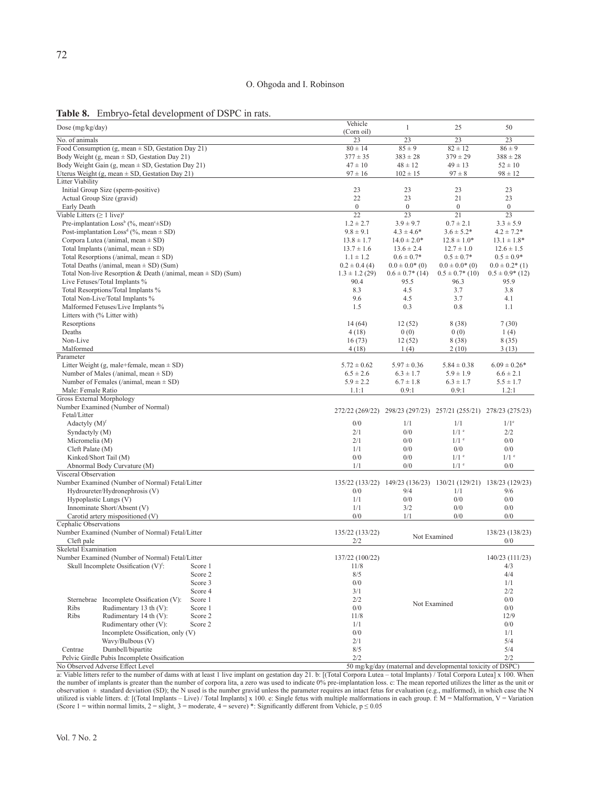#### O. Ohgoda and I. Robinson

| Dose (mg/kg/day)                                                                          | Vehicle<br>(Corn oil) | $\mathbf{1}$         | 25                                                              | 50                   |
|-------------------------------------------------------------------------------------------|-----------------------|----------------------|-----------------------------------------------------------------|----------------------|
| No. of animals                                                                            | 23                    | $\overline{23}$      | 23                                                              | 23                   |
| Food Consumption $(g, \text{mean} \pm SD, \text{Gestation Day 21})$                       | $80 \pm 14$           | $85 \pm 9$           | $82 \pm 12$                                                     | $86 \pm 9$           |
| Body Weight (g, mean $\pm$ SD, Gestation Day 21)                                          | $377 \pm 35$          | $383 \pm 28$         | $379 \pm 29$                                                    | $388 \pm 28$         |
| Body Weight Gain (g, mean $\pm$ SD, Gestation Day 21)                                     | $47 \pm 10$           | $48 \pm 12$          | $49 \pm 13$                                                     | $52 \pm 10$          |
| Uterus Weight (g, mean $\pm$ SD, Gestation Day 21)                                        | $97 \pm 16$           | $102 \pm 15$         | $97 \pm 8$                                                      | $98 \pm 12$          |
| Litter Viability                                                                          |                       |                      |                                                                 |                      |
| Initial Group Size (sperm-positive)                                                       | 23                    | 23                   | 23                                                              | 23                   |
| Actual Group Size (gravid)                                                                | 22                    | 23                   | 21                                                              | 23                   |
| Early Death                                                                               | $\boldsymbol{0}$      | $\boldsymbol{0}$     | $\boldsymbol{0}$                                                | $\boldsymbol{0}$     |
| Viable Litters $( \geq 1$ live) <sup>a</sup>                                              | 22                    | 23                   | 21                                                              | 23                   |
| Pre-implantation Loss <sup>b</sup> (%, mean <sup>c</sup> $\pm$ SD)                        | $1.2 \pm 2.7$         | $3.9 \pm 9.7$        | $0.7 \pm 2.1$                                                   | $3.3 \pm 5.9$        |
| Post-implantation Loss <sup>d</sup> (%, mean $\pm$ SD)                                    | $9.8 \pm 9.1$         | $4.3 \pm 4.6*$       | $3.6 \pm 5.2*$                                                  | $4.2 \pm 7.2*$       |
| Corpora Lutea (/animal, mean $\pm$ SD)                                                    | $13.8 \pm 1.7$        | $14.0 \pm 2.0*$      | $12.8 \pm 1.0*$                                                 | $13.1 \pm 1.8*$      |
| Total Implants (/animal, mean $\pm$ SD)                                                   | $13.7 \pm 1.6$        | $13.6 \pm 2.4$       | $12.7 \pm 1.0$                                                  | $12.6 \pm 1.5$       |
| Total Resorptions (/animal, mean $\pm$ SD)                                                | $1.1 \pm 1.2$         | $0.6 \pm 0.7*$       | $0.5 \pm 0.7*$                                                  | $0.5 \pm 0.9*$       |
| Total Deaths (/animal, mean $\pm$ SD) (Sum)                                               | $0.2 \pm 0.4$ (4)     | $0.0 \pm 0.0^*$ (0)  | $0.0 \pm 0.0^* (0)$                                             | $0.0 \pm 0.2^*$ (1)  |
| Total Non-live Resorption & Death (/animal, mean $\pm$ SD) (Sum)                          | $1.3 \pm 1.2$ (29)    | $0.6 \pm 0.7$ * (14) | $0.5 \pm 0.7^*$ (10)                                            | $0.5 \pm 0.9^*$ (12) |
| Live Fetuses/Total Implants %                                                             | 90.4                  | 95.5                 | 96.3                                                            | 95.9                 |
| Total Resorptions/Total Implants %                                                        | 8.3                   | 4.5                  | 3.7                                                             | 3.8                  |
| Total Non-Live/Total Implants %                                                           | 9.6                   | 4.5                  | 3.7                                                             | 4.1                  |
| Malformed Fetuses/Live Implants %                                                         | 1.5                   | 0.3                  | 0.8                                                             | 1.1                  |
| Litters with (% Litter with)                                                              |                       |                      |                                                                 |                      |
| Resorptions                                                                               | 14(64)                | 12(52)               | 8 (38)                                                          | 7(30)                |
| Deaths                                                                                    | 4(18)                 | 0(0)                 | 0(0)                                                            | 1(4)                 |
| Non-Live                                                                                  | 16(73)                | 12(52)               | 8(38)                                                           | 8(35)                |
| Malformed<br>Parameter                                                                    | 4(18)                 | 1(4)                 | 2(10)                                                           | 3(13)                |
|                                                                                           | $5.72 \pm 0.62$       | $5.97 \pm 0.36$      | $5.84 \pm 0.38$                                                 | $6.09 \pm 0.26*$     |
| Litter Weight (g, male+female, mean $\pm$ SD)<br>Number of Males (/animal, mean $\pm$ SD) | $6.5 \pm 2.6$         | $6.3 \pm 1.7$        | $5.9 \pm 1.9$                                                   | $6.6 \pm 2.1$        |
| Number of Females (/animal, mean $\pm$ SD)                                                | $5.9 \pm 2.2$         | $6.7 \pm 1.8$        | $6.3 \pm 1.7$                                                   | $5.5 \pm 1.7$        |
| Male: Female Ratio                                                                        | 1.1:1                 | 0.9:1                | 0.9:1                                                           | 1.2:1                |
| Gross External Morphology                                                                 |                       |                      |                                                                 |                      |
| Number Examined (Number of Normal)                                                        |                       |                      |                                                                 |                      |
| Fetal/Litter                                                                              |                       |                      | 272/22 (269/22) 298/23 (297/23) 257/21 (255/21) 278/23 (275/23) |                      |
| Adactyly $(M)^{t}$                                                                        | 0/0                   | 1/1                  | 1/1                                                             | $1/1$ <sup>c</sup>   |
| Syndactyly (M)                                                                            | 2/1                   | 0/0                  | $1/1$ $\degree$                                                 | 2/2                  |
| Micromelia (M)                                                                            | 2/1                   | 0/0                  | $1/1$ $\degree$                                                 | 0/0                  |
| Cleft Palate (M)                                                                          | 1/1                   | 0/0                  | 0/0                                                             | 0/0                  |
| Kinked/Short Tail (M)                                                                     | 0/0                   | 0/0                  | $1/1$ $\degree$                                                 | $1/1$ $\degree$      |
| Abnormal Body Curvature (M)                                                               | 1/1                   | 0/0                  | $1/1$ $\degree$                                                 | 0/0                  |
| Visceral Observation                                                                      |                       |                      |                                                                 |                      |
| Number Examined (Number of Normal) Fetal/Litter                                           | 135/22 (133/22)       |                      | 149/23 (136/23) 130/21 (129/21) 138/23 (129/23)                 |                      |
| Hydroureter/Hydronephrosis (V)                                                            | 0/0                   | 9/4                  | 1/1                                                             | 9/6                  |
| Hypoplastic Lungs (V)                                                                     | 1/1                   | 0/0                  | 0/0                                                             | 0/0                  |
| Innominate Short/Absent (V)                                                               | 1/1                   | 3/2                  | 0/0                                                             | 0/0                  |
| Carotid artery mispositioned (V)                                                          | 0/0                   | 1/1                  | 0/0                                                             | 0/0                  |
| Cephalic Observations                                                                     |                       |                      |                                                                 |                      |
| Number Examined (Number of Normal) Fetal/Litter                                           | 135/22 (133/22)       |                      | Not Examined                                                    | 138/23 (138/23)      |
| Cleft pale                                                                                | 2/2                   |                      |                                                                 | 0/0                  |
| Skeletal Examination                                                                      |                       |                      |                                                                 |                      |
| Number Examined (Number of Normal) Fetal/Litter                                           | 137/22 (100/22)       |                      |                                                                 | 140/23 (111/23)      |
| Skull Incomplete Ossification $(V)^f$ :<br>Score 1                                        | 11/8                  |                      |                                                                 | 4/3                  |
| Score 2                                                                                   | 8/5                   |                      |                                                                 | 4/4                  |
| Score 3                                                                                   | 0/0                   |                      |                                                                 | 1/1                  |
| Score 4                                                                                   | 3/1                   |                      |                                                                 | 2/2                  |
| Sternebrae Incomplete Ossification (V):<br>Score 1                                        | 2/2                   |                      | Not Examined                                                    | 0/0                  |
| Ribs<br>Rudimentary 13 th (V):<br>Score 1                                                 | 0/0                   |                      |                                                                 | 0/0                  |
| Ribs<br>Rudimentary 14 th (V):<br>Score 2                                                 | 11/8                  |                      |                                                                 | 12/9                 |
| Rudimentary other (V):<br>Score 2                                                         | 1/1                   |                      |                                                                 | 0/0                  |
| Incomplete Ossification, only (V)                                                         | 0/0                   |                      |                                                                 | 1/1                  |
| Wavy/Bulbous (V)                                                                          | 2/1                   |                      |                                                                 | 5/4                  |
| Dumbell/bipartite<br>Centrae                                                              | 8/5                   |                      |                                                                 | 5/4                  |
| Pelvic Girdle Pubis Incomplete Ossification                                               | 2/2                   |                      |                                                                 | 2/2                  |
| No Observed Adverse Effect Level                                                          |                       |                      | 50 mg/kg/day (maternal and developmental toxicity of DSPC)      |                      |

a: Viable litters refer to the number of dams with at least 1 live implant on gestation day 21. b: [(Total Corpora Lutea – total Implants) / Total Corpora Lutea] x 100. When the number of implants is greater than the number of corpora lita, a zero was used to indicate 0% pre-implantation loss. c: The mean reported utilizes the litter as the unit or observation  $\pm$  standard deviation (SD); the N used is the number gravid unless the parameter requires an intact fetus for evaluation (e.g., malformed), in which case the N utilized is viable litters. d: [(Total Implants – Live) / Total Implants] x 100. e: Single fetus with multiple malformations in each group. f: M = Malformation, V = Variation (Score 1 = within normal limits,  $2 =$  slight,  $3 =$  moderate,  $4 =$  severe) \*: Significantly different from Vehicle,  $p \le 0.05$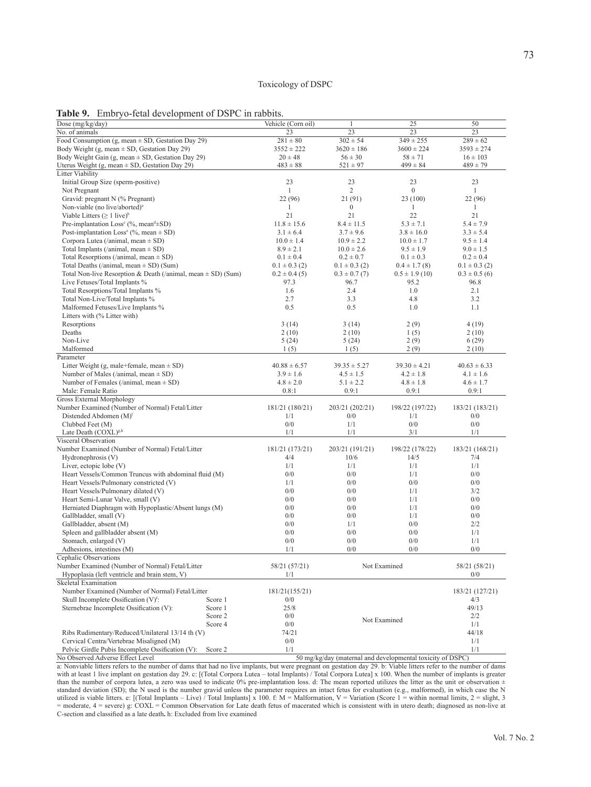#### Toxicology of DSPC

| Table 9. Embryo-fetal development of DSPC in rabbits. |  |
|-------------------------------------------------------|--|

| Vehicle (Corn oil)<br>$\overline{23}$<br>23<br>23<br>No. of animals<br>23<br>Food Consumption (g, mean $\pm$ SD, Gestation Day 29)<br>$281 \pm 80$<br>$302 \pm 54$<br>$349 \pm 255$<br>$289 \pm 62$<br>Body Weight (g, mean $\pm$ SD, Gestation Day 29)<br>$3620 \pm 186$<br>$3600 \pm 224$<br>$3593 \pm 274$<br>$3552 \pm 222$<br>Body Weight Gain (g, mean $\pm$ SD, Gestation Day 29)<br>$56 \pm 30$<br>$58 \pm 71$<br>$20 \pm 48$<br>$16 \pm 103$<br>Uterus Weight (g, mean $\pm$ SD, Gestation Day 29)<br>$483 \pm 88$<br>$521 \pm 97$<br>$499 \pm 84$<br>$489 \pm 79$<br><b>Litter Viability</b><br>23<br>23<br>Initial Group Size (sperm-positive)<br>23<br>23<br>$\mathbf{1}$<br>$\mathbf{2}$<br>$\boldsymbol{0}$<br>Not Pregnant<br>$\mathbf{1}$<br>Gravid: pregnant N (% Pregnant)<br>22(96)<br>21 (91)<br>23 (100)<br>22 (96)<br>Non-viable (no live/aborted) <sup>a</sup><br>$\boldsymbol{0}$<br>1<br>1<br>1<br>21<br>21<br>22<br>21<br>Viable Litters ( $\geq 1$ live) <sup>b</sup><br>Pre-implantation Loss <sup>c</sup> (%, mean <sup>d</sup> $\pm$ SD)<br>$11.8 \pm 15.6$<br>$8.4 \pm 11.5$<br>$5.3 \pm 7.1$<br>$5.4 \pm 7.9$<br>Post-implantation Loss <sup>e</sup> (%, mean $\pm$ SD)<br>$3.1 \pm 6.4$<br>$3.7 \pm 9.6$<br>$3.8 \pm 16.0$<br>$3.3 \pm 5.4$<br>Corpora Lutea (/animal, mean $\pm$ SD)<br>$10.0 \pm 1.4$<br>$10.9 \pm 2.2$<br>$9.5 \pm 1.4$<br>$10.0 \pm 1.7$<br>Total Implants (/animal, mean $\pm$ SD)<br>$10.0 \pm 2.6$<br>$8.9 \pm 2.1$<br>$9.5 \pm 1.9$<br>$9.0 \pm 1.5$<br>$0.2 \pm 0.7$<br>Total Resorptions (/animal, mean $\pm$ SD)<br>$0.1 \pm 0.4$<br>$0.1 \pm 0.3$<br>$0.2 \pm 0.4$<br>Total Deaths (/animal, mean $\pm$ SD) (Sum)<br>$0.1 \pm 0.3$ (2)<br>$0.1 \pm 0.3$ (2)<br>$0.4 \pm 1.7(8)$<br>$0.1 \pm 0.3$ (2)<br>Total Non-live Resorption & Death (/animal, mean $\pm$ SD) (Sum)<br>$0.2 \pm 0.4$ (5)<br>$0.3 \pm 0.7(7)$<br>$0.5 \pm 1.9$ (10)<br>$0.3 \pm 0.5$ (6)<br>Live Fetuses/Total Implants %<br>97.3<br>95.2<br>96.7<br>96.8<br>2.4<br>2.1<br>Total Resorptions/Total Implants %<br>1.6<br>1.0<br>Total Non-Live/Total Implants %<br>2.7<br>3.3<br>4.8<br>3.2<br>Malformed Fetuses/Live Implants %<br>0.5<br>0.5<br>1.0<br>1.1<br>Litters with (% Litter with)<br>Resorptions<br>2(9)<br>4(19)<br>3(14)<br>3(14)<br>Deaths<br>2(10)<br>2(10)<br>1(5)<br>2(10)<br>Non-Live<br>5(24)<br>5(24)<br>2(9)<br>6(29)<br>Malformed<br>1(5)<br>1(5)<br>2(9)<br>2(10)<br>Parameter<br>Litter Weight (g, male+female, mean $\pm$ SD)<br>$40.88 \pm 6.57$<br>$39.35 \pm 5.27$<br>$39.30 \pm 4.21$<br>$40.63 \pm 6.33$<br>Number of Males (/animal, mean $\pm$ SD)<br>$3.9 \pm 1.6$<br>$4.5 \pm 1.5$<br>$4.2 \pm 1.8$<br>$4.1 \pm 1.6$<br>Number of Females (/animal, mean $\pm$ SD)<br>$4.8 \pm 2.0$<br>$5.1 \pm 2.2$<br>$4.8 \pm 1.8$<br>$4.6 \pm 1.7$<br>Male: Female Ratio<br>0.8:1<br>0.9:1<br>0.9:1<br>0.9:1<br>Gross External Morphology<br>Number Examined (Number of Normal) Fetal/Litter<br>198/22 (197/22)<br>181/21 (180/21)<br>203/21 (202/21)<br>183/21 (183/21)<br>Distended Abdomen (M) <sup>f</sup><br>0/0<br>0/0<br>1/1<br>1/1<br>0/0<br>Clubbed Feet (M)<br>0/0<br>1/1<br>0/0<br>Late Death (COXL) <sup>g,h</sup><br>1/1<br>1/1<br>3/1<br>1/1<br>Visceral Observation<br>Number Examined (Number of Normal) Fetal/Litter<br>203/21 (191/21)<br>198/22 (178/22)<br>181/21 (173/21)<br>183/21 (168/21)<br>Hydronephrosis (V)<br>4/4<br>10/6<br>14/5<br>7/4<br>Liver, ectopic lobe (V)<br>1/1<br>1/1<br>1/1<br>1/1<br>Heart Vessels/Common Truncus with abdominal fluid (M)<br>0/0<br>0/0<br>1/1<br>0/0<br>0/0<br>Heart Vessels/Pulmonary constricted (V)<br>0/0<br>0/0<br>1/1<br>Heart Vessels/Pulmonary dilated (V)<br>0/0<br>0/0<br>1/1<br>3/2<br>Heart Semi-Lunar Valve, small (V)<br>0/0<br>0/0<br>1/1<br>0/0<br>Herniated Diaphragm with Hypoplastic/Absent lungs (M)<br>0/0<br>0/0<br>1/1<br>0/0<br>Gallbladder, small (V)<br>0/0<br>0/0<br>1/1<br>0/0<br>Gallbladder, absent (M)<br>0/0<br>0/0<br>2/2<br>1/1<br>Spleen and gallbladder absent (M)<br>0/0<br>0/0<br>0/0<br>1/1<br>Stomach, enlarged (V)<br>0/0<br>0/0<br>0/0<br>1/1<br>1/1<br>0/0<br>0/0<br>0/0<br>Adhesions, intestines (M)<br>Cephalic Observations<br>Number Examined (Number of Normal) Fetal/Litter<br>58/21 (57/21)<br>58/21 (58/21)<br>Not Examined<br>Hypoplasia (left ventricle and brain stem, V)<br>1/1<br>0/0<br><b>Skeletal Examination</b><br>Number Examined (Number of Normal) Fetal/Litter<br>181/21(155/21)<br>183/21 (127/21)<br>Skull Incomplete Ossification $(V)^f$ :<br>Score 1<br>0/0<br>4/3<br>Sternebrae Incomplete Ossification (V):<br>Score 1<br>25/8<br>49/13<br>Score 2<br>0/0<br>2/2<br>Not Examined<br>0/0<br>Score 4<br>1/1<br>Ribs Rudimentary/Reduced/Unilateral 13/14 th (V)<br>74/21<br>44/18<br>Cervical Centra/Vertebrae Misaligned (M)<br>0/0<br>1/1<br>Pelvic Girdle Pubis Incomplete Ossification (V):<br>1/1<br>Score 2<br>1/1<br>50 mg/kg/day (maternal and developmental toxicity of DSPC)<br>No Observed Adverse Effect Level |                  |  |   |    |    |
|---------------------------------------------------------------------------------------------------------------------------------------------------------------------------------------------------------------------------------------------------------------------------------------------------------------------------------------------------------------------------------------------------------------------------------------------------------------------------------------------------------------------------------------------------------------------------------------------------------------------------------------------------------------------------------------------------------------------------------------------------------------------------------------------------------------------------------------------------------------------------------------------------------------------------------------------------------------------------------------------------------------------------------------------------------------------------------------------------------------------------------------------------------------------------------------------------------------------------------------------------------------------------------------------------------------------------------------------------------------------------------------------------------------------------------------------------------------------------------------------------------------------------------------------------------------------------------------------------------------------------------------------------------------------------------------------------------------------------------------------------------------------------------------------------------------------------------------------------------------------------------------------------------------------------------------------------------------------------------------------------------------------------------------------------------------------------------------------------------------------------------------------------------------------------------------------------------------------------------------------------------------------------------------------------------------------------------------------------------------------------------------------------------------------------------------------------------------------------------------------------------------------------------------------------------------------------------------------------------------------------------------------------------------------------------------------------------------------------------------------------------------------------------------------------------------------------------------------------------------------------------------------------------------------------------------------------------------------------------------------------------------------------------------------------------------------------------------------------------------------------------------------------------------------------------------------------------------------------------------------------------------------------------------------------------------------------------------------------------------------------------------------------------------------------------------------------------------------------------------------------------------------------------------------------------------------------------------------------------------------------------------------------------------------------------------------------------------------------------------------------------------------------------------------------------------------------------------------------------------------------------------------------------------------------------------------------------------------------------------------------------------------------------------------------------------------------------------------------------------------------------------------------------------------------------------------------------------------------------------------------------------------------------------------------------------------------------------------------------------------------------------------------------------------------------------------------------------------------------------------------------------------------------------------------------------------------------------------------------------------------------------------------------------------------------------------------------------------------------------------------------------------------------------------------------------------------------------------------------------------------------------------------------------------------------------------------------------------------------------------------------------------|------------------|--|---|----|----|
|                                                                                                                                                                                                                                                                                                                                                                                                                                                                                                                                                                                                                                                                                                                                                                                                                                                                                                                                                                                                                                                                                                                                                                                                                                                                                                                                                                                                                                                                                                                                                                                                                                                                                                                                                                                                                                                                                                                                                                                                                                                                                                                                                                                                                                                                                                                                                                                                                                                                                                                                                                                                                                                                                                                                                                                                                                                                                                                                                                                                                                                                                                                                                                                                                                                                                                                                                                                                                                                                                                                                                                                                                                                                                                                                                                                                                                                                                                                                                                                                                                                                                                                                                                                                                                                                                                                                                                                                                                                                                                                                                                                                                                                                                                                                                                                                                                                                                                                                                                                                                     | Dose (mg/kg/day) |  | 1 | 25 | 50 |
|                                                                                                                                                                                                                                                                                                                                                                                                                                                                                                                                                                                                                                                                                                                                                                                                                                                                                                                                                                                                                                                                                                                                                                                                                                                                                                                                                                                                                                                                                                                                                                                                                                                                                                                                                                                                                                                                                                                                                                                                                                                                                                                                                                                                                                                                                                                                                                                                                                                                                                                                                                                                                                                                                                                                                                                                                                                                                                                                                                                                                                                                                                                                                                                                                                                                                                                                                                                                                                                                                                                                                                                                                                                                                                                                                                                                                                                                                                                                                                                                                                                                                                                                                                                                                                                                                                                                                                                                                                                                                                                                                                                                                                                                                                                                                                                                                                                                                                                                                                                                                     |                  |  |   |    |    |
|                                                                                                                                                                                                                                                                                                                                                                                                                                                                                                                                                                                                                                                                                                                                                                                                                                                                                                                                                                                                                                                                                                                                                                                                                                                                                                                                                                                                                                                                                                                                                                                                                                                                                                                                                                                                                                                                                                                                                                                                                                                                                                                                                                                                                                                                                                                                                                                                                                                                                                                                                                                                                                                                                                                                                                                                                                                                                                                                                                                                                                                                                                                                                                                                                                                                                                                                                                                                                                                                                                                                                                                                                                                                                                                                                                                                                                                                                                                                                                                                                                                                                                                                                                                                                                                                                                                                                                                                                                                                                                                                                                                                                                                                                                                                                                                                                                                                                                                                                                                                                     |                  |  |   |    |    |
|                                                                                                                                                                                                                                                                                                                                                                                                                                                                                                                                                                                                                                                                                                                                                                                                                                                                                                                                                                                                                                                                                                                                                                                                                                                                                                                                                                                                                                                                                                                                                                                                                                                                                                                                                                                                                                                                                                                                                                                                                                                                                                                                                                                                                                                                                                                                                                                                                                                                                                                                                                                                                                                                                                                                                                                                                                                                                                                                                                                                                                                                                                                                                                                                                                                                                                                                                                                                                                                                                                                                                                                                                                                                                                                                                                                                                                                                                                                                                                                                                                                                                                                                                                                                                                                                                                                                                                                                                                                                                                                                                                                                                                                                                                                                                                                                                                                                                                                                                                                                                     |                  |  |   |    |    |
|                                                                                                                                                                                                                                                                                                                                                                                                                                                                                                                                                                                                                                                                                                                                                                                                                                                                                                                                                                                                                                                                                                                                                                                                                                                                                                                                                                                                                                                                                                                                                                                                                                                                                                                                                                                                                                                                                                                                                                                                                                                                                                                                                                                                                                                                                                                                                                                                                                                                                                                                                                                                                                                                                                                                                                                                                                                                                                                                                                                                                                                                                                                                                                                                                                                                                                                                                                                                                                                                                                                                                                                                                                                                                                                                                                                                                                                                                                                                                                                                                                                                                                                                                                                                                                                                                                                                                                                                                                                                                                                                                                                                                                                                                                                                                                                                                                                                                                                                                                                                                     |                  |  |   |    |    |
|                                                                                                                                                                                                                                                                                                                                                                                                                                                                                                                                                                                                                                                                                                                                                                                                                                                                                                                                                                                                                                                                                                                                                                                                                                                                                                                                                                                                                                                                                                                                                                                                                                                                                                                                                                                                                                                                                                                                                                                                                                                                                                                                                                                                                                                                                                                                                                                                                                                                                                                                                                                                                                                                                                                                                                                                                                                                                                                                                                                                                                                                                                                                                                                                                                                                                                                                                                                                                                                                                                                                                                                                                                                                                                                                                                                                                                                                                                                                                                                                                                                                                                                                                                                                                                                                                                                                                                                                                                                                                                                                                                                                                                                                                                                                                                                                                                                                                                                                                                                                                     |                  |  |   |    |    |
|                                                                                                                                                                                                                                                                                                                                                                                                                                                                                                                                                                                                                                                                                                                                                                                                                                                                                                                                                                                                                                                                                                                                                                                                                                                                                                                                                                                                                                                                                                                                                                                                                                                                                                                                                                                                                                                                                                                                                                                                                                                                                                                                                                                                                                                                                                                                                                                                                                                                                                                                                                                                                                                                                                                                                                                                                                                                                                                                                                                                                                                                                                                                                                                                                                                                                                                                                                                                                                                                                                                                                                                                                                                                                                                                                                                                                                                                                                                                                                                                                                                                                                                                                                                                                                                                                                                                                                                                                                                                                                                                                                                                                                                                                                                                                                                                                                                                                                                                                                                                                     |                  |  |   |    |    |
|                                                                                                                                                                                                                                                                                                                                                                                                                                                                                                                                                                                                                                                                                                                                                                                                                                                                                                                                                                                                                                                                                                                                                                                                                                                                                                                                                                                                                                                                                                                                                                                                                                                                                                                                                                                                                                                                                                                                                                                                                                                                                                                                                                                                                                                                                                                                                                                                                                                                                                                                                                                                                                                                                                                                                                                                                                                                                                                                                                                                                                                                                                                                                                                                                                                                                                                                                                                                                                                                                                                                                                                                                                                                                                                                                                                                                                                                                                                                                                                                                                                                                                                                                                                                                                                                                                                                                                                                                                                                                                                                                                                                                                                                                                                                                                                                                                                                                                                                                                                                                     |                  |  |   |    |    |
|                                                                                                                                                                                                                                                                                                                                                                                                                                                                                                                                                                                                                                                                                                                                                                                                                                                                                                                                                                                                                                                                                                                                                                                                                                                                                                                                                                                                                                                                                                                                                                                                                                                                                                                                                                                                                                                                                                                                                                                                                                                                                                                                                                                                                                                                                                                                                                                                                                                                                                                                                                                                                                                                                                                                                                                                                                                                                                                                                                                                                                                                                                                                                                                                                                                                                                                                                                                                                                                                                                                                                                                                                                                                                                                                                                                                                                                                                                                                                                                                                                                                                                                                                                                                                                                                                                                                                                                                                                                                                                                                                                                                                                                                                                                                                                                                                                                                                                                                                                                                                     |                  |  |   |    |    |
|                                                                                                                                                                                                                                                                                                                                                                                                                                                                                                                                                                                                                                                                                                                                                                                                                                                                                                                                                                                                                                                                                                                                                                                                                                                                                                                                                                                                                                                                                                                                                                                                                                                                                                                                                                                                                                                                                                                                                                                                                                                                                                                                                                                                                                                                                                                                                                                                                                                                                                                                                                                                                                                                                                                                                                                                                                                                                                                                                                                                                                                                                                                                                                                                                                                                                                                                                                                                                                                                                                                                                                                                                                                                                                                                                                                                                                                                                                                                                                                                                                                                                                                                                                                                                                                                                                                                                                                                                                                                                                                                                                                                                                                                                                                                                                                                                                                                                                                                                                                                                     |                  |  |   |    |    |
|                                                                                                                                                                                                                                                                                                                                                                                                                                                                                                                                                                                                                                                                                                                                                                                                                                                                                                                                                                                                                                                                                                                                                                                                                                                                                                                                                                                                                                                                                                                                                                                                                                                                                                                                                                                                                                                                                                                                                                                                                                                                                                                                                                                                                                                                                                                                                                                                                                                                                                                                                                                                                                                                                                                                                                                                                                                                                                                                                                                                                                                                                                                                                                                                                                                                                                                                                                                                                                                                                                                                                                                                                                                                                                                                                                                                                                                                                                                                                                                                                                                                                                                                                                                                                                                                                                                                                                                                                                                                                                                                                                                                                                                                                                                                                                                                                                                                                                                                                                                                                     |                  |  |   |    |    |
|                                                                                                                                                                                                                                                                                                                                                                                                                                                                                                                                                                                                                                                                                                                                                                                                                                                                                                                                                                                                                                                                                                                                                                                                                                                                                                                                                                                                                                                                                                                                                                                                                                                                                                                                                                                                                                                                                                                                                                                                                                                                                                                                                                                                                                                                                                                                                                                                                                                                                                                                                                                                                                                                                                                                                                                                                                                                                                                                                                                                                                                                                                                                                                                                                                                                                                                                                                                                                                                                                                                                                                                                                                                                                                                                                                                                                                                                                                                                                                                                                                                                                                                                                                                                                                                                                                                                                                                                                                                                                                                                                                                                                                                                                                                                                                                                                                                                                                                                                                                                                     |                  |  |   |    |    |
|                                                                                                                                                                                                                                                                                                                                                                                                                                                                                                                                                                                                                                                                                                                                                                                                                                                                                                                                                                                                                                                                                                                                                                                                                                                                                                                                                                                                                                                                                                                                                                                                                                                                                                                                                                                                                                                                                                                                                                                                                                                                                                                                                                                                                                                                                                                                                                                                                                                                                                                                                                                                                                                                                                                                                                                                                                                                                                                                                                                                                                                                                                                                                                                                                                                                                                                                                                                                                                                                                                                                                                                                                                                                                                                                                                                                                                                                                                                                                                                                                                                                                                                                                                                                                                                                                                                                                                                                                                                                                                                                                                                                                                                                                                                                                                                                                                                                                                                                                                                                                     |                  |  |   |    |    |
|                                                                                                                                                                                                                                                                                                                                                                                                                                                                                                                                                                                                                                                                                                                                                                                                                                                                                                                                                                                                                                                                                                                                                                                                                                                                                                                                                                                                                                                                                                                                                                                                                                                                                                                                                                                                                                                                                                                                                                                                                                                                                                                                                                                                                                                                                                                                                                                                                                                                                                                                                                                                                                                                                                                                                                                                                                                                                                                                                                                                                                                                                                                                                                                                                                                                                                                                                                                                                                                                                                                                                                                                                                                                                                                                                                                                                                                                                                                                                                                                                                                                                                                                                                                                                                                                                                                                                                                                                                                                                                                                                                                                                                                                                                                                                                                                                                                                                                                                                                                                                     |                  |  |   |    |    |
|                                                                                                                                                                                                                                                                                                                                                                                                                                                                                                                                                                                                                                                                                                                                                                                                                                                                                                                                                                                                                                                                                                                                                                                                                                                                                                                                                                                                                                                                                                                                                                                                                                                                                                                                                                                                                                                                                                                                                                                                                                                                                                                                                                                                                                                                                                                                                                                                                                                                                                                                                                                                                                                                                                                                                                                                                                                                                                                                                                                                                                                                                                                                                                                                                                                                                                                                                                                                                                                                                                                                                                                                                                                                                                                                                                                                                                                                                                                                                                                                                                                                                                                                                                                                                                                                                                                                                                                                                                                                                                                                                                                                                                                                                                                                                                                                                                                                                                                                                                                                                     |                  |  |   |    |    |
|                                                                                                                                                                                                                                                                                                                                                                                                                                                                                                                                                                                                                                                                                                                                                                                                                                                                                                                                                                                                                                                                                                                                                                                                                                                                                                                                                                                                                                                                                                                                                                                                                                                                                                                                                                                                                                                                                                                                                                                                                                                                                                                                                                                                                                                                                                                                                                                                                                                                                                                                                                                                                                                                                                                                                                                                                                                                                                                                                                                                                                                                                                                                                                                                                                                                                                                                                                                                                                                                                                                                                                                                                                                                                                                                                                                                                                                                                                                                                                                                                                                                                                                                                                                                                                                                                                                                                                                                                                                                                                                                                                                                                                                                                                                                                                                                                                                                                                                                                                                                                     |                  |  |   |    |    |
|                                                                                                                                                                                                                                                                                                                                                                                                                                                                                                                                                                                                                                                                                                                                                                                                                                                                                                                                                                                                                                                                                                                                                                                                                                                                                                                                                                                                                                                                                                                                                                                                                                                                                                                                                                                                                                                                                                                                                                                                                                                                                                                                                                                                                                                                                                                                                                                                                                                                                                                                                                                                                                                                                                                                                                                                                                                                                                                                                                                                                                                                                                                                                                                                                                                                                                                                                                                                                                                                                                                                                                                                                                                                                                                                                                                                                                                                                                                                                                                                                                                                                                                                                                                                                                                                                                                                                                                                                                                                                                                                                                                                                                                                                                                                                                                                                                                                                                                                                                                                                     |                  |  |   |    |    |
|                                                                                                                                                                                                                                                                                                                                                                                                                                                                                                                                                                                                                                                                                                                                                                                                                                                                                                                                                                                                                                                                                                                                                                                                                                                                                                                                                                                                                                                                                                                                                                                                                                                                                                                                                                                                                                                                                                                                                                                                                                                                                                                                                                                                                                                                                                                                                                                                                                                                                                                                                                                                                                                                                                                                                                                                                                                                                                                                                                                                                                                                                                                                                                                                                                                                                                                                                                                                                                                                                                                                                                                                                                                                                                                                                                                                                                                                                                                                                                                                                                                                                                                                                                                                                                                                                                                                                                                                                                                                                                                                                                                                                                                                                                                                                                                                                                                                                                                                                                                                                     |                  |  |   |    |    |
|                                                                                                                                                                                                                                                                                                                                                                                                                                                                                                                                                                                                                                                                                                                                                                                                                                                                                                                                                                                                                                                                                                                                                                                                                                                                                                                                                                                                                                                                                                                                                                                                                                                                                                                                                                                                                                                                                                                                                                                                                                                                                                                                                                                                                                                                                                                                                                                                                                                                                                                                                                                                                                                                                                                                                                                                                                                                                                                                                                                                                                                                                                                                                                                                                                                                                                                                                                                                                                                                                                                                                                                                                                                                                                                                                                                                                                                                                                                                                                                                                                                                                                                                                                                                                                                                                                                                                                                                                                                                                                                                                                                                                                                                                                                                                                                                                                                                                                                                                                                                                     |                  |  |   |    |    |
|                                                                                                                                                                                                                                                                                                                                                                                                                                                                                                                                                                                                                                                                                                                                                                                                                                                                                                                                                                                                                                                                                                                                                                                                                                                                                                                                                                                                                                                                                                                                                                                                                                                                                                                                                                                                                                                                                                                                                                                                                                                                                                                                                                                                                                                                                                                                                                                                                                                                                                                                                                                                                                                                                                                                                                                                                                                                                                                                                                                                                                                                                                                                                                                                                                                                                                                                                                                                                                                                                                                                                                                                                                                                                                                                                                                                                                                                                                                                                                                                                                                                                                                                                                                                                                                                                                                                                                                                                                                                                                                                                                                                                                                                                                                                                                                                                                                                                                                                                                                                                     |                  |  |   |    |    |
|                                                                                                                                                                                                                                                                                                                                                                                                                                                                                                                                                                                                                                                                                                                                                                                                                                                                                                                                                                                                                                                                                                                                                                                                                                                                                                                                                                                                                                                                                                                                                                                                                                                                                                                                                                                                                                                                                                                                                                                                                                                                                                                                                                                                                                                                                                                                                                                                                                                                                                                                                                                                                                                                                                                                                                                                                                                                                                                                                                                                                                                                                                                                                                                                                                                                                                                                                                                                                                                                                                                                                                                                                                                                                                                                                                                                                                                                                                                                                                                                                                                                                                                                                                                                                                                                                                                                                                                                                                                                                                                                                                                                                                                                                                                                                                                                                                                                                                                                                                                                                     |                  |  |   |    |    |
|                                                                                                                                                                                                                                                                                                                                                                                                                                                                                                                                                                                                                                                                                                                                                                                                                                                                                                                                                                                                                                                                                                                                                                                                                                                                                                                                                                                                                                                                                                                                                                                                                                                                                                                                                                                                                                                                                                                                                                                                                                                                                                                                                                                                                                                                                                                                                                                                                                                                                                                                                                                                                                                                                                                                                                                                                                                                                                                                                                                                                                                                                                                                                                                                                                                                                                                                                                                                                                                                                                                                                                                                                                                                                                                                                                                                                                                                                                                                                                                                                                                                                                                                                                                                                                                                                                                                                                                                                                                                                                                                                                                                                                                                                                                                                                                                                                                                                                                                                                                                                     |                  |  |   |    |    |
|                                                                                                                                                                                                                                                                                                                                                                                                                                                                                                                                                                                                                                                                                                                                                                                                                                                                                                                                                                                                                                                                                                                                                                                                                                                                                                                                                                                                                                                                                                                                                                                                                                                                                                                                                                                                                                                                                                                                                                                                                                                                                                                                                                                                                                                                                                                                                                                                                                                                                                                                                                                                                                                                                                                                                                                                                                                                                                                                                                                                                                                                                                                                                                                                                                                                                                                                                                                                                                                                                                                                                                                                                                                                                                                                                                                                                                                                                                                                                                                                                                                                                                                                                                                                                                                                                                                                                                                                                                                                                                                                                                                                                                                                                                                                                                                                                                                                                                                                                                                                                     |                  |  |   |    |    |
|                                                                                                                                                                                                                                                                                                                                                                                                                                                                                                                                                                                                                                                                                                                                                                                                                                                                                                                                                                                                                                                                                                                                                                                                                                                                                                                                                                                                                                                                                                                                                                                                                                                                                                                                                                                                                                                                                                                                                                                                                                                                                                                                                                                                                                                                                                                                                                                                                                                                                                                                                                                                                                                                                                                                                                                                                                                                                                                                                                                                                                                                                                                                                                                                                                                                                                                                                                                                                                                                                                                                                                                                                                                                                                                                                                                                                                                                                                                                                                                                                                                                                                                                                                                                                                                                                                                                                                                                                                                                                                                                                                                                                                                                                                                                                                                                                                                                                                                                                                                                                     |                  |  |   |    |    |
|                                                                                                                                                                                                                                                                                                                                                                                                                                                                                                                                                                                                                                                                                                                                                                                                                                                                                                                                                                                                                                                                                                                                                                                                                                                                                                                                                                                                                                                                                                                                                                                                                                                                                                                                                                                                                                                                                                                                                                                                                                                                                                                                                                                                                                                                                                                                                                                                                                                                                                                                                                                                                                                                                                                                                                                                                                                                                                                                                                                                                                                                                                                                                                                                                                                                                                                                                                                                                                                                                                                                                                                                                                                                                                                                                                                                                                                                                                                                                                                                                                                                                                                                                                                                                                                                                                                                                                                                                                                                                                                                                                                                                                                                                                                                                                                                                                                                                                                                                                                                                     |                  |  |   |    |    |
|                                                                                                                                                                                                                                                                                                                                                                                                                                                                                                                                                                                                                                                                                                                                                                                                                                                                                                                                                                                                                                                                                                                                                                                                                                                                                                                                                                                                                                                                                                                                                                                                                                                                                                                                                                                                                                                                                                                                                                                                                                                                                                                                                                                                                                                                                                                                                                                                                                                                                                                                                                                                                                                                                                                                                                                                                                                                                                                                                                                                                                                                                                                                                                                                                                                                                                                                                                                                                                                                                                                                                                                                                                                                                                                                                                                                                                                                                                                                                                                                                                                                                                                                                                                                                                                                                                                                                                                                                                                                                                                                                                                                                                                                                                                                                                                                                                                                                                                                                                                                                     |                  |  |   |    |    |
|                                                                                                                                                                                                                                                                                                                                                                                                                                                                                                                                                                                                                                                                                                                                                                                                                                                                                                                                                                                                                                                                                                                                                                                                                                                                                                                                                                                                                                                                                                                                                                                                                                                                                                                                                                                                                                                                                                                                                                                                                                                                                                                                                                                                                                                                                                                                                                                                                                                                                                                                                                                                                                                                                                                                                                                                                                                                                                                                                                                                                                                                                                                                                                                                                                                                                                                                                                                                                                                                                                                                                                                                                                                                                                                                                                                                                                                                                                                                                                                                                                                                                                                                                                                                                                                                                                                                                                                                                                                                                                                                                                                                                                                                                                                                                                                                                                                                                                                                                                                                                     |                  |  |   |    |    |
|                                                                                                                                                                                                                                                                                                                                                                                                                                                                                                                                                                                                                                                                                                                                                                                                                                                                                                                                                                                                                                                                                                                                                                                                                                                                                                                                                                                                                                                                                                                                                                                                                                                                                                                                                                                                                                                                                                                                                                                                                                                                                                                                                                                                                                                                                                                                                                                                                                                                                                                                                                                                                                                                                                                                                                                                                                                                                                                                                                                                                                                                                                                                                                                                                                                                                                                                                                                                                                                                                                                                                                                                                                                                                                                                                                                                                                                                                                                                                                                                                                                                                                                                                                                                                                                                                                                                                                                                                                                                                                                                                                                                                                                                                                                                                                                                                                                                                                                                                                                                                     |                  |  |   |    |    |
|                                                                                                                                                                                                                                                                                                                                                                                                                                                                                                                                                                                                                                                                                                                                                                                                                                                                                                                                                                                                                                                                                                                                                                                                                                                                                                                                                                                                                                                                                                                                                                                                                                                                                                                                                                                                                                                                                                                                                                                                                                                                                                                                                                                                                                                                                                                                                                                                                                                                                                                                                                                                                                                                                                                                                                                                                                                                                                                                                                                                                                                                                                                                                                                                                                                                                                                                                                                                                                                                                                                                                                                                                                                                                                                                                                                                                                                                                                                                                                                                                                                                                                                                                                                                                                                                                                                                                                                                                                                                                                                                                                                                                                                                                                                                                                                                                                                                                                                                                                                                                     |                  |  |   |    |    |
|                                                                                                                                                                                                                                                                                                                                                                                                                                                                                                                                                                                                                                                                                                                                                                                                                                                                                                                                                                                                                                                                                                                                                                                                                                                                                                                                                                                                                                                                                                                                                                                                                                                                                                                                                                                                                                                                                                                                                                                                                                                                                                                                                                                                                                                                                                                                                                                                                                                                                                                                                                                                                                                                                                                                                                                                                                                                                                                                                                                                                                                                                                                                                                                                                                                                                                                                                                                                                                                                                                                                                                                                                                                                                                                                                                                                                                                                                                                                                                                                                                                                                                                                                                                                                                                                                                                                                                                                                                                                                                                                                                                                                                                                                                                                                                                                                                                                                                                                                                                                                     |                  |  |   |    |    |
|                                                                                                                                                                                                                                                                                                                                                                                                                                                                                                                                                                                                                                                                                                                                                                                                                                                                                                                                                                                                                                                                                                                                                                                                                                                                                                                                                                                                                                                                                                                                                                                                                                                                                                                                                                                                                                                                                                                                                                                                                                                                                                                                                                                                                                                                                                                                                                                                                                                                                                                                                                                                                                                                                                                                                                                                                                                                                                                                                                                                                                                                                                                                                                                                                                                                                                                                                                                                                                                                                                                                                                                                                                                                                                                                                                                                                                                                                                                                                                                                                                                                                                                                                                                                                                                                                                                                                                                                                                                                                                                                                                                                                                                                                                                                                                                                                                                                                                                                                                                                                     |                  |  |   |    |    |
|                                                                                                                                                                                                                                                                                                                                                                                                                                                                                                                                                                                                                                                                                                                                                                                                                                                                                                                                                                                                                                                                                                                                                                                                                                                                                                                                                                                                                                                                                                                                                                                                                                                                                                                                                                                                                                                                                                                                                                                                                                                                                                                                                                                                                                                                                                                                                                                                                                                                                                                                                                                                                                                                                                                                                                                                                                                                                                                                                                                                                                                                                                                                                                                                                                                                                                                                                                                                                                                                                                                                                                                                                                                                                                                                                                                                                                                                                                                                                                                                                                                                                                                                                                                                                                                                                                                                                                                                                                                                                                                                                                                                                                                                                                                                                                                                                                                                                                                                                                                                                     |                  |  |   |    |    |
|                                                                                                                                                                                                                                                                                                                                                                                                                                                                                                                                                                                                                                                                                                                                                                                                                                                                                                                                                                                                                                                                                                                                                                                                                                                                                                                                                                                                                                                                                                                                                                                                                                                                                                                                                                                                                                                                                                                                                                                                                                                                                                                                                                                                                                                                                                                                                                                                                                                                                                                                                                                                                                                                                                                                                                                                                                                                                                                                                                                                                                                                                                                                                                                                                                                                                                                                                                                                                                                                                                                                                                                                                                                                                                                                                                                                                                                                                                                                                                                                                                                                                                                                                                                                                                                                                                                                                                                                                                                                                                                                                                                                                                                                                                                                                                                                                                                                                                                                                                                                                     |                  |  |   |    |    |
|                                                                                                                                                                                                                                                                                                                                                                                                                                                                                                                                                                                                                                                                                                                                                                                                                                                                                                                                                                                                                                                                                                                                                                                                                                                                                                                                                                                                                                                                                                                                                                                                                                                                                                                                                                                                                                                                                                                                                                                                                                                                                                                                                                                                                                                                                                                                                                                                                                                                                                                                                                                                                                                                                                                                                                                                                                                                                                                                                                                                                                                                                                                                                                                                                                                                                                                                                                                                                                                                                                                                                                                                                                                                                                                                                                                                                                                                                                                                                                                                                                                                                                                                                                                                                                                                                                                                                                                                                                                                                                                                                                                                                                                                                                                                                                                                                                                                                                                                                                                                                     |                  |  |   |    |    |
|                                                                                                                                                                                                                                                                                                                                                                                                                                                                                                                                                                                                                                                                                                                                                                                                                                                                                                                                                                                                                                                                                                                                                                                                                                                                                                                                                                                                                                                                                                                                                                                                                                                                                                                                                                                                                                                                                                                                                                                                                                                                                                                                                                                                                                                                                                                                                                                                                                                                                                                                                                                                                                                                                                                                                                                                                                                                                                                                                                                                                                                                                                                                                                                                                                                                                                                                                                                                                                                                                                                                                                                                                                                                                                                                                                                                                                                                                                                                                                                                                                                                                                                                                                                                                                                                                                                                                                                                                                                                                                                                                                                                                                                                                                                                                                                                                                                                                                                                                                                                                     |                  |  |   |    |    |
|                                                                                                                                                                                                                                                                                                                                                                                                                                                                                                                                                                                                                                                                                                                                                                                                                                                                                                                                                                                                                                                                                                                                                                                                                                                                                                                                                                                                                                                                                                                                                                                                                                                                                                                                                                                                                                                                                                                                                                                                                                                                                                                                                                                                                                                                                                                                                                                                                                                                                                                                                                                                                                                                                                                                                                                                                                                                                                                                                                                                                                                                                                                                                                                                                                                                                                                                                                                                                                                                                                                                                                                                                                                                                                                                                                                                                                                                                                                                                                                                                                                                                                                                                                                                                                                                                                                                                                                                                                                                                                                                                                                                                                                                                                                                                                                                                                                                                                                                                                                                                     |                  |  |   |    |    |
|                                                                                                                                                                                                                                                                                                                                                                                                                                                                                                                                                                                                                                                                                                                                                                                                                                                                                                                                                                                                                                                                                                                                                                                                                                                                                                                                                                                                                                                                                                                                                                                                                                                                                                                                                                                                                                                                                                                                                                                                                                                                                                                                                                                                                                                                                                                                                                                                                                                                                                                                                                                                                                                                                                                                                                                                                                                                                                                                                                                                                                                                                                                                                                                                                                                                                                                                                                                                                                                                                                                                                                                                                                                                                                                                                                                                                                                                                                                                                                                                                                                                                                                                                                                                                                                                                                                                                                                                                                                                                                                                                                                                                                                                                                                                                                                                                                                                                                                                                                                                                     |                  |  |   |    |    |
|                                                                                                                                                                                                                                                                                                                                                                                                                                                                                                                                                                                                                                                                                                                                                                                                                                                                                                                                                                                                                                                                                                                                                                                                                                                                                                                                                                                                                                                                                                                                                                                                                                                                                                                                                                                                                                                                                                                                                                                                                                                                                                                                                                                                                                                                                                                                                                                                                                                                                                                                                                                                                                                                                                                                                                                                                                                                                                                                                                                                                                                                                                                                                                                                                                                                                                                                                                                                                                                                                                                                                                                                                                                                                                                                                                                                                                                                                                                                                                                                                                                                                                                                                                                                                                                                                                                                                                                                                                                                                                                                                                                                                                                                                                                                                                                                                                                                                                                                                                                                                     |                  |  |   |    |    |
|                                                                                                                                                                                                                                                                                                                                                                                                                                                                                                                                                                                                                                                                                                                                                                                                                                                                                                                                                                                                                                                                                                                                                                                                                                                                                                                                                                                                                                                                                                                                                                                                                                                                                                                                                                                                                                                                                                                                                                                                                                                                                                                                                                                                                                                                                                                                                                                                                                                                                                                                                                                                                                                                                                                                                                                                                                                                                                                                                                                                                                                                                                                                                                                                                                                                                                                                                                                                                                                                                                                                                                                                                                                                                                                                                                                                                                                                                                                                                                                                                                                                                                                                                                                                                                                                                                                                                                                                                                                                                                                                                                                                                                                                                                                                                                                                                                                                                                                                                                                                                     |                  |  |   |    |    |
|                                                                                                                                                                                                                                                                                                                                                                                                                                                                                                                                                                                                                                                                                                                                                                                                                                                                                                                                                                                                                                                                                                                                                                                                                                                                                                                                                                                                                                                                                                                                                                                                                                                                                                                                                                                                                                                                                                                                                                                                                                                                                                                                                                                                                                                                                                                                                                                                                                                                                                                                                                                                                                                                                                                                                                                                                                                                                                                                                                                                                                                                                                                                                                                                                                                                                                                                                                                                                                                                                                                                                                                                                                                                                                                                                                                                                                                                                                                                                                                                                                                                                                                                                                                                                                                                                                                                                                                                                                                                                                                                                                                                                                                                                                                                                                                                                                                                                                                                                                                                                     |                  |  |   |    |    |
|                                                                                                                                                                                                                                                                                                                                                                                                                                                                                                                                                                                                                                                                                                                                                                                                                                                                                                                                                                                                                                                                                                                                                                                                                                                                                                                                                                                                                                                                                                                                                                                                                                                                                                                                                                                                                                                                                                                                                                                                                                                                                                                                                                                                                                                                                                                                                                                                                                                                                                                                                                                                                                                                                                                                                                                                                                                                                                                                                                                                                                                                                                                                                                                                                                                                                                                                                                                                                                                                                                                                                                                                                                                                                                                                                                                                                                                                                                                                                                                                                                                                                                                                                                                                                                                                                                                                                                                                                                                                                                                                                                                                                                                                                                                                                                                                                                                                                                                                                                                                                     |                  |  |   |    |    |
|                                                                                                                                                                                                                                                                                                                                                                                                                                                                                                                                                                                                                                                                                                                                                                                                                                                                                                                                                                                                                                                                                                                                                                                                                                                                                                                                                                                                                                                                                                                                                                                                                                                                                                                                                                                                                                                                                                                                                                                                                                                                                                                                                                                                                                                                                                                                                                                                                                                                                                                                                                                                                                                                                                                                                                                                                                                                                                                                                                                                                                                                                                                                                                                                                                                                                                                                                                                                                                                                                                                                                                                                                                                                                                                                                                                                                                                                                                                                                                                                                                                                                                                                                                                                                                                                                                                                                                                                                                                                                                                                                                                                                                                                                                                                                                                                                                                                                                                                                                                                                     |                  |  |   |    |    |
|                                                                                                                                                                                                                                                                                                                                                                                                                                                                                                                                                                                                                                                                                                                                                                                                                                                                                                                                                                                                                                                                                                                                                                                                                                                                                                                                                                                                                                                                                                                                                                                                                                                                                                                                                                                                                                                                                                                                                                                                                                                                                                                                                                                                                                                                                                                                                                                                                                                                                                                                                                                                                                                                                                                                                                                                                                                                                                                                                                                                                                                                                                                                                                                                                                                                                                                                                                                                                                                                                                                                                                                                                                                                                                                                                                                                                                                                                                                                                                                                                                                                                                                                                                                                                                                                                                                                                                                                                                                                                                                                                                                                                                                                                                                                                                                                                                                                                                                                                                                                                     |                  |  |   |    |    |
|                                                                                                                                                                                                                                                                                                                                                                                                                                                                                                                                                                                                                                                                                                                                                                                                                                                                                                                                                                                                                                                                                                                                                                                                                                                                                                                                                                                                                                                                                                                                                                                                                                                                                                                                                                                                                                                                                                                                                                                                                                                                                                                                                                                                                                                                                                                                                                                                                                                                                                                                                                                                                                                                                                                                                                                                                                                                                                                                                                                                                                                                                                                                                                                                                                                                                                                                                                                                                                                                                                                                                                                                                                                                                                                                                                                                                                                                                                                                                                                                                                                                                                                                                                                                                                                                                                                                                                                                                                                                                                                                                                                                                                                                                                                                                                                                                                                                                                                                                                                                                     |                  |  |   |    |    |
|                                                                                                                                                                                                                                                                                                                                                                                                                                                                                                                                                                                                                                                                                                                                                                                                                                                                                                                                                                                                                                                                                                                                                                                                                                                                                                                                                                                                                                                                                                                                                                                                                                                                                                                                                                                                                                                                                                                                                                                                                                                                                                                                                                                                                                                                                                                                                                                                                                                                                                                                                                                                                                                                                                                                                                                                                                                                                                                                                                                                                                                                                                                                                                                                                                                                                                                                                                                                                                                                                                                                                                                                                                                                                                                                                                                                                                                                                                                                                                                                                                                                                                                                                                                                                                                                                                                                                                                                                                                                                                                                                                                                                                                                                                                                                                                                                                                                                                                                                                                                                     |                  |  |   |    |    |
|                                                                                                                                                                                                                                                                                                                                                                                                                                                                                                                                                                                                                                                                                                                                                                                                                                                                                                                                                                                                                                                                                                                                                                                                                                                                                                                                                                                                                                                                                                                                                                                                                                                                                                                                                                                                                                                                                                                                                                                                                                                                                                                                                                                                                                                                                                                                                                                                                                                                                                                                                                                                                                                                                                                                                                                                                                                                                                                                                                                                                                                                                                                                                                                                                                                                                                                                                                                                                                                                                                                                                                                                                                                                                                                                                                                                                                                                                                                                                                                                                                                                                                                                                                                                                                                                                                                                                                                                                                                                                                                                                                                                                                                                                                                                                                                                                                                                                                                                                                                                                     |                  |  |   |    |    |
|                                                                                                                                                                                                                                                                                                                                                                                                                                                                                                                                                                                                                                                                                                                                                                                                                                                                                                                                                                                                                                                                                                                                                                                                                                                                                                                                                                                                                                                                                                                                                                                                                                                                                                                                                                                                                                                                                                                                                                                                                                                                                                                                                                                                                                                                                                                                                                                                                                                                                                                                                                                                                                                                                                                                                                                                                                                                                                                                                                                                                                                                                                                                                                                                                                                                                                                                                                                                                                                                                                                                                                                                                                                                                                                                                                                                                                                                                                                                                                                                                                                                                                                                                                                                                                                                                                                                                                                                                                                                                                                                                                                                                                                                                                                                                                                                                                                                                                                                                                                                                     |                  |  |   |    |    |
|                                                                                                                                                                                                                                                                                                                                                                                                                                                                                                                                                                                                                                                                                                                                                                                                                                                                                                                                                                                                                                                                                                                                                                                                                                                                                                                                                                                                                                                                                                                                                                                                                                                                                                                                                                                                                                                                                                                                                                                                                                                                                                                                                                                                                                                                                                                                                                                                                                                                                                                                                                                                                                                                                                                                                                                                                                                                                                                                                                                                                                                                                                                                                                                                                                                                                                                                                                                                                                                                                                                                                                                                                                                                                                                                                                                                                                                                                                                                                                                                                                                                                                                                                                                                                                                                                                                                                                                                                                                                                                                                                                                                                                                                                                                                                                                                                                                                                                                                                                                                                     |                  |  |   |    |    |
|                                                                                                                                                                                                                                                                                                                                                                                                                                                                                                                                                                                                                                                                                                                                                                                                                                                                                                                                                                                                                                                                                                                                                                                                                                                                                                                                                                                                                                                                                                                                                                                                                                                                                                                                                                                                                                                                                                                                                                                                                                                                                                                                                                                                                                                                                                                                                                                                                                                                                                                                                                                                                                                                                                                                                                                                                                                                                                                                                                                                                                                                                                                                                                                                                                                                                                                                                                                                                                                                                                                                                                                                                                                                                                                                                                                                                                                                                                                                                                                                                                                                                                                                                                                                                                                                                                                                                                                                                                                                                                                                                                                                                                                                                                                                                                                                                                                                                                                                                                                                                     |                  |  |   |    |    |
|                                                                                                                                                                                                                                                                                                                                                                                                                                                                                                                                                                                                                                                                                                                                                                                                                                                                                                                                                                                                                                                                                                                                                                                                                                                                                                                                                                                                                                                                                                                                                                                                                                                                                                                                                                                                                                                                                                                                                                                                                                                                                                                                                                                                                                                                                                                                                                                                                                                                                                                                                                                                                                                                                                                                                                                                                                                                                                                                                                                                                                                                                                                                                                                                                                                                                                                                                                                                                                                                                                                                                                                                                                                                                                                                                                                                                                                                                                                                                                                                                                                                                                                                                                                                                                                                                                                                                                                                                                                                                                                                                                                                                                                                                                                                                                                                                                                                                                                                                                                                                     |                  |  |   |    |    |
|                                                                                                                                                                                                                                                                                                                                                                                                                                                                                                                                                                                                                                                                                                                                                                                                                                                                                                                                                                                                                                                                                                                                                                                                                                                                                                                                                                                                                                                                                                                                                                                                                                                                                                                                                                                                                                                                                                                                                                                                                                                                                                                                                                                                                                                                                                                                                                                                                                                                                                                                                                                                                                                                                                                                                                                                                                                                                                                                                                                                                                                                                                                                                                                                                                                                                                                                                                                                                                                                                                                                                                                                                                                                                                                                                                                                                                                                                                                                                                                                                                                                                                                                                                                                                                                                                                                                                                                                                                                                                                                                                                                                                                                                                                                                                                                                                                                                                                                                                                                                                     |                  |  |   |    |    |
|                                                                                                                                                                                                                                                                                                                                                                                                                                                                                                                                                                                                                                                                                                                                                                                                                                                                                                                                                                                                                                                                                                                                                                                                                                                                                                                                                                                                                                                                                                                                                                                                                                                                                                                                                                                                                                                                                                                                                                                                                                                                                                                                                                                                                                                                                                                                                                                                                                                                                                                                                                                                                                                                                                                                                                                                                                                                                                                                                                                                                                                                                                                                                                                                                                                                                                                                                                                                                                                                                                                                                                                                                                                                                                                                                                                                                                                                                                                                                                                                                                                                                                                                                                                                                                                                                                                                                                                                                                                                                                                                                                                                                                                                                                                                                                                                                                                                                                                                                                                                                     |                  |  |   |    |    |
|                                                                                                                                                                                                                                                                                                                                                                                                                                                                                                                                                                                                                                                                                                                                                                                                                                                                                                                                                                                                                                                                                                                                                                                                                                                                                                                                                                                                                                                                                                                                                                                                                                                                                                                                                                                                                                                                                                                                                                                                                                                                                                                                                                                                                                                                                                                                                                                                                                                                                                                                                                                                                                                                                                                                                                                                                                                                                                                                                                                                                                                                                                                                                                                                                                                                                                                                                                                                                                                                                                                                                                                                                                                                                                                                                                                                                                                                                                                                                                                                                                                                                                                                                                                                                                                                                                                                                                                                                                                                                                                                                                                                                                                                                                                                                                                                                                                                                                                                                                                                                     |                  |  |   |    |    |
|                                                                                                                                                                                                                                                                                                                                                                                                                                                                                                                                                                                                                                                                                                                                                                                                                                                                                                                                                                                                                                                                                                                                                                                                                                                                                                                                                                                                                                                                                                                                                                                                                                                                                                                                                                                                                                                                                                                                                                                                                                                                                                                                                                                                                                                                                                                                                                                                                                                                                                                                                                                                                                                                                                                                                                                                                                                                                                                                                                                                                                                                                                                                                                                                                                                                                                                                                                                                                                                                                                                                                                                                                                                                                                                                                                                                                                                                                                                                                                                                                                                                                                                                                                                                                                                                                                                                                                                                                                                                                                                                                                                                                                                                                                                                                                                                                                                                                                                                                                                                                     |                  |  |   |    |    |
|                                                                                                                                                                                                                                                                                                                                                                                                                                                                                                                                                                                                                                                                                                                                                                                                                                                                                                                                                                                                                                                                                                                                                                                                                                                                                                                                                                                                                                                                                                                                                                                                                                                                                                                                                                                                                                                                                                                                                                                                                                                                                                                                                                                                                                                                                                                                                                                                                                                                                                                                                                                                                                                                                                                                                                                                                                                                                                                                                                                                                                                                                                                                                                                                                                                                                                                                                                                                                                                                                                                                                                                                                                                                                                                                                                                                                                                                                                                                                                                                                                                                                                                                                                                                                                                                                                                                                                                                                                                                                                                                                                                                                                                                                                                                                                                                                                                                                                                                                                                                                     |                  |  |   |    |    |
|                                                                                                                                                                                                                                                                                                                                                                                                                                                                                                                                                                                                                                                                                                                                                                                                                                                                                                                                                                                                                                                                                                                                                                                                                                                                                                                                                                                                                                                                                                                                                                                                                                                                                                                                                                                                                                                                                                                                                                                                                                                                                                                                                                                                                                                                                                                                                                                                                                                                                                                                                                                                                                                                                                                                                                                                                                                                                                                                                                                                                                                                                                                                                                                                                                                                                                                                                                                                                                                                                                                                                                                                                                                                                                                                                                                                                                                                                                                                                                                                                                                                                                                                                                                                                                                                                                                                                                                                                                                                                                                                                                                                                                                                                                                                                                                                                                                                                                                                                                                                                     |                  |  |   |    |    |
|                                                                                                                                                                                                                                                                                                                                                                                                                                                                                                                                                                                                                                                                                                                                                                                                                                                                                                                                                                                                                                                                                                                                                                                                                                                                                                                                                                                                                                                                                                                                                                                                                                                                                                                                                                                                                                                                                                                                                                                                                                                                                                                                                                                                                                                                                                                                                                                                                                                                                                                                                                                                                                                                                                                                                                                                                                                                                                                                                                                                                                                                                                                                                                                                                                                                                                                                                                                                                                                                                                                                                                                                                                                                                                                                                                                                                                                                                                                                                                                                                                                                                                                                                                                                                                                                                                                                                                                                                                                                                                                                                                                                                                                                                                                                                                                                                                                                                                                                                                                                                     |                  |  |   |    |    |
|                                                                                                                                                                                                                                                                                                                                                                                                                                                                                                                                                                                                                                                                                                                                                                                                                                                                                                                                                                                                                                                                                                                                                                                                                                                                                                                                                                                                                                                                                                                                                                                                                                                                                                                                                                                                                                                                                                                                                                                                                                                                                                                                                                                                                                                                                                                                                                                                                                                                                                                                                                                                                                                                                                                                                                                                                                                                                                                                                                                                                                                                                                                                                                                                                                                                                                                                                                                                                                                                                                                                                                                                                                                                                                                                                                                                                                                                                                                                                                                                                                                                                                                                                                                                                                                                                                                                                                                                                                                                                                                                                                                                                                                                                                                                                                                                                                                                                                                                                                                                                     |                  |  |   |    |    |
|                                                                                                                                                                                                                                                                                                                                                                                                                                                                                                                                                                                                                                                                                                                                                                                                                                                                                                                                                                                                                                                                                                                                                                                                                                                                                                                                                                                                                                                                                                                                                                                                                                                                                                                                                                                                                                                                                                                                                                                                                                                                                                                                                                                                                                                                                                                                                                                                                                                                                                                                                                                                                                                                                                                                                                                                                                                                                                                                                                                                                                                                                                                                                                                                                                                                                                                                                                                                                                                                                                                                                                                                                                                                                                                                                                                                                                                                                                                                                                                                                                                                                                                                                                                                                                                                                                                                                                                                                                                                                                                                                                                                                                                                                                                                                                                                                                                                                                                                                                                                                     |                  |  |   |    |    |
|                                                                                                                                                                                                                                                                                                                                                                                                                                                                                                                                                                                                                                                                                                                                                                                                                                                                                                                                                                                                                                                                                                                                                                                                                                                                                                                                                                                                                                                                                                                                                                                                                                                                                                                                                                                                                                                                                                                                                                                                                                                                                                                                                                                                                                                                                                                                                                                                                                                                                                                                                                                                                                                                                                                                                                                                                                                                                                                                                                                                                                                                                                                                                                                                                                                                                                                                                                                                                                                                                                                                                                                                                                                                                                                                                                                                                                                                                                                                                                                                                                                                                                                                                                                                                                                                                                                                                                                                                                                                                                                                                                                                                                                                                                                                                                                                                                                                                                                                                                                                                     |                  |  |   |    |    |
|                                                                                                                                                                                                                                                                                                                                                                                                                                                                                                                                                                                                                                                                                                                                                                                                                                                                                                                                                                                                                                                                                                                                                                                                                                                                                                                                                                                                                                                                                                                                                                                                                                                                                                                                                                                                                                                                                                                                                                                                                                                                                                                                                                                                                                                                                                                                                                                                                                                                                                                                                                                                                                                                                                                                                                                                                                                                                                                                                                                                                                                                                                                                                                                                                                                                                                                                                                                                                                                                                                                                                                                                                                                                                                                                                                                                                                                                                                                                                                                                                                                                                                                                                                                                                                                                                                                                                                                                                                                                                                                                                                                                                                                                                                                                                                                                                                                                                                                                                                                                                     |                  |  |   |    |    |
|                                                                                                                                                                                                                                                                                                                                                                                                                                                                                                                                                                                                                                                                                                                                                                                                                                                                                                                                                                                                                                                                                                                                                                                                                                                                                                                                                                                                                                                                                                                                                                                                                                                                                                                                                                                                                                                                                                                                                                                                                                                                                                                                                                                                                                                                                                                                                                                                                                                                                                                                                                                                                                                                                                                                                                                                                                                                                                                                                                                                                                                                                                                                                                                                                                                                                                                                                                                                                                                                                                                                                                                                                                                                                                                                                                                                                                                                                                                                                                                                                                                                                                                                                                                                                                                                                                                                                                                                                                                                                                                                                                                                                                                                                                                                                                                                                                                                                                                                                                                                                     |                  |  |   |    |    |
|                                                                                                                                                                                                                                                                                                                                                                                                                                                                                                                                                                                                                                                                                                                                                                                                                                                                                                                                                                                                                                                                                                                                                                                                                                                                                                                                                                                                                                                                                                                                                                                                                                                                                                                                                                                                                                                                                                                                                                                                                                                                                                                                                                                                                                                                                                                                                                                                                                                                                                                                                                                                                                                                                                                                                                                                                                                                                                                                                                                                                                                                                                                                                                                                                                                                                                                                                                                                                                                                                                                                                                                                                                                                                                                                                                                                                                                                                                                                                                                                                                                                                                                                                                                                                                                                                                                                                                                                                                                                                                                                                                                                                                                                                                                                                                                                                                                                                                                                                                                                                     |                  |  |   |    |    |
|                                                                                                                                                                                                                                                                                                                                                                                                                                                                                                                                                                                                                                                                                                                                                                                                                                                                                                                                                                                                                                                                                                                                                                                                                                                                                                                                                                                                                                                                                                                                                                                                                                                                                                                                                                                                                                                                                                                                                                                                                                                                                                                                                                                                                                                                                                                                                                                                                                                                                                                                                                                                                                                                                                                                                                                                                                                                                                                                                                                                                                                                                                                                                                                                                                                                                                                                                                                                                                                                                                                                                                                                                                                                                                                                                                                                                                                                                                                                                                                                                                                                                                                                                                                                                                                                                                                                                                                                                                                                                                                                                                                                                                                                                                                                                                                                                                                                                                                                                                                                                     |                  |  |   |    |    |
|                                                                                                                                                                                                                                                                                                                                                                                                                                                                                                                                                                                                                                                                                                                                                                                                                                                                                                                                                                                                                                                                                                                                                                                                                                                                                                                                                                                                                                                                                                                                                                                                                                                                                                                                                                                                                                                                                                                                                                                                                                                                                                                                                                                                                                                                                                                                                                                                                                                                                                                                                                                                                                                                                                                                                                                                                                                                                                                                                                                                                                                                                                                                                                                                                                                                                                                                                                                                                                                                                                                                                                                                                                                                                                                                                                                                                                                                                                                                                                                                                                                                                                                                                                                                                                                                                                                                                                                                                                                                                                                                                                                                                                                                                                                                                                                                                                                                                                                                                                                                                     |                  |  |   |    |    |
|                                                                                                                                                                                                                                                                                                                                                                                                                                                                                                                                                                                                                                                                                                                                                                                                                                                                                                                                                                                                                                                                                                                                                                                                                                                                                                                                                                                                                                                                                                                                                                                                                                                                                                                                                                                                                                                                                                                                                                                                                                                                                                                                                                                                                                                                                                                                                                                                                                                                                                                                                                                                                                                                                                                                                                                                                                                                                                                                                                                                                                                                                                                                                                                                                                                                                                                                                                                                                                                                                                                                                                                                                                                                                                                                                                                                                                                                                                                                                                                                                                                                                                                                                                                                                                                                                                                                                                                                                                                                                                                                                                                                                                                                                                                                                                                                                                                                                                                                                                                                                     |                  |  |   |    |    |
|                                                                                                                                                                                                                                                                                                                                                                                                                                                                                                                                                                                                                                                                                                                                                                                                                                                                                                                                                                                                                                                                                                                                                                                                                                                                                                                                                                                                                                                                                                                                                                                                                                                                                                                                                                                                                                                                                                                                                                                                                                                                                                                                                                                                                                                                                                                                                                                                                                                                                                                                                                                                                                                                                                                                                                                                                                                                                                                                                                                                                                                                                                                                                                                                                                                                                                                                                                                                                                                                                                                                                                                                                                                                                                                                                                                                                                                                                                                                                                                                                                                                                                                                                                                                                                                                                                                                                                                                                                                                                                                                                                                                                                                                                                                                                                                                                                                                                                                                                                                                                     |                  |  |   |    |    |
|                                                                                                                                                                                                                                                                                                                                                                                                                                                                                                                                                                                                                                                                                                                                                                                                                                                                                                                                                                                                                                                                                                                                                                                                                                                                                                                                                                                                                                                                                                                                                                                                                                                                                                                                                                                                                                                                                                                                                                                                                                                                                                                                                                                                                                                                                                                                                                                                                                                                                                                                                                                                                                                                                                                                                                                                                                                                                                                                                                                                                                                                                                                                                                                                                                                                                                                                                                                                                                                                                                                                                                                                                                                                                                                                                                                                                                                                                                                                                                                                                                                                                                                                                                                                                                                                                                                                                                                                                                                                                                                                                                                                                                                                                                                                                                                                                                                                                                                                                                                                                     |                  |  |   |    |    |
|                                                                                                                                                                                                                                                                                                                                                                                                                                                                                                                                                                                                                                                                                                                                                                                                                                                                                                                                                                                                                                                                                                                                                                                                                                                                                                                                                                                                                                                                                                                                                                                                                                                                                                                                                                                                                                                                                                                                                                                                                                                                                                                                                                                                                                                                                                                                                                                                                                                                                                                                                                                                                                                                                                                                                                                                                                                                                                                                                                                                                                                                                                                                                                                                                                                                                                                                                                                                                                                                                                                                                                                                                                                                                                                                                                                                                                                                                                                                                                                                                                                                                                                                                                                                                                                                                                                                                                                                                                                                                                                                                                                                                                                                                                                                                                                                                                                                                                                                                                                                                     |                  |  |   |    |    |

a: Nonviable litters refers to the number of dams that had no live implants, but were pregnant on gestation day 29. b: Viable litters refer to the number of dams with at least 1 live implant on gestation day 29. c: [(Total Corpora Lutea – total Implants) / Total Corpora Lutea] x 100. When the number of implants is greater than the number of corpora lutea, a zero was used to indicate 0% pre-implantation loss. d: The mean reported utilizes the litter as the unit or observation ± standard deviation (SD); the N used is the number gravid unless the parameter requires an intact fetus for evaluation (e.g., malformed), in which case the N utilized is viable litters. e: [(Total Implants – Live) / Total Implants] x 100. f: M = Malformation, V = Variation (Score 1 = within normal limits, 2 = slight, 3 = moderate, 4 = severe) g: COXL = Common Observation for Late death fetus of macerated which is consistent with in utero death; diagnosed as non-live at C-section and classified as a late death**.** h: Excluded from live examined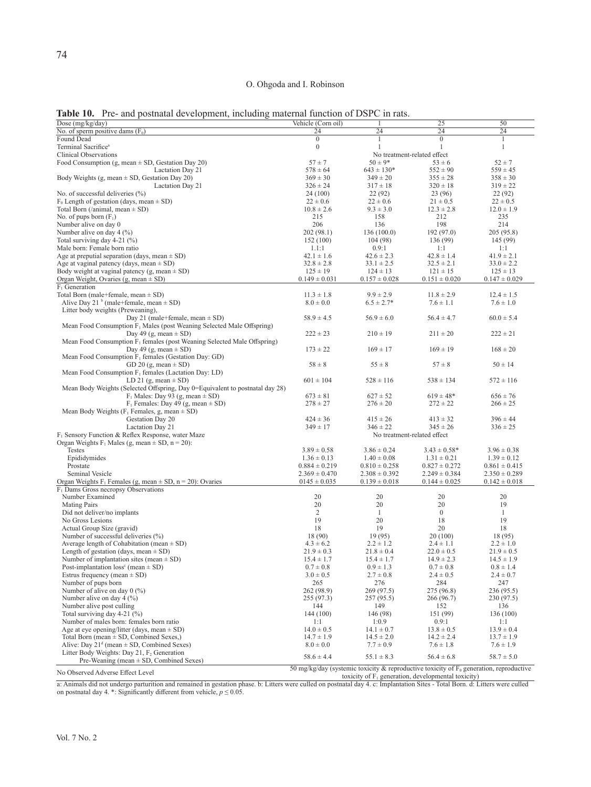#### O. Ohgoda and I. Robinson

|  |  |  |  | <b>Table 10.</b> Pre- and postnatal development, including maternal function of DSPC in rats. |
|--|--|--|--|-----------------------------------------------------------------------------------------------|
|--|--|--|--|-----------------------------------------------------------------------------------------------|

| Dose (mg/kg/day)                                                                                 | Vehicle (Corn oil) | $\mathbf{1}$                     | 25                                                                                          | 50                               |
|--------------------------------------------------------------------------------------------------|--------------------|----------------------------------|---------------------------------------------------------------------------------------------|----------------------------------|
| No. of sperm positive dams $(F_0)$                                                               | 24                 | 24                               | 24                                                                                          | 24                               |
| Found Dead                                                                                       | $\overline{0}$     | 1                                | $\overline{0}$                                                                              | 1                                |
| Terminal Sacrifice <sup>a</sup>                                                                  | $\boldsymbol{0}$   | $\mathbf{1}$                     | $\mathbf{1}$                                                                                | $\mathbf{1}$                     |
| <b>Clinical Observations</b>                                                                     |                    |                                  | No treatment-related effect                                                                 |                                  |
| Food Consumption $(g, \text{mean} \pm SD, \text{Gestation Day } 20)$                             | $57 \pm 7$         | $50 \pm 9*$                      | $53 \pm 6$                                                                                  | $52 \pm 7$                       |
| Lactation Day 21                                                                                 | $578 \pm 64$       | $643 \pm 130*$                   | $552 \pm 90$                                                                                | $559 \pm 45$                     |
| Body Weights (g, mean $\pm$ SD, Gestation Day 20)                                                | $369 \pm 30$       | $349 \pm 20$                     | $355 \pm 28$                                                                                | $358 \pm 30$                     |
| Lactation Day 21                                                                                 | $326 \pm 24$       | $317 \pm 18$                     | $320 \pm 18$                                                                                | $319 \pm 22$                     |
| No. of successful deliveries (%)                                                                 | 24 (100)           | 22(92)                           | 23 (96)                                                                                     | 22(92)                           |
| $F_0$ Length of gestation (days, mean $\pm$ SD)                                                  | $22 \pm 0.6$       | $22 \pm 0.6$                     | $21 \pm 0.5$                                                                                | $22 \pm 0.5$                     |
| Total Born (/animal, mean $\pm$ SD)                                                              | $10.8 \pm 2.6$     | $9.3 \pm 3.0$                    | $12.3 \pm 2.8$                                                                              | $12.0 \pm 1.9$                   |
| No. of pups born $(F_1)$                                                                         | 215                | 158                              | 212                                                                                         | 235                              |
| Number alive on day 0                                                                            | 206                | 136                              | 198                                                                                         | 214                              |
| Number alive on day 4 (%)                                                                        | 202 (98.1)         | 136 (100.0)                      | 192 (97.0)                                                                                  | 205 (95.8)                       |
| Total surviving day 4-21 (%)                                                                     | 152 (100)          | 104 (98)                         | 136 (99)                                                                                    | 145 (99)                         |
| Male born: Female born ratio                                                                     | 1.1:1              | 0.9:1                            | 1:1                                                                                         | 1:1                              |
| Age at preputial separation (days, mean $\pm$ SD)                                                | $42.1 \pm 1.6$     | $42.6 \pm 2.3$                   | $42.8 \pm 1.4$                                                                              | $41.9 \pm 2.1$                   |
| Age at vaginal patency (days, mean $\pm$ SD)                                                     | $32.8 \pm 2.8$     | $33.1 \pm 2.5$                   | $32.5 \pm 2.1$                                                                              | $33.0 \pm 2.2$                   |
| Body weight at vaginal patency $(g, \text{mean} \pm SD)$                                         | $125 \pm 19$       | $124 \pm 13$                     | $121 \pm 15$                                                                                | $125 \pm 13$                     |
| Organ Weight, Ovaries (g, mean $\pm$ SD)                                                         | $0.149 \pm 0.031$  | $0.157 \pm 0.028$                | $0.151 \pm 0.020$                                                                           | $0.147 \pm 0.029$                |
| $F_1$ Generation                                                                                 |                    |                                  |                                                                                             |                                  |
| Total Born (male+female, mean $\pm$ SD)                                                          | $11.3 \pm 1.8$     | $9.9 \pm 2.9$                    | $11.8 \pm 2.9$                                                                              | $12.4 \pm 1.5$                   |
| Alive Day 21 <sup>b</sup> (male+female, mean $\pm$ SD)                                           | $8.0 \pm 0.0$      | $6.5 \pm 2.7*$                   | $7.6 \pm 1.1$                                                                               | $7.6 \pm 1.0$                    |
| Litter body weights (Preweaning),                                                                |                    |                                  |                                                                                             |                                  |
| Day 21 (male+female, mean $\pm$ SD)                                                              | $58.9 \pm 4.5$     | $56.9 \pm 6.0$                   | $56.4 \pm 4.7$                                                                              | $60.0 \pm 5.4$                   |
| Mean Food Consumption F <sub>1</sub> Males (post Weaning Selected Male Offspring)                |                    |                                  |                                                                                             |                                  |
| Day 49 (g, mean $\pm$ SD)                                                                        | $222 \pm 23$       | $210 \pm 19$                     | $211 \pm 20$                                                                                | $222 \pm 21$                     |
| Mean Food Consumption F <sub>1</sub> females (post Weaning Selected Male Offspring)              |                    |                                  |                                                                                             |                                  |
| Day 49 (g, mean $\pm$ SD)                                                                        | $173 \pm 22$       | $169 \pm 17$                     | $169 \pm 19$                                                                                | $168 \pm 20$                     |
| Mean Food Consumption F <sub>1</sub> females (Gestation Day: GD)                                 |                    |                                  |                                                                                             |                                  |
| GD 20 (g, mean $\pm$ SD)                                                                         | $58 \pm 8$         | $55 \pm 8$                       | $57 \pm 8$                                                                                  | $50 \pm 14$                      |
| Mean Food Consumption F <sub>1</sub> females (Lactation Day: LD)<br>LD 21 (g, mean $\pm$ SD)     |                    |                                  |                                                                                             | $572 \pm 116$                    |
| Mean Body Weights (Selected Offspring, Day 0=Equivalent to postnatal day 28)                     | $601 \pm 104$      | $528 \pm 116$                    | $538 \pm 134$                                                                               |                                  |
| $F_1$ Males: Day 93 (g, mean $\pm$ SD)                                                           | $673 \pm 81$       | $627 \pm 52$                     | $619 \pm 48*$                                                                               | $656 \pm 76$                     |
| $F_1$ Females: Day 49 (g, mean $\pm$ SD)                                                         | $278 \pm 27$       | $276 \pm 20$                     | $272 \pm 22$                                                                                | $266 \pm 25$                     |
| Mean Body Weights ( $F_1$ Females, g, mean $\pm$ SD)                                             |                    |                                  |                                                                                             |                                  |
| Gestation Day 20                                                                                 | $424 \pm 36$       | $415 \pm 26$                     | $413 \pm 32$                                                                                | $396 \pm 44$                     |
| Lactation Day 21                                                                                 | $349 \pm 17$       | $346 \pm 22$                     | $345 \pm 26$                                                                                | $336 \pm 25$                     |
| F <sub>1</sub> Sensory Function & Reflex Response, water Maze                                    |                    |                                  | No treatment-related effect                                                                 |                                  |
| Organ Weights $F_1$ Males (g, mean $\pm$ SD, n = 20):                                            |                    |                                  |                                                                                             |                                  |
| Testes                                                                                           | $3.89 \pm 0.58$    | $3.86 \pm 0.24$                  | $3.43 \pm 0.58^*$                                                                           | $3.96 \pm 0.38$                  |
| Epididymides                                                                                     | $1.36 \pm 0.13$    | $1.40 \pm 0.08$                  | $1.31 \pm 0.21$                                                                             | $1.39 \pm 0.12$                  |
| Prostate                                                                                         | $0.884 \pm 0.219$  | $0.810 \pm 0.258$                | $0.827 \pm 0.272$                                                                           | $0.861 \pm 0.415$                |
| Seminal Vesicle                                                                                  | $2.369 \pm 0.470$  | $2.308 \pm 0.392$                | $2.249 \pm 0.384$                                                                           | $2.350 \pm 0.289$                |
| Organ Weights $F_1$ Females (g, mean $\pm$ SD, n = 20): Ovaries                                  | $0145 \pm 0.035$   | $0.139 \pm 0.018$                | $0.144 \pm 0.025$                                                                           | $0.142 \pm 0.018$                |
| $F_1$ Dams Gross necropsy Observations                                                           |                    |                                  |                                                                                             |                                  |
| Number Examined                                                                                  | 20                 | 20                               | 20                                                                                          | 20                               |
| <b>Mating Pairs</b>                                                                              | 20                 | 20                               | 20                                                                                          | 19                               |
| Did not deliver/no implants                                                                      | $\overline{c}$     | -1                               | $\mathbf{0}$                                                                                | $\mathbf{1}$                     |
| No Gross Lesions                                                                                 | 19                 | 20                               | 18                                                                                          | 19                               |
| Actual Group Size (gravid)                                                                       | 18                 | 19                               | 20                                                                                          | 18                               |
| Number of successful deliveries (%)                                                              | 18 (90)            | 19(95)                           | 20 (100)                                                                                    | 18 (95)                          |
| Average length of Cohabitation (mean $\pm$ SD)                                                   | $4.3 \pm 6.2$      | $2.2 \pm 1.2$                    | $2.4 \pm 1.1$                                                                               | $2.2 \pm 1.0$                    |
| Length of gestation (days, mean $\pm$ SD)                                                        | $21.9 \pm 0.3$     | $21.8 \pm 0.4$                   | $22.0 \pm 0.5$                                                                              | $21.9 \pm 0.5$                   |
| Number of implantation sites (mean $\pm$ SD)                                                     | $15.4 \pm 1.7$     | $15.4 \pm 1.7$                   | $14.9 \pm 2.3$                                                                              | $14.5 \pm 1.9$                   |
| Post-implantation loss <sup>c</sup> (mean $\pm$ SD)                                              | $0.7 \pm 0.8$      | $0.9 \pm 1.3$                    | $0.7 \pm 0.8$                                                                               | $0.8 \pm 1.4$                    |
| Estrus frequency (mean $\pm$ SD)                                                                 | $3.0 \pm 0.5$      | $2.7 \pm 0.8$                    | $2.4 \pm 0.5$                                                                               | $2.4 \pm 0.7$                    |
| Number of pups born                                                                              | 265                | 276                              | 284                                                                                         | 247                              |
| Number of alive on day $0\,(%)$                                                                  | 262 (98.9)         | 269 (97.5)                       | 275 (96.8)                                                                                  | 236 (95.5)                       |
| Number alive on day 4 $(\%)$                                                                     | 255 (97.3)         | 257 (95.5)                       | 266 (96.7)                                                                                  | 230 (97.5)                       |
| Number alive post culling                                                                        | 144                | 149                              | 152                                                                                         | 136                              |
| Total surviving day 4-21 (%)                                                                     | 144 (100)          | 146 (98)                         | 151 (99)                                                                                    | 136 (100)                        |
| Number of males born: females born ratio                                                         | 1:1                | 1:0.9                            | 0.9:1                                                                                       | 1:1                              |
| Age at eye opening/litter (days, mean $\pm$ SD)                                                  | $14.0 \pm 0.5$     | $14.1 \pm 0.7$<br>$14.5 \pm 2.0$ | $13.8 \pm 0.5$                                                                              | $13.9 \pm 0.4$<br>$13.7 \pm 1.9$ |
| Total Born (mean $\pm$ SD, Combined Sexes,)<br>Alive: Day $21^d$ (mean $\pm$ SD, Combined Sexes) | $14.7 \pm 1.9$     |                                  | $14.2 \pm 2.4$                                                                              | $7.6 \pm 1.9$                    |
| Litter Body Weights: Day 21, $F_2$ Generation                                                    | $8.0 \pm 0.0$      | $7.7 \pm 0.9$                    | $7.6 \pm 1.8$                                                                               |                                  |
| Pre-Weaning (mean $\pm$ SD, Combined Sexes)                                                      | $58.6 \pm 4.4$     | $55.1 \pm 8.3$                   | $56.4 \pm 6.8$                                                                              | $58.7 \pm 5.0$                   |
|                                                                                                  |                    |                                  | 50 mg/kg/day (systemic toxicity $\&$ reproductive toxicity of $F_0$ generation reproductive |                                  |

No Observed Adverse Effect Level<br>So mg/kg/day (systemic toxicity & reproductive toxicity of F<sub>1</sub> generation, reproductive<br>a: Animals did not undergo parturition and remained in gestation phase. b: Litters were culled on po

on postnatal day 4. \*: Significantly different from vehicle,  $p \le 0.05$ .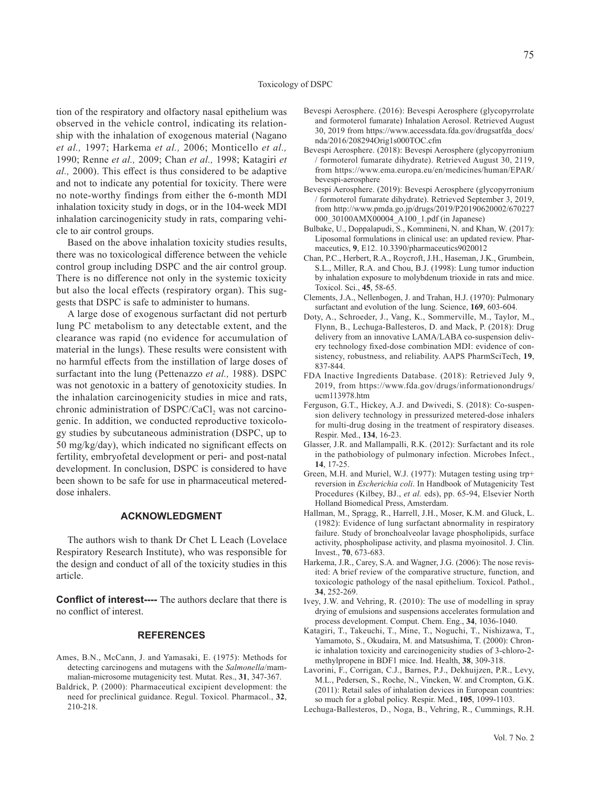tion of the respiratory and olfactory nasal epithelium was observed in the vehicle control, indicating its relationship with the inhalation of exogenous material (Nagano *et al.,* 1997; Harkema *et al.,* 2006; Monticello *et al.,* 1990; Renne *et al.,* 2009; Chan *et al.,* 1998; Katagiri *et al.,* 2000). This effect is thus considered to be adaptive and not to indicate any potential for toxicity. There were no note-worthy findings from either the 6-month MDI inhalation toxicity study in dogs, or in the 104-week MDI inhalation carcinogenicity study in rats, comparing vehicle to air control groups.

Based on the above inhalation toxicity studies results, there was no toxicological difference between the vehicle control group including DSPC and the air control group. There is no difference not only in the systemic toxicity but also the local effects (respiratory organ). This suggests that DSPC is safe to administer to humans.

A large dose of exogenous surfactant did not perturb lung PC metabolism to any detectable extent, and the clearance was rapid (no evidence for accumulation of material in the lungs). These results were consistent with no harmful effects from the instillation of large doses of surfactant into the lung (Pettenazzo *et al.,* 1988). DSPC was not genotoxic in a battery of genotoxicity studies. In the inhalation carcinogenicity studies in mice and rats, chronic administration of DSPC/CaCl, was not carcinogenic. In addition, we conducted reproductive toxicology studies by subcutaneous administration (DSPC, up to 50 mg/kg/day), which indicated no significant effects on fertility, embryofetal development or peri- and post-natal development. In conclusion, DSPC is considered to have been shown to be safe for use in pharmaceutical metereddose inhalers.

#### **ACKNOWLEDGMENT**

The authors wish to thank Dr Chet L Leach (Lovelace Respiratory Research Institute), who was responsible for the design and conduct of all of the toxicity studies in this article.

**Conflict of interest----** The authors declare that there is no conflict of interest.

#### **REFERENCES**

- Ames, B.N., McCann, J. and Yamasaki, E. (1975): Methods for detecting carcinogens and mutagens with the *Salmonella*/mammalian-microsome mutagenicity test. Mutat. Res., **31**, 347-367.
- Baldrick, P. (2000): Pharmaceutical excipient development: the need for preclinical guidance. Regul. Toxicol. Pharmacol., **32**, 210-218.
- Bevespi Aerosphere. (2016): Bevespi Aerosphere (glycopyrrolate and formoterol fumarate) Inhalation Aerosol. Retrieved August 30, 2019 from https://www.accessdata.fda.gov/drugsatfda\_docs/ nda/2016/208294Orig1s000TOC.cfm
- Bevespi Aerosphere. (2018): Bevespi Aerosphere (glycopyrronium / formoterol fumarate dihydrate). Retrieved August 30, 2119, from https://www.ema.europa.eu/en/medicines/human/EPAR/ bevespi-aerosphere
- Bevespi Aerosphere. (2019): Bevespi Aerosphere (glycopyrronium / formoterol fumarate dihydrate). Retrieved September 3, 2019, from http://www.pmda.go.jp/drugs/2019/P20190620002/670227 000\_30100AMX00004\_A100\_1.pdf (in Japanese)
- Bulbake, U., Doppalapudi, S., Kommineni, N. and Khan, W. (2017): Liposomal formulations in clinical use: an updated review. Pharmaceutics, **9**, E12. 10.3390/pharmaceutics9020012
- Chan, P.C., Herbert, R.A., Roycroft, J.H., Haseman, J.K., Grumbein, S.L., Miller, R.A. and Chou, B.J. (1998): Lung tumor induction by inhalation exposure to molybdenum trioxide in rats and mice. Toxicol. Sci., **45**, 58-65.
- Clements, J.A., Nellenbogen, J. and Trahan, H.J. (1970): Pulmonary surfactant and evolution of the lung. Science, **169**, 603-604.
- Doty, A., Schroeder, J., Vang, K., Sommerville, M., Taylor, M., Flynn, B., Lechuga-Ballesteros, D. and Mack, P. (2018): Drug delivery from an innovative LAMA/LABA co-suspension delivery technology fixed-dose combination MDI: evidence of consistency, robustness, and reliability. AAPS PharmSciTech, **19**, 837-844.
- FDA Inactive Ingredients Database. (2018): Retrieved July 9, 2019, from https://www.fda.gov/drugs/informationondrugs/ ucm113978.htm
- Ferguson, G.T., Hickey, A.J. and Dwivedi, S. (2018): Co-suspension delivery technology in pressurized metered-dose inhalers for multi-drug dosing in the treatment of respiratory diseases. Respir. Med., **134**, 16-23.
- Glasser, J.R. and Mallampalli, R.K. (2012): Surfactant and its role in the pathobiology of pulmonary infection. Microbes Infect., **14**, 17-25.
- Green, M.H. and Muriel, W.J. (1977): Mutagen testing using trp+ reversion in *Escherichia coli*. In Handbook of Mutagenicity Test Procedures (Kilbey, BJ., *et al.* eds), pp. 65-94, Elsevier North Holland Biomedical Press, Amsterdam.
- Hallman, M., Spragg, R., Harrell, J.H., Moser, K.M. and Gluck, L. (1982): Evidence of lung surfactant abnormality in respiratory failure. Study of bronchoalveolar lavage phospholipids, surface activity, phospholipase activity, and plasma myoinositol. J. Clin. Invest., **70**, 673-683.
- Harkema, J.R., Carey, S.A. and Wagner, J.G. (2006): The nose revisited: A brief review of the comparative structure, function, and toxicologic pathology of the nasal epithelium. Toxicol. Pathol., **34**, 252-269.
- Ivey, J.W. and Vehring, R. (2010): The use of modelling in spray drying of emulsions and suspensions accelerates formulation and process development. Comput. Chem. Eng., **34**, 1036-1040.
- Katagiri, T., Takeuchi, T., Mine, T., Noguchi, T., Nishizawa, T., Yamamoto, S., Okudaira, M. and Matsushima, T. (2000): Chronic inhalation toxicity and carcinogenicity studies of 3-chloro-2 methylpropene in BDF1 mice. Ind. Health, **38**, 309-318.
- Lavorini, F., Corrigan, C.J., Barnes, P.J., Dekhuijzen, P.R., Levy, M.L., Pedersen, S., Roche, N., Vincken, W. and Crompton, G.K. (2011): Retail sales of inhalation devices in European countries: so much for a global policy. Respir. Med., **105**, 1099-1103.
- Lechuga-Ballesteros, D., Noga, B., Vehring, R., Cummings, R.H.